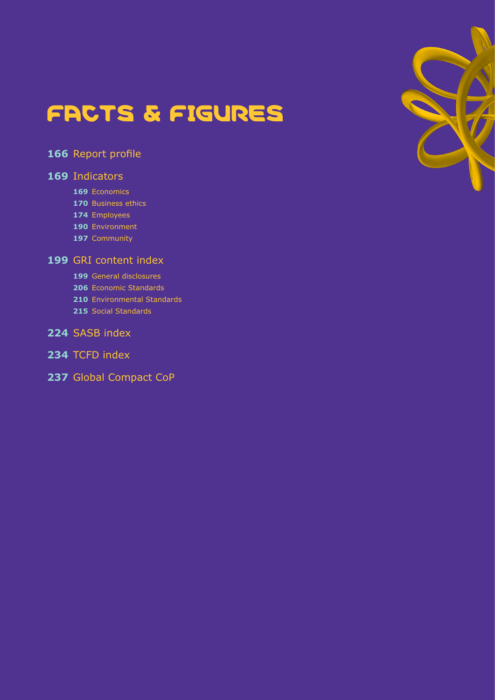

# [Report profile](#page-165-0)

# [Indicators](#page-168-0)

- [Economics](#page-168-1)
- [Business ethics](#page-169-0)
- [Employees](#page-173-0)
- [Environment](#page-189-0)
- [Community](#page-196-0)

# [GRI content index](#page-198-0)

- [General disclosures](#page-198-1)
- [Economic Standards](#page-205-0)
- [Environmental Standards](#page-209-0)
- [Social Standards](#page-214-0)

# [SASB index](#page-223-0)

- [TCFD index](#page-233-0)
- [Global Compact CoP](#page-236-0)

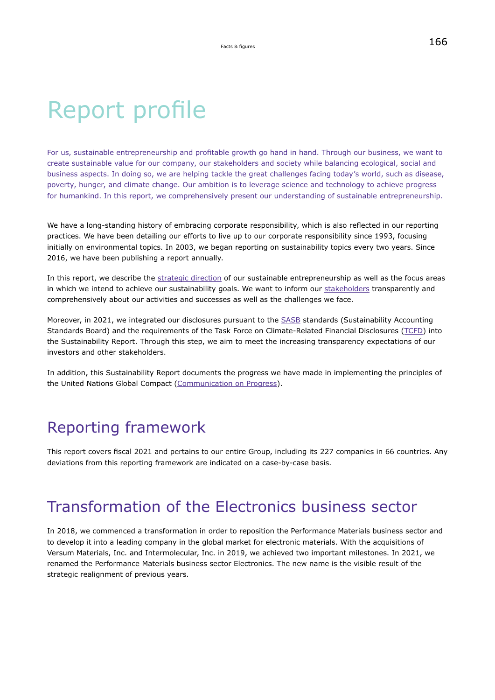# Report profile

For us, sustainable entrepreneurship and profitable growth go hand in hand. Through our business, we want to create sustainable value for our company, our stakeholders and society while balancing ecological, social and business aspects. In doing so, we are helping tackle the great challenges facing today's world, such as disease, poverty, hunger, and climate change. Our ambition is to leverage science and technology to achieve progress for humankind. In this report, we comprehensively present our understanding of sustainable entrepreneurship.

We have a long-standing history of embracing corporate responsibility, which is also reflected in our reporting practices. We have been detailing our efforts to live up to our corporate responsibility since 1993, focusing initially on environmental topics. In 2003, we began reporting on sustainability topics every two years. Since 2016, we have been publishing a report annually.

In this report, we describe the [strategic direction](#page-10-0) of our sustainable entrepreneurship as well as the focus areas in which we intend to achieve our sustainability goals. We want to inform our [stakeholders](#page-18-0) transparently and comprehensively about our activities and successes as well as the challenges we face.

Moreover, in 2021, we integrated our disclosures pursuant to the [SASB](https://www.sasb.org/) standards (Sustainability Accounting Standards Board) and the requirements of the Task Force on Climate-Related Financial Disclosures [\(TCFD\)](https://www.fsb-tcfd.org/) into the Sustainability Report. Through this step, we aim to meet the increasing transparency expectations of our investors and other stakeholders.

In addition, this Sustainability Report documents the progress we have made in implementing the principles of the United Nations Global Compact [\(Communication on Progress](#page-236-0)).

# Reporting framework

This report covers fiscal 2021 and pertains to our entire Group, including its 227 companies in 66 countries. Any deviations from this reporting framework are indicated on a case-by-case basis.

# Transformation of the Electronics business sector

In 2018, we commenced a transformation in order to reposition the Performance Materials business sector and to develop it into a leading company in the global market for electronic materials. With the acquisitions of Versum Materials, Inc. and Intermolecular, Inc. in 2019, we achieved two important milestones. In 2021, we renamed the Performance Materials business sector Electronics. The new name is the visible result of the strategic realignment of previous years.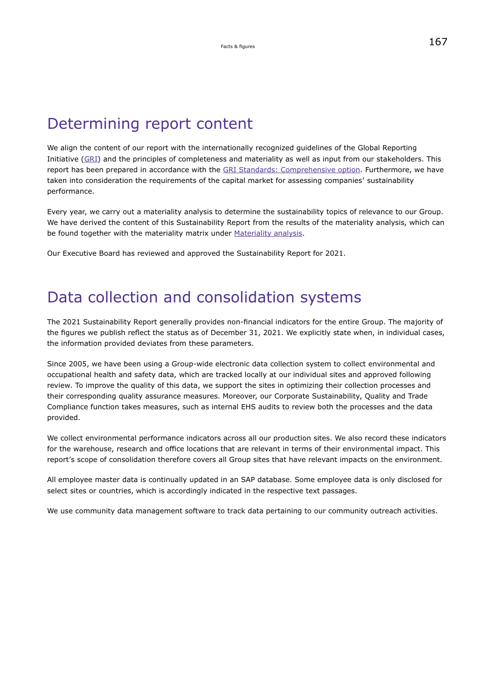# Determining report content

We align the content of our report with the internationally recognized guidelines of the Global Reporting Initiative [\(GRI](https://www.globalreporting.org/)) and the principles of completeness and materiality as well as input from our stakeholders. This report has been prepared in accordance with the [GRI Standards: Comprehensive option](#page-198-1). Furthermore, we have taken into consideration the requirements of the capital market for assessing companies' sustainability performance.

Every year, we carry out a materiality analysis to determine the sustainability topics of relevance to our Group. We have derived the content of this Sustainability Report from the results of the materiality analysis, which can be found together with the materiality matrix under [Materiality analysis.](#page-22-0)

Our Executive Board has reviewed and approved the Sustainability Report for 2021.

# Data collection and consolidation systems

The 2021 Sustainability Report generally provides non-financial indicators for the entire Group. The majority of the figures we publish reflect the status as of December 31, 2021. We explicitly state when, in individual cases, the information provided deviates from these parameters.

Since 2005, we have been using a Group-wide electronic data collection system to collect environmental and occupational health and safety data, which are tracked locally at our individual sites and approved following review. To improve the quality of this data, we support the sites in optimizing their collection processes and their corresponding quality assurance measures. Moreover, our Corporate Sustainability, Quality and Trade Compliance function takes measures, such as internal EHS audits to review both the processes and the data provided.

We collect environmental performance indicators across all our production sites. We also record these indicators for the warehouse, research and office locations that are relevant in terms of their environmental impact. This report's scope of consolidation therefore covers all Group sites that have relevant impacts on the environment.

All employee master data is continually updated in an SAP database. Some employee data is only disclosed for select sites or countries, which is accordingly indicated in the respective text passages.

We use community data management software to track data pertaining to our community outreach activities.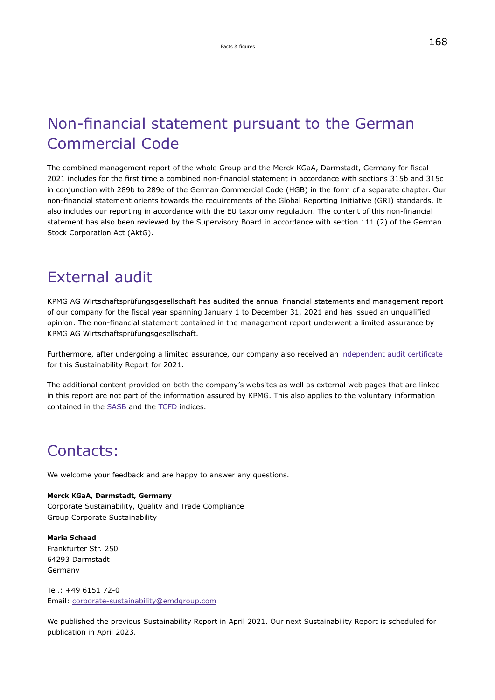# <span id="page-3-0"></span>Non-financial statement pursuant to the German Commercial Code

The combined management report of the whole Group and the Merck KGaA, Darmstadt, Germany for fiscal 2021 includes for the first time a combined non-financial statement in accordance with sections 315b and 315c in conjunction with 289b to 289e of the German Commercial Code (HGB) in the form of a separate chapter. Our non-financial statement orients towards the requirements of the Global Reporting Initiative (GRI) standards. It also includes our reporting in accordance with the EU taxonomy regulation. The content of this non-financial statement has also been reviewed by the Supervisory Board in accordance with section 111 (2) of the German Stock Corporation Act (AktG).

# External audit

KPMG AG Wirtschaftsprüfungsgesellschaft has audited the annual financial statements and management report of our company for the fiscal year spanning January 1 to December 31, 2021 and has issued an unqualified opinion. The non-financial statement contained in the management report underwent a limited assurance by KPMG AG Wirtschaftsprüfungsgesellschaft.

Furthermore, after undergoing a limited assurance, our company also received an [independent audit certificate](https://hippo.nexxar.com/pagenotfound) for this Sustainability Report for 2021.

The additional content provided on both the company's websites as well as external web pages that are linked in this report are not part of the information assured by KPMG. This also applies to the voluntary information contained in the [SASB](#page-223-0) and the [TCFD](#page-233-0) indices.

# Contacts:

We welcome your feedback and are happy to answer any questions.

**Merck KGaA, Darmstadt, Germany** Corporate Sustainability, Quality and Trade Compliance Group Corporate Sustainability

**Maria Schaad** Frankfurter Str. 250 64293 Darmstadt Germany

Tel.: +49 6151 72-0 Email: [corporate-sustainability@emdgroup.com](mailto:corporate-sustainability@emdgroup.com)

We published the previous Sustainability Report in April 2021. Our next Sustainability Report is scheduled for publication in April 2023.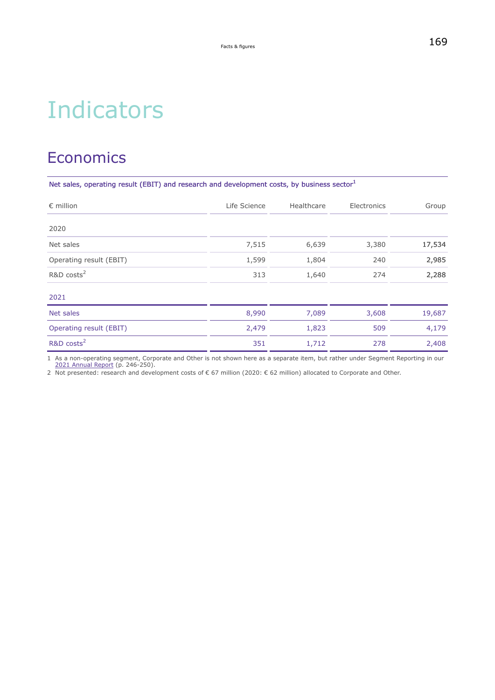# **Indicators**

# **Economics**

Net sales, operating result (EBIT) and research and development costs, by business sector<sup>1</sup>

| $\epsilon$ million      | Life Science | Healthcare | Electronics | Group  |
|-------------------------|--------------|------------|-------------|--------|
| 2020                    |              |            |             |        |
| Net sales               | 7,515        | 6,639      | 3,380       | 17,534 |
| Operating result (EBIT) | 1,599        | 1,804      | 240         | 2,985  |
| R&D costs <sup>2</sup>  | 313          | 1,640      | 274         | 2,288  |
| 2021                    |              |            |             |        |
| Net sales               | 8,990        | 7,089      | 3,608       | 19,687 |
| Operating result (EBIT) | 2,479        | 1,823      | 509         | 4,179  |
| R&D costs <sup>2</sup>  | 351          | 1,712      | 278         | 2,408  |

1 As a non-operating segment, Corporate and Other is not shown here as a separate item, but rather under Segment Reporting in our [2021 Annual Report](https://www.emdgroup.com/investors/reports-and-financials/earnings-materials/2021-q4/en/2021-Q4-Report-EN.pdf) (p. 246-250).

2 Not presented: research and development costs of € 67 million (2020: € 62 million) allocated to Corporate and Other.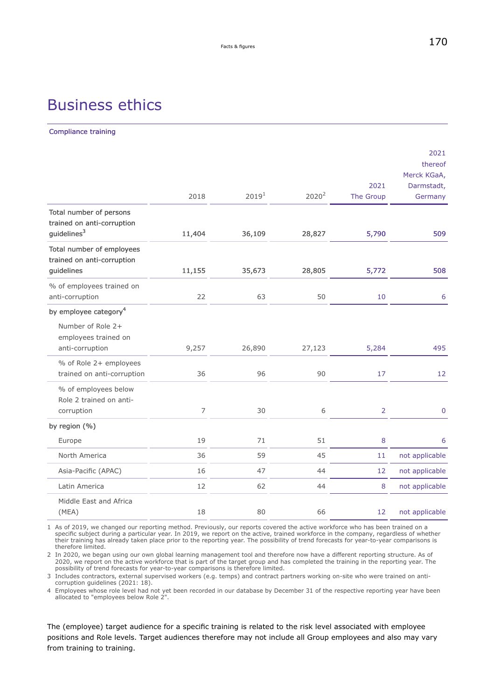# Business ethics

Compliance training

|                                                                                  | 2018   | 2019 <sup>1</sup> | $2020^2$ | 2021<br>The Group | 2021<br>thereof<br>Merck KGaA,<br>Darmstadt,<br>Germany |
|----------------------------------------------------------------------------------|--------|-------------------|----------|-------------------|---------------------------------------------------------|
| Total number of persons<br>trained on anti-corruption<br>quidelines <sup>3</sup> | 11,404 | 36,109            | 28,827   | 5,790             | 509                                                     |
| Total number of employees<br>trained on anti-corruption<br>guidelines            | 11,155 | 35,673            | 28,805   | 5,772             | 508                                                     |
| % of employees trained on<br>anti-corruption                                     | 22     | 63                | 50       | 10                | 6                                                       |
| by employee category <sup>4</sup>                                                |        |                   |          |                   |                                                         |
| Number of Role 2+<br>employees trained on<br>anti-corruption                     | 9,257  | 26,890            | 27,123   | 5,284             | 495                                                     |
| % of Role 2+ employees<br>trained on anti-corruption                             | 36     | 96                | 90       | 17                | 12                                                      |
| % of employees below<br>Role 2 trained on anti-<br>corruption                    | 7      | 30                | 6        | $\overline{2}$    | $\bf 0$                                                 |
| by region (%)                                                                    |        |                   |          |                   |                                                         |
| Europe                                                                           | 19     | 71                | 51       | 8                 | 6                                                       |
| North America                                                                    | 36     | 59                | 45       | 11                | not applicable                                          |
| Asia-Pacific (APAC)                                                              | 16     | 47                | 44       | 12                | not applicable                                          |
| Latin America                                                                    | 12     | 62                | 44       | 8                 | not applicable                                          |
| Middle East and Africa<br>(MEA)                                                  | 18     | 80                | 66       | 12                | not applicable                                          |

1 As of 2019, we changed our reporting method. Previously, our reports covered the active workforce who has been trained on a specific subject during a particular year. In 2019, we report on the active, trained workforce in the company, regardless of whether their training has already taken place prior to the reporting year. The possibility of trend forecasts for year-to-year comparisons is therefore limited.

2 In 2020, we began using our own global learning management tool and therefore now have a different reporting structure. As of 2020, we report on the active workforce that is part of the target group and has completed the training in the reporting year. The possibility of trend forecasts for year-to-year comparisons is therefore limited.

3 Includes contractors, external supervised workers (e.g. temps) and contract partners working on-site who were trained on anticorruption guidelines (2021: 18).

4 Employees whose role level had not yet been recorded in our database by December 31 of the respective reporting year have been allocated to "employees below Role 2".

The (employee) target audience for a specific training is related to the risk level associated with employee positions and Role levels. Target audiences therefore may not include all Group employees and also may vary from training to training.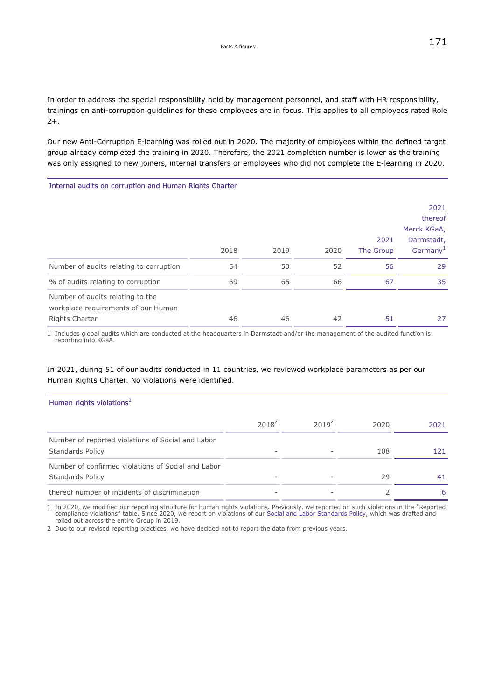In order to address the special responsibility held by management personnel, and staff with HR responsibility, trainings on anti-corruption guidelines for these employees are in focus. This applies to all employees rated Role 2+.

Our new Anti-Corruption E-learning was rolled out in 2020. The majority of employees within the defined target group already completed the training in 2020. Therefore, the 2021 completion number is lower as the training was only assigned to new joiners, internal transfers or employees who did not complete the E-learning in 2020.

Internal audits on corruption and Human Rights Charter

|                                                                                                  |      |      |      | 2021      | 2021<br>thereof<br>Merck KGaA,<br>Darmstadt, |
|--------------------------------------------------------------------------------------------------|------|------|------|-----------|----------------------------------------------|
|                                                                                                  | 2018 | 2019 | 2020 | The Group | Germany <sup>1</sup>                         |
| Number of audits relating to corruption                                                          | 54   | 50   | 52   | 56        | 29                                           |
| % of audits relating to corruption                                                               | 69   | 65   | 66   | 67        | 35                                           |
| Number of audits relating to the<br>workplace requirements of our Human<br><b>Rights Charter</b> | 46   | 46   | 42   | 51        | 27                                           |

1 Includes global audits which are conducted at the headquarters in Darmstadt and/or the management of the audited function is reporting into KGaA.

# In 2021, during 51 of our audits conducted in 11 countries, we reviewed workplace parameters as per our Human Rights Charter. No violations were identified.

| Human rights violations <sup>1</sup>                                          |          |                          |      |      |
|-------------------------------------------------------------------------------|----------|--------------------------|------|------|
|                                                                               | $2018^2$ | $2019^2$                 | 2020 | 2021 |
| Number of reported violations of Social and Labor<br><b>Standards Policy</b>  |          |                          | 108  | 121  |
| Number of confirmed violations of Social and Labor<br><b>Standards Policy</b> |          | $\overline{\phantom{a}}$ | 29   | 41   |
| thereof number of incidents of discrimination                                 |          |                          |      | 6    |

1 In 2020, we modified our reporting structure for human rights violations. Previously, we reported on such violations in the "Reported compliance violations" table. Since 2020, we report on violations of our [Social and Labor Standards Policy](https://www.emdgroup.com/company/responsibility/us/regulations-and-guidelines/Social-and-Labor-Standards-Policy-Website-US.pdf), which was drafted and rolled out across the entire Group in 2019.

2 Due to our revised reporting practices, we have decided not to report the data from previous years.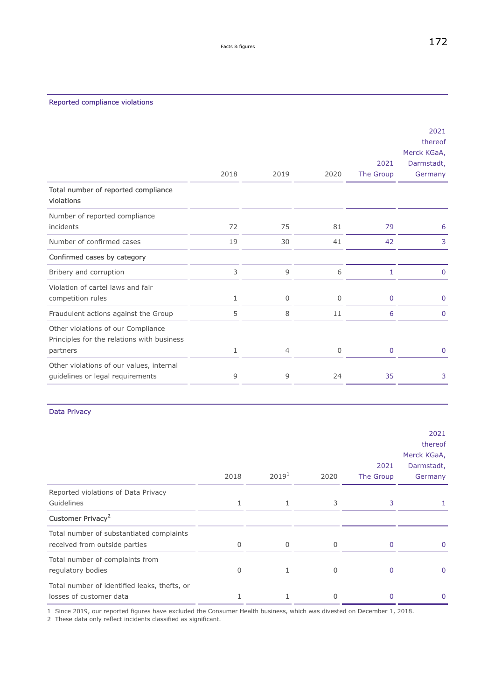<span id="page-7-0"></span>

|                                                                                              | 2018 | 2019           | 2020        | 2021<br>The Group | 2021<br>thereof<br>Merck KGaA,<br>Darmstadt,<br>Germany |
|----------------------------------------------------------------------------------------------|------|----------------|-------------|-------------------|---------------------------------------------------------|
| Total number of reported compliance<br>violations                                            |      |                |             |                   |                                                         |
| Number of reported compliance<br>incidents                                                   | 72   | 75             | 81          | 79                | 6                                                       |
| Number of confirmed cases                                                                    | 19   | 30             | 41          | 42                | 3                                                       |
| Confirmed cases by category                                                                  |      |                |             |                   |                                                         |
| Bribery and corruption                                                                       | 3    | 9              | 6           | 1                 | $\mathbf{0}$                                            |
| Violation of cartel laws and fair<br>competition rules                                       | 1    | 0              | 0           | $\mathbf 0$       | $\mathbf 0$                                             |
| Fraudulent actions against the Group                                                         | 5    | 8              | 11          | 6                 | $\mathbf 0$                                             |
| Other violations of our Compliance<br>Principles for the relations with business<br>partners | 1    | $\overline{4}$ | $\mathbf 0$ | $\mathbf 0$       | $\mathbf{0}$                                            |
| Other violations of our values, internal<br>guidelines or legal requirements                 | 9    | 9              | 24          | 35                | 3                                                       |

## Data Privacy

|                                              |          |                   |          |           | 2021        |
|----------------------------------------------|----------|-------------------|----------|-----------|-------------|
|                                              |          |                   |          |           | thereof     |
|                                              |          |                   |          |           | Merck KGaA, |
|                                              |          |                   |          | 2021      | Darmstadt,  |
|                                              | 2018     | 2019 <sup>1</sup> | 2020     | The Group | Germany     |
| Reported violations of Data Privacy          |          |                   |          |           |             |
| Guidelines                                   | 1        |                   | 3        | 3         |             |
| Customer Privacy <sup>2</sup>                |          |                   |          |           |             |
| Total number of substantiated complaints     |          |                   |          |           |             |
| received from outside parties                | $\Omega$ | $\Omega$          | $\Omega$ |           |             |
| Total number of complaints from              |          |                   |          |           |             |
| regulatory bodies                            | $\Omega$ | 1                 | $\Omega$ | 0         | $\Omega$    |
| Total number of identified leaks, thefts, or |          |                   |          |           |             |
| losses of customer data                      |          |                   |          |           |             |

1 Since 2019, our reported figures have excluded the Consumer Health business, which was divested on December 1, 2018.

2 These data only reflect incidents classified as significant.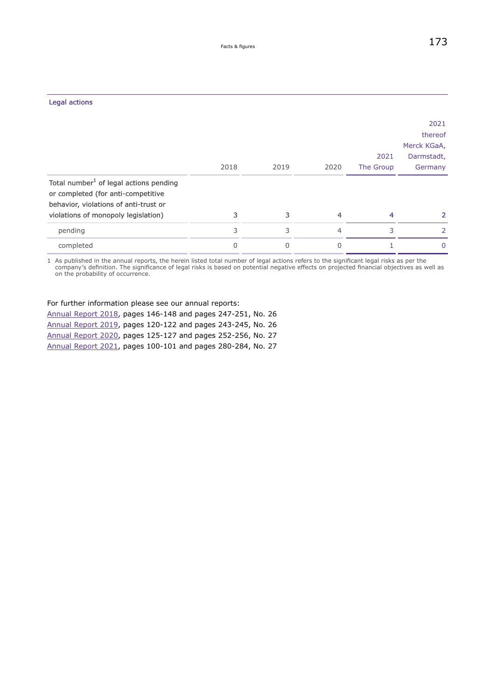| Legal actions                                                                                                                     |          |          |                |           |             |
|-----------------------------------------------------------------------------------------------------------------------------------|----------|----------|----------------|-----------|-------------|
|                                                                                                                                   |          |          |                |           | 2021        |
|                                                                                                                                   |          |          |                |           | thereof     |
|                                                                                                                                   |          |          |                |           | Merck KGaA, |
|                                                                                                                                   |          |          |                | 2021      | Darmstadt,  |
|                                                                                                                                   | 2018     | 2019     | 2020           | The Group | Germany     |
| Total number <sup>1</sup> of legal actions pending<br>or completed (for anti-competitive<br>behavior, violations of anti-trust or |          |          |                |           |             |
| violations of monopoly legislation)                                                                                               | 3        | 3        | $\overline{4}$ | 4         | 2           |
| pending                                                                                                                           | 3        | 3        | $\overline{4}$ | 3         | 2           |
| completed                                                                                                                         | $\Omega$ | $\Omega$ | $\Omega$       |           | $\Omega$    |
|                                                                                                                                   |          |          |                |           |             |

1 As published in the annual reports, the herein listed total number of legal actions refers to the significant legal risks as per the company's definition. The significance of legal risks is based on potential negative effects on projected financial objectives as well as on the probability of occurrence.

## For further information please see our annual reports:

[Annual Report 2018,](https://www.emdgroup.com/en/annualreport/2018/) pages 146-148 and pages 247-251, No. 26 [Annual Report 2019,](https://www.emdgroup.com/en/annualreport/2019/) pages 120-122 and pages 243-245, No. 26 [Annual Report 2020,](https://www.emdgroup.com/en/annualreport/2020/servicepages/downloads/files/entire-emd-ar20.pdf) pages 125-127 and pages 252-256, No. 27 [Annual Report 2021,](https://www.emdgroup.com/investors/reports-and-financials/earnings-materials/2021-q4/en/2021-Q4-Report-EN.pdf) pages 100-101 and pages 280-284, No. 27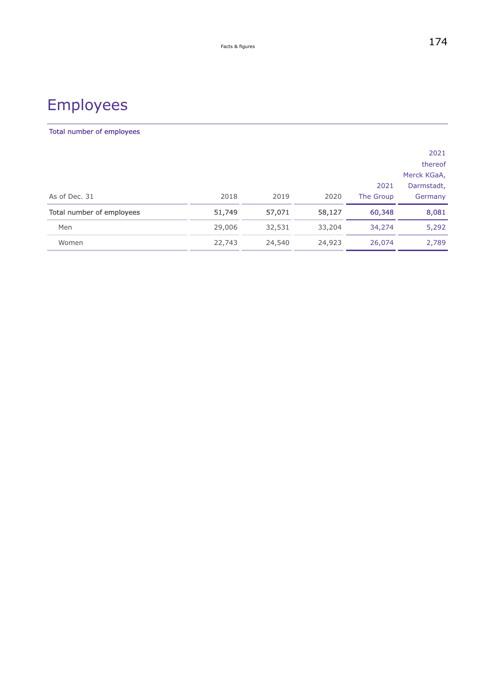# Employees

# Total number of employees

|                           |        |        |        |           | 2021        |
|---------------------------|--------|--------|--------|-----------|-------------|
|                           |        |        |        |           | thereof     |
|                           |        |        |        |           | Merck KGaA, |
|                           |        |        |        | 2021      | Darmstadt,  |
| As of Dec. 31             | 2018   | 2019   | 2020   | The Group | Germany     |
| Total number of employees | 51,749 | 57,071 | 58,127 | 60,348    | 8,081       |
| Men                       | 29,006 | 32,531 | 33,204 | 34,274    | 5,292       |
| Women                     | 22,743 | 24,540 | 24,923 | 26,074    | 2,789       |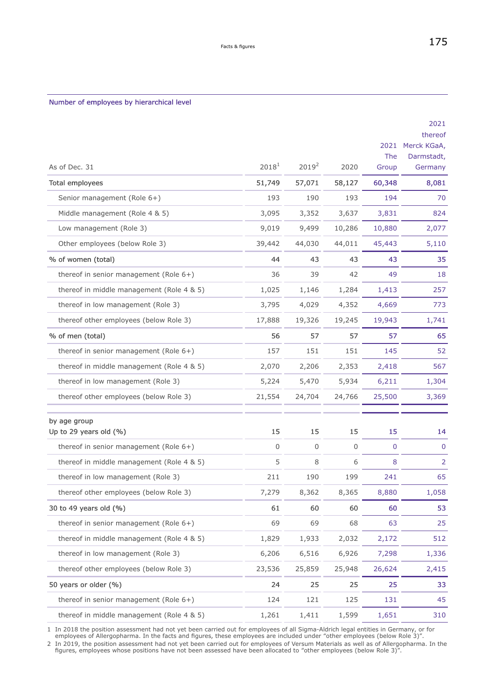## <span id="page-10-0"></span>Number of employees by hierarchical level

|                                           |                   |             |                | 2021<br>The    | 2021<br>thereof<br>Merck KGaA,<br>Darmstadt, |
|-------------------------------------------|-------------------|-------------|----------------|----------------|----------------------------------------------|
| As of Dec. 31                             | 2018 <sup>1</sup> | $2019^2$    | 2020           | Group          | Germany                                      |
| Total employees                           | 51,749            | 57,071      | 58,127         | 60,348         | 8,081                                        |
| Senior management (Role 6+)               | 193               | 190         | 193            | 194            | 70                                           |
| Middle management (Role 4 & 5)            | 3,095             | 3,352       | 3,637          | 3,831          | 824                                          |
| Low management (Role 3)                   | 9,019             | 9,499       | 10,286         | 10,880         | 2,077                                        |
| Other employees (below Role 3)            | 39,442            | 44,030      | 44,011         | 45,443         | 5,110                                        |
| % of women (total)                        | 44                | 43          | 43             | 43             | 35                                           |
| thereof in senior management (Role $6+)$  | 36                | 39          | 42             | 49             | 18                                           |
| thereof in middle management (Role 4 & 5) | 1,025             | 1,146       | 1,284          | 1,413          | 257                                          |
| thereof in low management (Role 3)        | 3,795             | 4,029       | 4,352          | 4,669          | 773                                          |
| thereof other employees (below Role 3)    | 17,888            | 19,326      | 19,245         | 19,943         | 1,741                                        |
| % of men (total)                          | 56                | 57          | 57             | 57             | 65                                           |
| thereof in senior management (Role $6+)$  | 157               | 151         | 151            | 145            | 52                                           |
| thereof in middle management (Role 4 & 5) | 2,070             | 2,206       | 2,353          | 2,418          | 567                                          |
| thereof in low management (Role 3)        | 5,224             | 5,470       | 5,934          | 6,211          | 1,304                                        |
| thereof other employees (below Role 3)    | 21,554            | 24,704      | 24,766         | 25,500         | 3,369                                        |
| by age group<br>Up to 29 years old (%)    | 15                | 15          | 15             | 15             | 14                                           |
| thereof in senior management (Role $6+)$  | 0                 | $\mathsf 0$ | $\overline{0}$ | $\overline{0}$ | $\pmb{0}$                                    |
| thereof in middle management (Role 4 & 5) | 5                 | 8           | 6              | 8              | $\overline{2}$                               |
| thereof in low management (Role 3)        | 211               | 190         | 199            | 241            | 65                                           |
| thereof other employees (below Role 3)    | 1,219             | 8,362       | 8,365          | 8,880          | 1,058                                        |
| 30 to 49 years old (%)                    | 61                | 60          | 60             | 60             | 53                                           |
| thereof in senior management (Role $6+$ ) | 69                | 69          | 68             | 63             | 25                                           |
| thereof in middle management (Role 4 & 5) | 1,829             | 1,933       | 2,032          | 2,172          | 512                                          |
| thereof in low management (Role 3)        | 6,206             | 6,516       | 6,926          | 7,298          | 1,336                                        |
| thereof other employees (below Role 3)    | 23,536            | 25,859      | 25,948         | 26,624         | 2,415                                        |
| 50 years or older (%)                     | 24                | 25          | 25             | 25             | 33                                           |
| thereof in senior management (Role $6+)$  | 124               | 121         | 125            | 131            | 45                                           |
| thereof in middle management (Role 4 & 5) | 1,261             | 1,411       | 1,599          | 1,651          | 310                                          |

1 In 2018 the position assessment had not yet been carried out for employees of all Sigma-Aldrich legal entities in Germany, or for employees of Allergopharma. In the facts and figures, these employees are included under "other employees (below Role 3)".

2 In 2019, the position assessment had not yet been carried out for employees of Versum Materials as well as of Allergopharma. In the<br>4." figures, employees whose positions have not been assessed have been allocated to "ot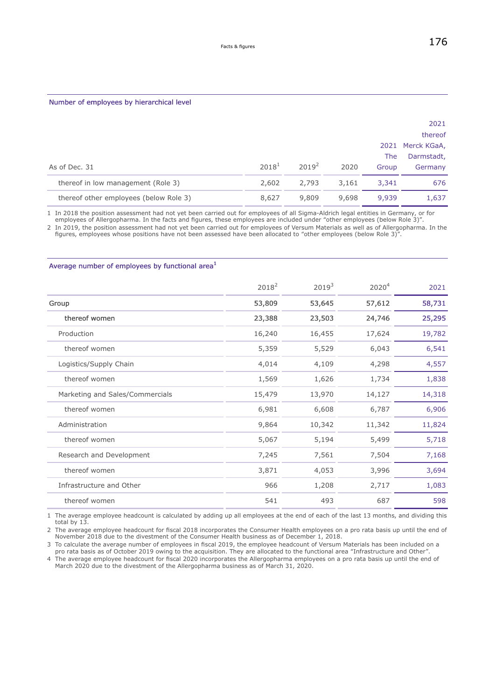#### Number of employees by hierarchical level

|                                        |          |          |       |            | 2021<br>thereof  |
|----------------------------------------|----------|----------|-------|------------|------------------|
|                                        |          |          |       |            | 2021 Merck KGaA, |
|                                        |          |          |       | <b>The</b> | Darmstadt,       |
| As of Dec. 31                          | $2018^1$ | $2019^2$ | 2020  | Group      | Germany          |
| thereof in low management (Role 3)     | 2,602    | 2,793    | 3,161 | 3,341      | 676              |
| thereof other employees (below Role 3) | 8,627    | 9,809    | 9,698 | 9,939      | 1,637            |

1 In 2018 the position assessment had not yet been carried out for employees of all Sigma-Aldrich legal entities in Germany, or for employees of Allergopharma. In the facts and figures, these employees are included under "other employees (below Role 3)".

2 In 2019, the position assessment had not yet been carried out for employees of Versum Materials as well as of Allergopharma. In the figures, employees whose positions have not been assessed have been allocated to "other employees (below Role 3)".

## Average number of employees by functional area<sup>1</sup>

|                                 | $2018^2$ | 2019 <sup>3</sup> | 2020 <sup>4</sup> | 2021   |
|---------------------------------|----------|-------------------|-------------------|--------|
| Group                           | 53,809   | 53,645            | 57,612            | 58,731 |
| thereof women                   | 23,388   | 23,503            | 24,746            | 25,295 |
| Production                      | 16,240   | 16,455            | 17,624            | 19,782 |
| thereof women                   | 5,359    | 5,529             | 6,043             | 6,541  |
| Logistics/Supply Chain          | 4,014    | 4,109             | 4,298             | 4,557  |
| thereof women                   | 1,569    | 1,626             | 1,734             | 1,838  |
| Marketing and Sales/Commercials | 15,479   | 13,970            | 14,127            | 14,318 |
| thereof women                   | 6,981    | 6,608             | 6,787             | 6,906  |
| Administration                  | 9,864    | 10,342            | 11,342            | 11,824 |
| thereof women                   | 5,067    | 5,194             | 5,499             | 5,718  |
| Research and Development        | 7,245    | 7,561             | 7,504             | 7,168  |
| thereof women                   | 3,871    | 4,053             | 3,996             | 3,694  |
| Infrastructure and Other        | 966      | 1,208             | 2,717             | 1,083  |
| thereof women                   | 541      | 493               | 687               | 598    |

1 The average employee headcount is calculated by adding up all employees at the end of each of the last 13 months, and dividing this total by 13.

2 The average employee headcount for fiscal 2018 incorporates the Consumer Health employees on a pro rata basis up until the end of November 2018 due to the divestment of the Consumer Health business as of December 1, 2018.

3 To calculate the average number of employees in fiscal 2019, the employee headcount of Versum Materials has been included on a pro rata basis as of October 2019 owing to the acquisition. They are allocated to the functional area "Infrastructure and Other".

4 The average employee headcount for fiscal 2020 incorporates the Allergopharma employees on a pro rata basis up until the end of March 2020 due to the divestment of the Allergopharma business as of March 31, 2020.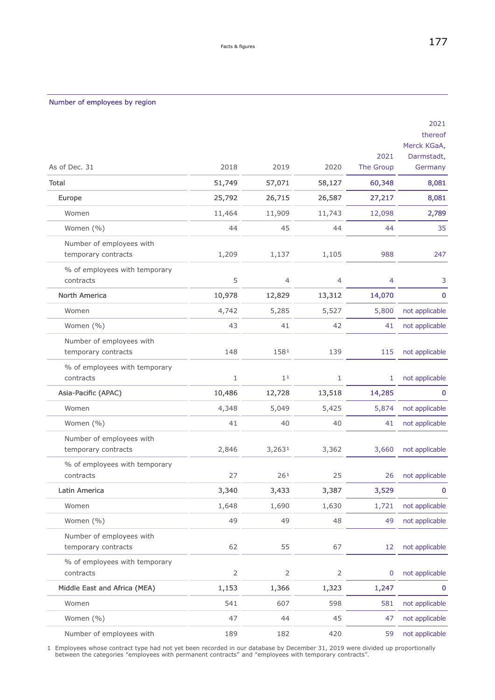## Number of employees by region

|                                                 |                |                 |                |           | 2021<br>thereof |
|-------------------------------------------------|----------------|-----------------|----------------|-----------|-----------------|
|                                                 |                |                 |                |           | Merck KGaA,     |
|                                                 |                |                 |                | 2021      | Darmstadt,      |
| As of Dec. 31                                   | 2018           | 2019            | 2020           | The Group | Germany         |
| <b>Total</b>                                    | 51,749         | 57,071          | 58,127         | 60,348    | 8,081           |
| Europe                                          | 25,792         | 26,715          | 26,587         | 27,217    | 8,081           |
| Women                                           | 11,464         | 11,909          | 11,743         | 12,098    | 2,789           |
| Women (%)                                       | 44             | 45              | 44             | 44        | 35              |
| Number of employees with<br>temporary contracts | 1,209          | 1,137           | 1,105          | 988       | 247             |
| % of employees with temporary<br>contracts      | 5              | 4               | 4              | 4         | 3               |
| North America                                   | 10,978         | 12,829          | 13,312         | 14,070    | $\bf 0$         |
| Women                                           | 4,742          | 5,285           | 5,527          | 5,800     | not applicable  |
| Women (%)                                       | 43             | 41              | 42             | 41        | not applicable  |
| Number of employees with<br>temporary contracts | 148            | 1581            | 139            | 115       | not applicable  |
| % of employees with temporary<br>contracts      | 1              | 1 <sup>1</sup>  | 1              | 1         | not applicable  |
| Asia-Pacific (APAC)                             | 10,486         | 12,728          | 13,518         | 14,285    | 0               |
| Women                                           | 4,348          | 5,049           | 5,425          | 5,874     | not applicable  |
| Women (%)                                       | 41             | 40              | 40             | 41        | not applicable  |
| Number of employees with<br>temporary contracts | 2,846          | 3,2631          | 3,362          | 3,660     | not applicable  |
| % of employees with temporary<br>contracts      | 27             | 26 <sup>1</sup> | 25             | 26        | not applicable  |
| Latin America                                   | 3,340          | 3,433           | 3,387          | 3,529     | 0               |
| Women                                           | 1,648          | 1,690           | 1,630          | 1,721     | not applicable  |
| Women (%)                                       | 49             | 49              | 48             | 49        | not applicable  |
| Number of employees with<br>temporary contracts | 62             | 55              | 67             | 12        | not applicable  |
| % of employees with temporary<br>contracts      | $\overline{2}$ | $\overline{2}$  | $\mathsf{2}\,$ | 0         | not applicable  |
| Middle East and Africa (MEA)                    | 1,153          | 1,366           | 1,323          | 1,247     | 0               |
| Women                                           | 541            | 607             | 598            | 581       | not applicable  |
| Women (%)                                       | 47             | 44              | 45             | 47        | not applicable  |
| Number of employees with                        | 189            | 182             | 420            | 59        | not applicable  |

1 Employees whose contract type had not yet been recorded in our database by December 31, 2019 were divided up proportionally between the categories "employees with permanent contracts" and "employees with temporary contracts".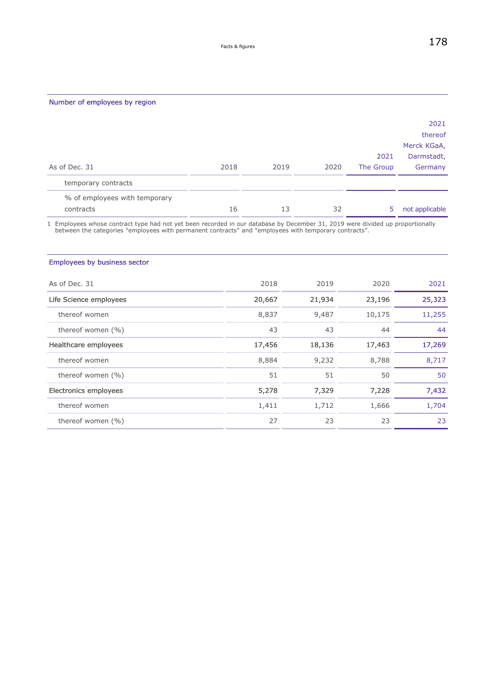|                                            |      |      |      | 2021      | 2021<br>thereof<br>Merck KGaA,<br>Darmstadt, |
|--------------------------------------------|------|------|------|-----------|----------------------------------------------|
| As of Dec. 31                              | 2018 | 2019 | 2020 | The Group | Germany                                      |
| temporary contracts                        |      |      |      |           |                                              |
| % of employees with temporary<br>contracts | 16   | 13   | 32   | 5         | not applicable                               |

1 Employees whose contract type had not yet been recorded in our database by December 31, 2019 were divided up proportionally between the categories "employees with permanent contracts" and "employees with temporary contracts".

# Employees by business sector

| As of Dec. 31          | 2018   | 2019   | 2020   | 2021   |
|------------------------|--------|--------|--------|--------|
| Life Science employees | 20,667 | 21,934 | 23,196 | 25,323 |
| thereof women          | 8,837  | 9,487  | 10,175 | 11,255 |
| thereof women $(\% )$  | 43     | 43     | 44     | 44     |
| Healthcare employees   | 17,456 | 18,136 | 17,463 | 17,269 |
| thereof women          | 8,884  | 9,232  | 8,788  | 8,717  |
| thereof women $(\% )$  | 51     | 51     | 50     | 50     |
| Electronics employees  | 5,278  | 7,329  | 7,228  | 7,432  |
| thereof women          | 1,411  | 1,712  | 1,666  | 1,704  |
| thereof women $(\% )$  | 27     | 23     | 23     | 23     |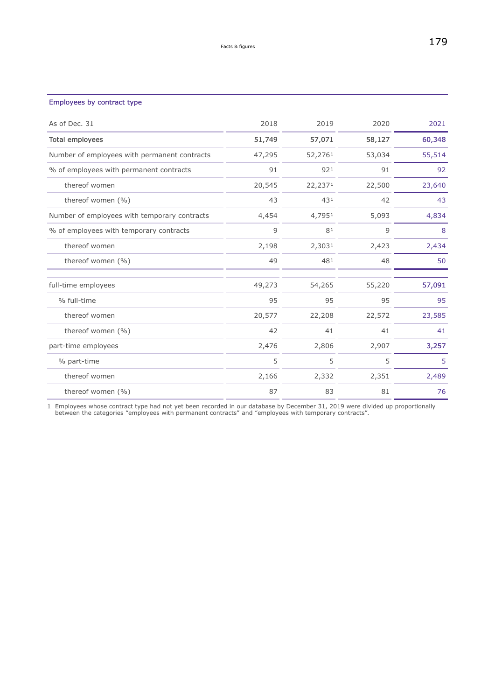## Employees by contract type

| As of Dec. 31                                | 2018   | 2019    | 2020   | 2021   |
|----------------------------------------------|--------|---------|--------|--------|
| Total employees                              | 51,749 | 57,071  | 58,127 | 60,348 |
| Number of employees with permanent contracts | 47,295 | 52,2761 | 53,034 | 55,514 |
| % of employees with permanent contracts      | 91     | 921     | 91     | 92     |
| thereof women                                | 20,545 | 22,2371 | 22,500 | 23,640 |
| thereof women (%)                            | 43     | 431     | 42     | 43     |
| Number of employees with temporary contracts | 4,454  | 4,7951  | 5,093  | 4,834  |
| % of employees with temporary contracts      | 9      | 81      | 9      | 8      |
| thereof women                                | 2,198  | 2,3031  | 2,423  | 2,434  |
| thereof women (%)                            | 49     | 481     | 48     | 50     |
| full-time employees                          | 49,273 | 54,265  | 55,220 | 57,091 |
| % full-time                                  | 95     | 95      | 95     | 95     |
| thereof women                                | 20,577 | 22,208  | 22,572 | 23,585 |
| thereof women (%)                            | 42     | 41      | 41     | 41     |
| part-time employees                          | 2,476  | 2,806   | 2,907  | 3,257  |
| % part-time                                  | 5      | 5       | 5      | 5      |
| thereof women                                | 2,166  | 2,332   | 2,351  | 2,489  |
| thereof women (%)                            | 87     | 83      | 81     | 76     |

1 Employees whose contract type had not yet been recorded in our database by December 31, 2019 were divided up proportionally between the categories "employees with permanent contracts" and "employees with temporary contracts".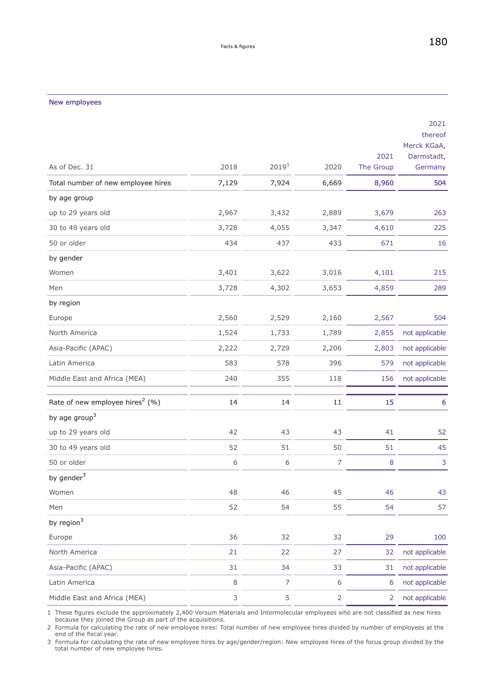# As of Dec. 31 2018 2018 2019<sup>1</sup> 2020 2021 The Group 2021 thereof Merck KGaA, Darmstadt, Germany Total number of new employee hires 7,129 7,924 6,669 8,960 504 by age group up to 29 years old 2,967 3,432 2,889 3,679 263 30 to 49 years old 3,728 4,055 3,347 4,610 225 50 or older 434 437 433 671 16 by gender Women 3,401 3,622 3,016 4,101 215 Men 3,728 4,302 3,653 4,859 289 by region Europe 2,560 2,529 2,160 2,567 504 North America 1,524 1,733 1,789 2,855 not applicable Asia-Pacific (APAC) 2,222 2,729 2,206 2,803 not applicable Latin America **583** 578 396 579 not applicable Middle East and Africa (MEA) 240 355 118 156 not applicable Rate of new employee hires<sup>2</sup> (%) (%) 14 14 11 15 6 by age group $3$ up to 29 years old 52 30 to 49 years old 52 51 51 50 51 45 50 or older 6 6 7 8 3 by gender<sup>3</sup> Women 48 46 45 46 43 Men 52 54 55 54 57 by region $3$ Europe 36 32 32 29 100 North America 21 22 27 32 not applicable Asia-Pacific (APAC) 31 34 33 31 not applicable Latin America 8 7 6 6 not applicable Middle East and Africa (MEA) 3 5 2 2 not applicable

<span id="page-15-0"></span>New employees

1 These figures exclude the approximately 2,400 Versum Materials and Intermolecular employees who are not classified as new hires because they joined the Group as part of the acquisitions.

2 Formula for calculating the rate of new employee hires: Total number of new employee hires divided by number of employees at the end of the fiscal year.

3 Formula for calculating the rate of new employee hires by age/gender/region: New employee hires of the focus group divided by the total number of new employee hires.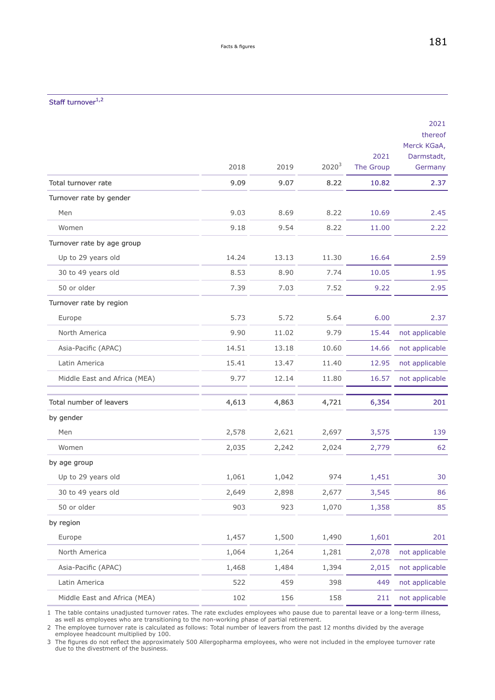# Staff turnover $^{1,2}$

|                              |       |       |                   | 2021      | 2021<br>thereof<br>Merck KGaA,<br>Darmstadt, |
|------------------------------|-------|-------|-------------------|-----------|----------------------------------------------|
|                              | 2018  | 2019  | 2020 <sup>3</sup> | The Group | Germany                                      |
| Total turnover rate          | 9.09  | 9.07  | 8.22              | 10.82     | 2.37                                         |
| Turnover rate by gender      |       |       |                   |           |                                              |
| Men                          | 9.03  | 8.69  | 8.22              | 10.69     | 2.45                                         |
| Women                        | 9.18  | 9.54  | 8.22              | 11.00     | 2.22                                         |
| Turnover rate by age group   |       |       |                   |           |                                              |
| Up to 29 years old           | 14.24 | 13.13 | 11.30             | 16.64     | 2.59                                         |
| 30 to 49 years old           | 8.53  | 8.90  | 7.74              | 10.05     | 1.95                                         |
| 50 or older                  | 7.39  | 7.03  | 7.52              | 9.22      | 2.95                                         |
| Turnover rate by region      |       |       |                   |           |                                              |
| Europe                       | 5.73  | 5.72  | 5.64              | 6.00      | 2.37                                         |
| North America                | 9.90  | 11.02 | 9.79              | 15.44     | not applicable                               |
| Asia-Pacific (APAC)          | 14.51 | 13.18 | 10.60             | 14.66     | not applicable                               |
| Latin America                | 15.41 | 13.47 | 11.40             | 12.95     | not applicable                               |
| Middle East and Africa (MEA) | 9.77  | 12.14 | 11.80             | 16.57     | not applicable                               |
| Total number of leavers      | 4,613 | 4,863 | 4,721             | 6,354     | 201                                          |
| by gender                    |       |       |                   |           |                                              |
| Men                          | 2,578 | 2,621 | 2,697             | 3,575     | 139                                          |
| Women                        | 2,035 | 2,242 | 2,024             | 2,779     | 62                                           |
| by age group                 |       |       |                   |           |                                              |
| Up to 29 years old           | 1,061 | 1,042 | 974               | 1,451     | 30                                           |
| 30 to 49 years old           | 2,649 | 2,898 | 2,677             | 3,545     | 86                                           |
| 50 or older                  | 903   | 923   | 1,070             | 1,358     | 85                                           |
| by region                    |       |       |                   |           |                                              |
| Europe                       | 1,457 | 1,500 | 1,490             | 1,601     | 201                                          |
| North America                | 1,064 | 1,264 | 1,281             | 2,078     | not applicable                               |
| Asia-Pacific (APAC)          | 1,468 | 1,484 | 1,394             | 2,015     | not applicable                               |
| Latin America                | 522   | 459   | 398               | 449       | not applicable                               |
| Middle East and Africa (MEA) | 102   | 156   | 158               | 211       | not applicable                               |

1 The table contains unadjusted turnover rates. The rate excludes employees who pause due to parental leave or a long-term illness, as well as employees who are transitioning to the non-working phase of partial retirement.

2 The employee turnover rate is calculated as follows: Total number of leavers from the past 12 months divided by the average employee headcount multiplied by 100.

3 The figures do not reflect the approximately 500 Allergopharma employees, who were not included in the employee turnover rate due to the divestment of the business.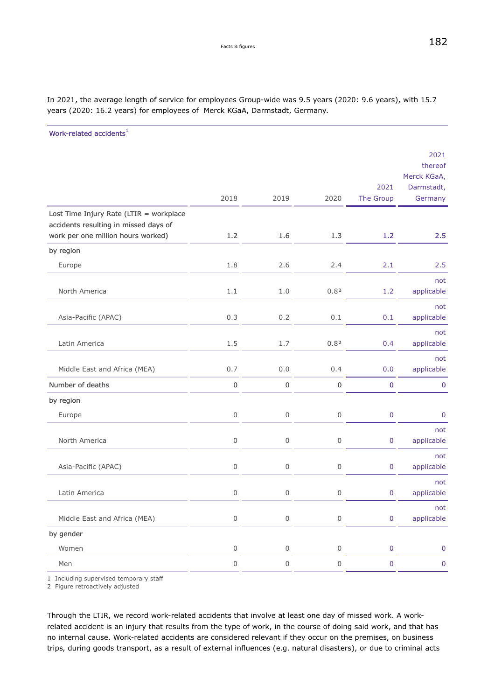|                                                                                  |                     |                     |                     |                   | 2021<br>thereof                      |
|----------------------------------------------------------------------------------|---------------------|---------------------|---------------------|-------------------|--------------------------------------|
|                                                                                  | 2018                | 2019                | 2020                | 2021<br>The Group | Merck KGaA,<br>Darmstadt,<br>Germany |
| Lost Time Injury Rate (LTIR = workplace<br>accidents resulting in missed days of |                     |                     |                     |                   |                                      |
| work per one million hours worked)                                               | 1.2                 | 1.6                 | 1.3                 | 1.2               | 2.5                                  |
| by region                                                                        |                     |                     |                     |                   |                                      |
| Europe                                                                           | 1.8                 | 2.6                 | 2.4                 | 2.1               | 2.5                                  |
| North America                                                                    | 1.1                 | 1.0                 | 0.82                | 1.2               | not<br>applicable                    |
| Asia-Pacific (APAC)                                                              | 0.3                 | 0.2                 | 0.1                 | 0.1               | not<br>applicable                    |
| Latin America                                                                    | 1.5                 | 1.7                 | 0.82                | 0.4               | not<br>applicable                    |
| Middle East and Africa (MEA)                                                     | 0.7                 | 0.0                 | 0.4                 | 0.0               | not<br>applicable                    |
| Number of deaths                                                                 | 0                   | $\pmb{0}$           | $\pmb{0}$           | $\pmb{0}$         | $\bf 0$                              |
| by region                                                                        |                     |                     |                     |                   |                                      |
| Europe                                                                           | 0                   | $\mathsf 0$         | $\,0\,$             | 0                 | $\pmb{0}$                            |
| North America                                                                    | 0                   | 0                   | 0                   | 0                 | not<br>applicable                    |
| Asia-Pacific (APAC)                                                              | 0                   | $\mathsf 0$         | $\mathsf{O}\xspace$ | $\pmb{0}$         | not<br>applicable                    |
| Latin America                                                                    | 0                   | 0                   | 0                   | 0                 | not<br>applicable                    |
| Middle East and Africa (MEA)                                                     | $\mathsf{O}$        | $\mathsf{O}\xspace$ | $\mathsf{O}$        | $\pmb{0}$         | not<br>applicable                    |
| by gender                                                                        |                     |                     |                     |                   |                                      |
| Women                                                                            | $\mathsf{O}\xspace$ | $\mathsf{O}$        | $\mathsf{O}\xspace$ | $\pmb{0}$         | $\pmb{0}$                            |
| Men                                                                              | 0                   | $\mathsf{O}$        | $\mathsf{O}$        | $\pmb{0}$         | $\pmb{0}$                            |
|                                                                                  |                     |                     |                     |                   |                                      |

In 2021, the average length of service for employees Group-wide was 9.5 years (2020: 9.6 years), with 15.7 years (2020: 16.2 years) for employees of Merck KGaA, Darmstadt, Germany.

Work-related accidents<sup>1</sup>

1 Including supervised temporary staff

2 Figure retroactively adjusted

Through the LTIR, we record work-related accidents that involve at least one day of missed work. A workrelated accident is an injury that results from the type of work, in the course of doing said work, and that has no internal cause. Work-related accidents are considered relevant if they occur on the premises, on business trips, during goods transport, as a result of external influences (e.g. natural disasters), or due to criminal acts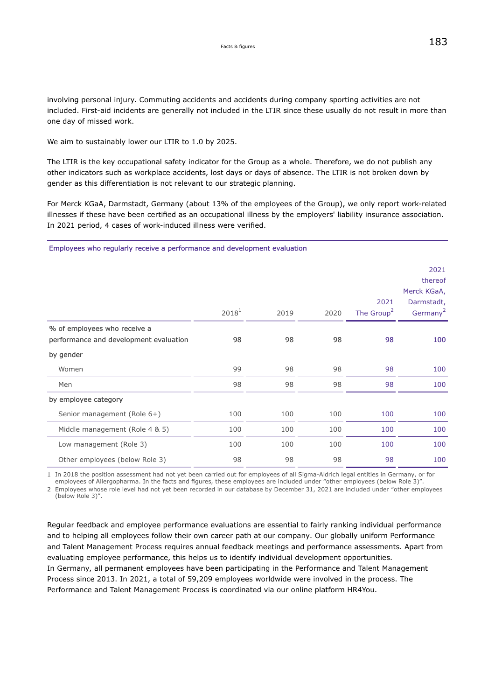<span id="page-18-0"></span>involving personal injury. Commuting accidents and accidents during company sporting activities are not included. First-aid incidents are generally not included in the LTIR since these usually do not result in more than one day of missed work.

We aim to sustainably lower our LTIR to 1.0 by 2025.

The LTIR is the key occupational safety indicator for the Group as a whole. Therefore, we do not publish any other indicators such as workplace accidents, lost days or days of absence. The LTIR is not broken down by gender as this differentiation is not relevant to our strategic planning.

For Merck KGaA, Darmstadt, Germany (about 13% of the employees of the Group), we only report work-related illnesses if these have been certified as an occupational illness by the employers' liability insurance association. In 2021 period, 4 cases of work-induced illness were verified.

### Employees who regularly receive a performance and development evaluation

|                                                                        | $2018^1$ | 2019 | 2020 | 2021<br>The Group <sup>2</sup> | 2021<br>thereof<br>Merck KGaA,<br>Darmstadt,<br>Germany <sup>2</sup> |
|------------------------------------------------------------------------|----------|------|------|--------------------------------|----------------------------------------------------------------------|
| % of employees who receive a<br>performance and development evaluation | 98       | 98   | 98   | 98                             | 100                                                                  |
| by gender                                                              |          |      |      |                                |                                                                      |
| Women                                                                  | 99       | 98   | 98   | 98                             | 100                                                                  |
| Men                                                                    | 98       | 98   | 98   | 98                             | 100                                                                  |
| by employee category                                                   |          |      |      |                                |                                                                      |
| Senior management (Role 6+)                                            | 100      | 100  | 100  | 100                            | 100                                                                  |
| Middle management (Role 4 & 5)                                         | 100      | 100  | 100  | 100                            | 100                                                                  |
| Low management (Role 3)                                                | 100      | 100  | 100  | 100                            | 100                                                                  |
| Other employees (below Role 3)                                         | 98       | 98   | 98   | 98                             | 100                                                                  |

1 In 2018 the position assessment had not yet been carried out for employees of all Sigma-Aldrich legal entities in Germany, or for

employees of Allergopharma. In the facts and figures, these employees are included under "other employees (below Role 3)". 2 Employees whose role level had not yet been recorded in our database by December 31, 2021 are included under "other employees (below Role 3)".

Regular feedback and employee performance evaluations are essential to fairly ranking individual performance and to helping all employees follow their own career path at our company. Our globally uniform Performance and Talent Management Process requires annual feedback meetings and performance assessments. Apart from evaluating employee performance, this helps us to identify individual development opportunities. In Germany, all permanent employees have been participating in the Performance and Talent Management Process since 2013. In 2021, a total of 59,209 employees worldwide were involved in the process. The Performance and Talent Management Process is coordinated via our online platform HR4You.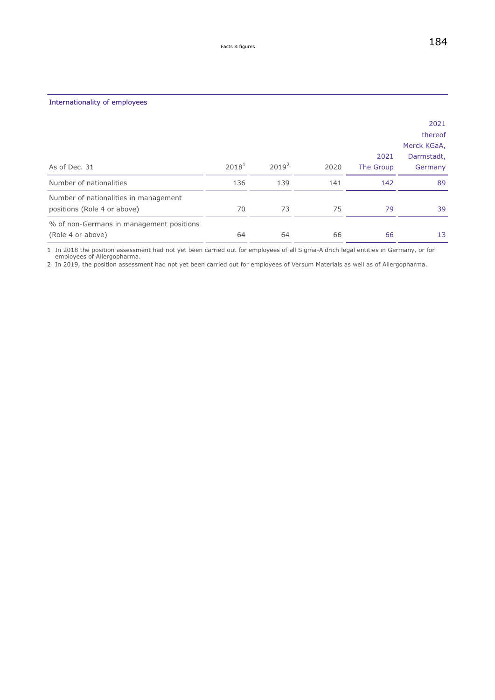| As of Dec. 31                                                        | $2018^1$ | $2019^2$ | 2020 | 2021<br>The Group | 2021<br>thereof<br>Merck KGaA,<br>Darmstadt,<br>Germany |
|----------------------------------------------------------------------|----------|----------|------|-------------------|---------------------------------------------------------|
| Number of nationalities                                              | 136      | 139      | 141  | 142               | 89                                                      |
| Number of nationalities in management<br>positions (Role 4 or above) | 70       | 73       | 75   | 79                | 39                                                      |
| % of non-Germans in management positions<br>(Role 4 or above)        | 64       | 64       | 66   | 66                | 13                                                      |

1 In 2018 the position assessment had not yet been carried out for employees of all Sigma-Aldrich legal entities in Germany, or for employees of Allergopharma.

2 In 2019, the position assessment had not yet been carried out for employees of Versum Materials as well as of Allergopharma.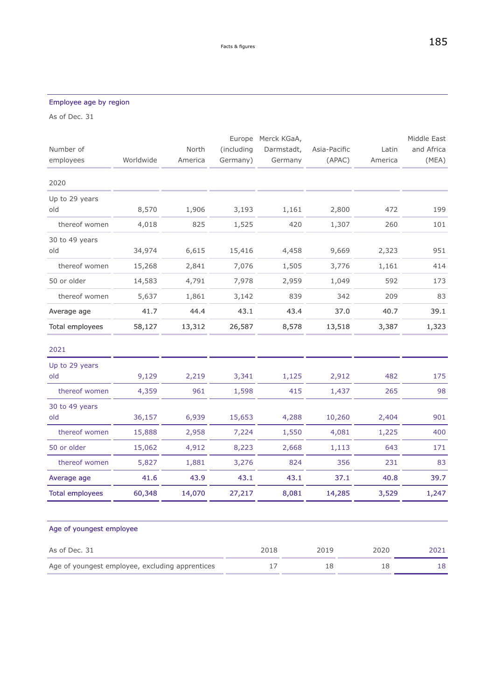# Employee age by region

As of Dec. 31

|                                                 |           |         |            | Europe Merck KGaA, |              |         | Middle East |
|-------------------------------------------------|-----------|---------|------------|--------------------|--------------|---------|-------------|
| Number of                                       |           | North   | (including | Darmstadt,         | Asia-Pacific | Latin   | and Africa  |
| employees                                       | Worldwide | America | Germany)   | Germany            | (APAC)       | America | (MEA)       |
| 2020                                            |           |         |            |                    |              |         |             |
| Up to 29 years                                  |           |         |            |                    |              |         |             |
| old                                             | 8,570     | 1,906   | 3,193      | 1,161              | 2,800        | 472     | 199         |
| thereof women                                   | 4,018     | 825     | 1,525      | 420                | 1,307        | 260     | 101         |
| 30 to 49 years                                  |           |         |            |                    |              |         |             |
| old                                             | 34,974    | 6,615   | 15,416     | 4,458              | 9,669        | 2,323   | 951         |
| thereof women                                   | 15,268    | 2,841   | 7,076      | 1,505              | 3,776        | 1,161   | 414         |
| 50 or older                                     | 14,583    | 4,791   | 7,978      | 2,959              | 1,049        | 592     | 173         |
| thereof women                                   | 5,637     | 1,861   | 3,142      | 839                | 342          | 209     | 83          |
| Average age                                     | 41.7      | 44.4    | 43.1       | 43.4               | 37.0         | 40.7    | 39.1        |
| <b>Total employees</b>                          | 58,127    | 13,312  | 26,587     | 8,578              | 13,518       | 3,387   | 1,323       |
| 2021                                            |           |         |            |                    |              |         |             |
| Up to 29 years                                  |           |         |            |                    |              |         |             |
| old                                             | 9,129     | 2,219   | 3,341      | 1,125              | 2,912        | 482     | 175         |
| thereof women                                   | 4,359     | 961     | 1,598      | 415                | 1,437        | 265     | 98          |
| 30 to 49 years                                  |           |         |            |                    |              |         |             |
| old                                             | 36,157    | 6,939   | 15,653     | 4,288              | 10,260       | 2,404   | 901         |
| thereof women                                   | 15,888    | 2,958   | 7,224      | 1,550              | 4,081        | 1,225   | 400         |
| 50 or older                                     | 15,062    | 4,912   | 8,223      | 2,668              | 1,113        | 643     | 171         |
| thereof women                                   | 5,827     | 1,881   | 3,276      | 824                | 356          | 231     | 83          |
| Average age                                     | 41.6      | 43.9    | 43.1       | 43.1               | 37.1         | 40.8    | 39.7        |
| <b>Total employees</b>                          | 60,348    | 14,070  | 27,217     | 8,081              | 14,285       | 3,529   | 1,247       |
|                                                 |           |         |            |                    |              |         |             |
| Age of youngest employee                        |           |         |            |                    |              |         |             |
| As of Dec. 31                                   |           |         |            | 2018               | 2019         | 2020    | 2021        |
| Age of youngest employee, excluding apprentices |           |         |            | 17                 | 18           | 18      | 18          |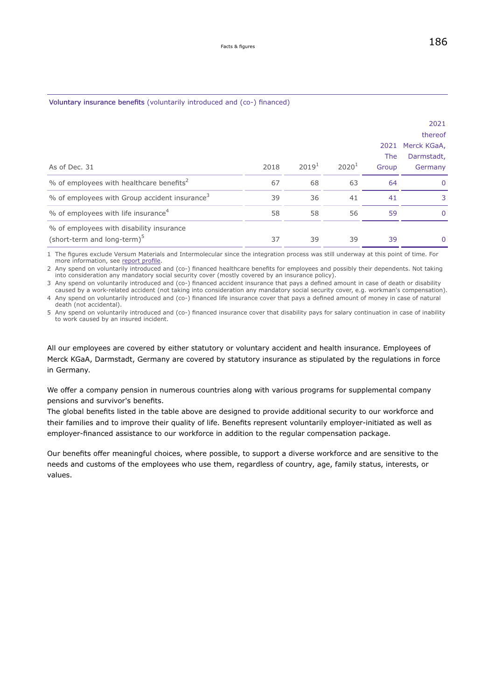## Voluntary insurance benefits (voluntarily introduced and (co-) financed)

|                                                                                     |      |                   |          | 2021<br><b>The</b> | 2021<br>thereof<br>Merck KGaA,<br>Darmstadt, |
|-------------------------------------------------------------------------------------|------|-------------------|----------|--------------------|----------------------------------------------|
| As of Dec. 31                                                                       | 2018 | 2019 <sup>1</sup> | $2020^1$ | Group              | Germany                                      |
| % of employees with healthcare benefits <sup>2</sup>                                | 67   | 68                | 63       | 64                 | $\Omega$                                     |
| % of employees with Group accident insurance <sup>3</sup>                           | 39   | 36                | 41       | 41                 | 3                                            |
| $%$ of employees with life insurance <sup>4</sup>                                   | 58   | 58                | 56       | 59                 | $\Omega$                                     |
| % of employees with disability insurance<br>(short-term and long-term) <sup>5</sup> | 37   | 39                | 39       | 39                 | 0                                            |

1 The figures exclude Versum Materials and Intermolecular since the integration process was still underway at this point of time. For more information, see [report profile.](#page-165-0)

2 Any spend on voluntarily introduced and (co-) financed healthcare benefits for employees and possibly their dependents. Not taking into consideration any mandatory social security cover (mostly covered by an insurance policy).

3 Any spend on voluntarily introduced and (co-) financed accident insurance that pays a defined amount in case of death or disability caused by a work-related accident (not taking into consideration any mandatory social security cover, e.g. workman's compensation).

4 Any spend on voluntarily introduced and (co-) financed life insurance cover that pays a defined amount of money in case of natural death (not accidental).

5 Any spend on voluntarily introduced and (co-) financed insurance cover that disability pays for salary continuation in case of inability to work caused by an insured incident.

All our employees are covered by either statutory or voluntary accident and health insurance. Employees of Merck KGaA, Darmstadt, Germany are covered by statutory insurance as stipulated by the regulations in force in Germany.

We offer a company pension in numerous countries along with various programs for supplemental company pensions and survivor's benefits.

The global benefits listed in the table above are designed to provide additional security to our workforce and their families and to improve their quality of life. Benefits represent voluntarily employer-initiated as well as employer-financed assistance to our workforce in addition to the regular compensation package.

Our benefits offer meaningful choices, where possible, to support a diverse workforce and are sensitive to the needs and customs of the employees who use them, regardless of country, age, family status, interests, or values.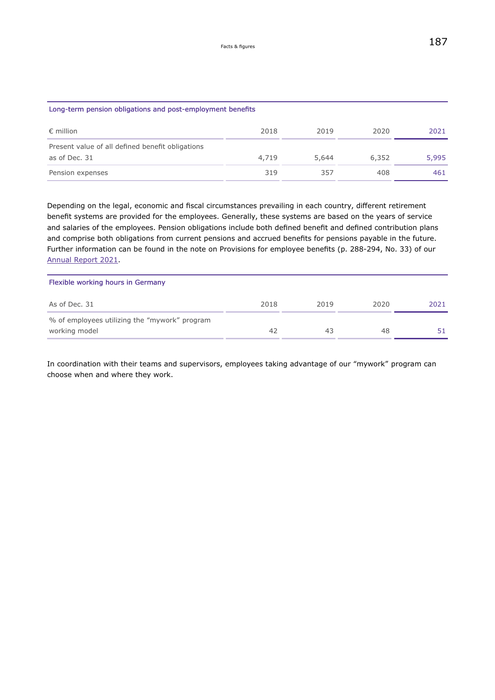<span id="page-22-0"></span>

| Long-term pension obligations and post-employment benefits        |       |       |       |       |  |
|-------------------------------------------------------------------|-------|-------|-------|-------|--|
| $\epsilon$ million                                                | 2018  | 2019  | 2020  | 2021  |  |
| Present value of all defined benefit obligations<br>as of Dec. 31 | 4,719 | 5,644 | 6,352 | 5,995 |  |
| Pension expenses                                                  | 319   | 357   | 408   | 461   |  |

Depending on the legal, economic and fiscal circumstances prevailing in each country, different retirement benefit systems are provided for the employees. Generally, these systems are based on the years of service and salaries of the employees. Pension obligations include both defined benefit and defined contribution plans and comprise both obligations from current pensions and accrued benefits for pensions payable in the future. Further information can be found in the note on Provisions for employee benefits (p. 288-294, No. 33) of our [Annual Report 2021.](https://www.emdgroup.com/investors/reports-and-financials/earnings-materials/2021-q4/en/2021-Q4-Report-EN.pdf)

| Flexible working hours in Germany                              |      |      |      |      |
|----------------------------------------------------------------|------|------|------|------|
| As of Dec. 31                                                  | 2018 | 2019 | 2020 | 2021 |
| % of employees utilizing the "mywork" program<br>working model | 42   | 43   | 48   |      |

In coordination with their teams and supervisors, employees taking advantage of our "mywork" program can choose when and where they work.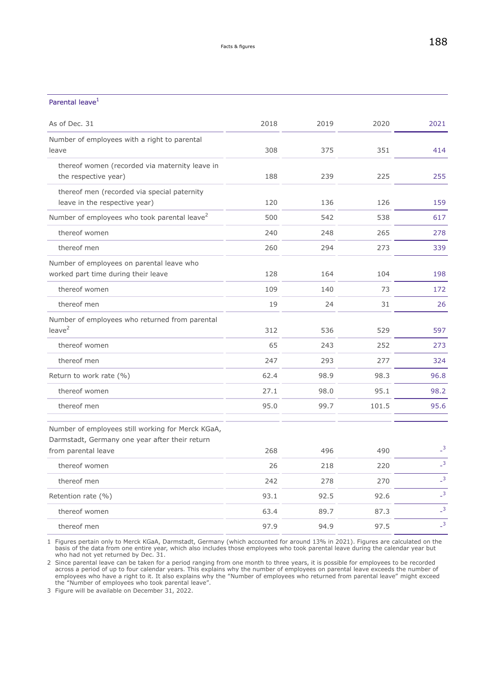## Parental leave<sup>1</sup>

| As of Dec. 31                                                                                       | 2018 | 2019 | 2020  | 2021                       |
|-----------------------------------------------------------------------------------------------------|------|------|-------|----------------------------|
| Number of employees with a right to parental<br>leave                                               | 308  | 375  | 351   | 414                        |
| thereof women (recorded via maternity leave in                                                      |      |      |       |                            |
| the respective year)                                                                                | 188  | 239  | 225   | 255                        |
| thereof men (recorded via special paternity<br>leave in the respective year)                        | 120  | 136  | 126   | 159                        |
| Number of employees who took parental leave <sup>2</sup>                                            | 500  | 542  | 538   | 617                        |
| thereof women                                                                                       | 240  | 248  | 265   | 278                        |
| thereof men                                                                                         | 260  | 294  | 273   | 339                        |
| Number of employees on parental leave who                                                           |      |      |       |                            |
| worked part time during their leave                                                                 | 128  | 164  | 104   | 198                        |
| thereof women                                                                                       | 109  | 140  | 73    | 172                        |
| thereof men                                                                                         | 19   | 24   | 31    | 26                         |
| Number of employees who returned from parental<br>leave <sup>2</sup>                                |      |      |       |                            |
|                                                                                                     | 312  | 536  | 529   | 597                        |
| thereof women                                                                                       | 65   | 243  | 252   | 273                        |
| thereof men                                                                                         | 247  | 293  | 277   | 324                        |
| Return to work rate (%)                                                                             | 62.4 | 98.9 | 98.3  | 96.8                       |
| thereof women                                                                                       | 27.1 | 98.0 | 95.1  | 98.2                       |
| thereof men                                                                                         | 95.0 | 99.7 | 101.5 | 95.6                       |
| Number of employees still working for Merck KGaA,<br>Darmstadt, Germany one year after their return |      |      |       |                            |
| from parental leave                                                                                 | 268  | 496  | 490   | $\overline{\phantom{0}}^3$ |
| thereof women                                                                                       | 26   | 218  | 220   | $\overline{\phantom{0}}^3$ |
| thereof men                                                                                         | 242  | 278  | 270   | $\mathsf{L}^3$             |
| Retention rate (%)                                                                                  | 93.1 | 92.5 | 92.6  | $\overline{3}$             |
| thereof women                                                                                       | 63.4 | 89.7 | 87.3  | $\overline{3}$             |
| thereof men                                                                                         | 97.9 | 94.9 | 97.5  | $\overline{\phantom{0}}^3$ |
|                                                                                                     |      |      |       |                            |

1 Figures pertain only to Merck KGaA, Darmstadt, Germany (which accounted for around 13% in 2021). Figures are calculated on the basis of the data from one entire year, which also includes those employees who took parental leave during the calendar year but who had not yet returned by Dec. 31.

2 Since parental leave can be taken for a period ranging from one month to three years, it is possible for employees to be recorded across a period of up to four calendar years. This explains why the number of employees on parental leave exceeds the number of employees who have a right to it. It also explains why the "Number of employees who returned from parental leave" might exceed the "Number of employees who took parental leave".

3 Figure will be available on December 31, 2022.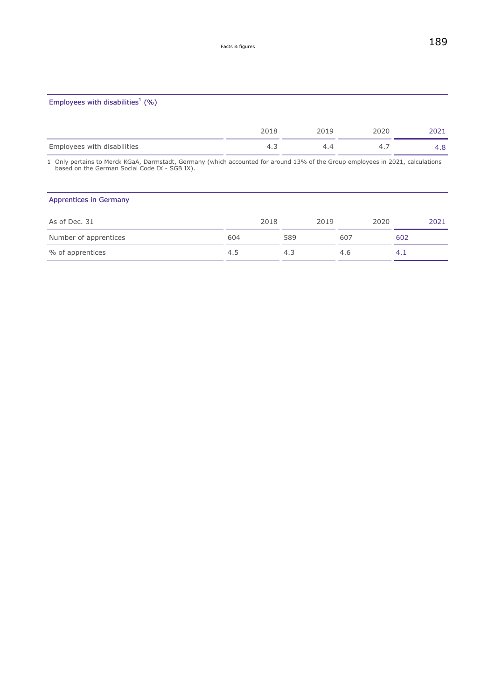## Employees with disabilities<sup>1</sup> (%)

|                             | 2018 |    | ລ0ລ0 |   |
|-----------------------------|------|----|------|---|
| Employees with disabilities |      | 44 |      | U |

1 Only pertains to Merck KGaA, Darmstadt, Germany (which accounted for around 13% of the Group employees in 2021, calculations based on the German Social Code IX - SGB IX).

## Apprentices in Germany

| As of Dec. 31         | 2018 | 2019 |     | 2020   | 2021 |
|-----------------------|------|------|-----|--------|------|
| Number of apprentices | 604  | 589  | 607 | 602    |      |
| % of apprentices      | 4.5  | 4.3  | 4.6 | $-4.1$ |      |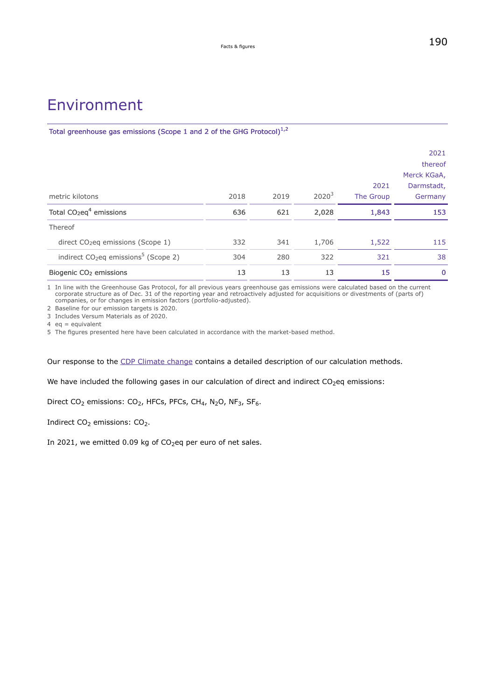# Environment

Total greenhouse gas emissions (Scope 1 and 2 of the GHG Protocol) $^{1,2}$ 

| metric kilotons                                              | 2018 | 2019 | $2020^3$ | 2021<br>The Group | 2021<br>thereof<br>Merck KGaA,<br>Darmstadt,<br>Germany |
|--------------------------------------------------------------|------|------|----------|-------------------|---------------------------------------------------------|
| Total $CO2eq4$ emissions                                     | 636  | 621  | 2,028    | 1,843             | 153                                                     |
| Thereof                                                      |      |      |          |                   |                                                         |
| direct $CO2$ eq emissions (Scope 1)                          | 332  | 341  | 1,706    | 1,522             | 115                                                     |
| indirect CO <sub>2</sub> eq emissions <sup>5</sup> (Scope 2) | 304  | 280  | 322      | 321               | 38                                                      |
| Biogenic CO <sub>2</sub> emissions                           | 13   | 13   | 13       | 15                | $\mathbf 0$                                             |

1 In line with the Greenhouse Gas Protocol, for all previous years greenhouse gas emissions were calculated based on the current corporate structure as of Dec. 31 of the reporting year and retroactively adjusted for acquisitions or divestments of (parts of) companies, or for changes in emission factors (portfolio-adjusted).

2 Baseline for our emission targets is 2020.

3 Includes Versum Materials as of 2020.

 $4$  eq = equivalent

5 The figures presented here have been calculated in accordance with the market-based method.

Our response to the [CDP Climate change](https://www.emdgroup.com/company/responsibility/en/regulations-and-guidelines/programme-response-climate-change.pdf) contains a detailed description of our calculation methods.

We have included the following gases in our calculation of direct and indirect  $CO<sub>2</sub>$ eq emissions:

Direct CO<sub>2</sub> emissions: CO<sub>2</sub>, HFCs, PFCs, CH<sub>4</sub>, N<sub>2</sub>O, NF<sub>3</sub>, SF<sub>6</sub>.

Indirect CO<sub>2</sub> emissions: CO<sub>2</sub>.

In 2021, we emitted 0.09 kg of  $CO<sub>2</sub>$ eq per euro of net sales.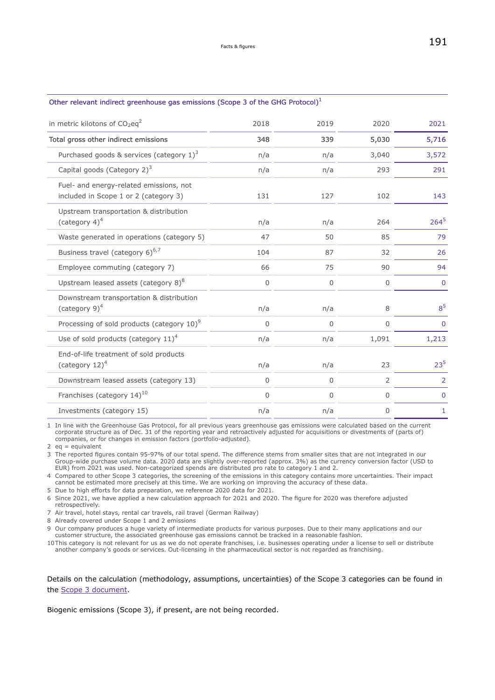<span id="page-26-0"></span>

| Other relevant indirect greenhouse gas emissions (Scope 3 of the GHG Protocol) <sup>1</sup> |             |      |              |              |
|---------------------------------------------------------------------------------------------|-------------|------|--------------|--------------|
| in metric kilotons of $CO_2$ eq <sup>2</sup>                                                | 2018        | 2019 | 2020         | 2021         |
| Total gross other indirect emissions                                                        | 348         | 339  | 5,030        | 5,716        |
| Purchased goods & services (category $1)^3$                                                 | n/a         | n/a  | 3,040        | 3,572        |
| Capital goods (Category 2) <sup>3</sup>                                                     | n/a         | n/a  | 293          | 291          |
| Fuel- and energy-related emissions, not<br>included in Scope 1 or 2 (category 3)            | 131         | 127  | 102          | 143          |
| Upstream transportation & distribution<br>(category $4)^4$                                  | n/a         | n/a  | 264          | $264^5$      |
| Waste generated in operations (category 5)                                                  | 47          | 50   | 85           | 79           |
| Business travel (category 6) <sup>6,7</sup>                                                 | 104         | 87   | 32           | 26           |
| Employee commuting (category 7)                                                             | 66          | 75   | 90           | 94           |
| Upstream leased assets (category $8)^8$                                                     | $\mathbf 0$ | 0    | $\mathbf{0}$ | $\mathbf 0$  |
| Downstream transportation & distribution<br>(category $9)^4$                                | n/a         | n/a  | 8            | $8^5$        |
| Processing of sold products (category $10$ ) <sup>9</sup>                                   | 0           | 0    | $\Omega$     | $\Omega$     |
| Use of sold products (category $11)^4$                                                      | n/a         | n/a  | 1,091        | 1,213        |
| End-of-life treatment of sold products<br>(category $12)^4$                                 | n/a         | n/a  | 23           | $23^{5}$     |
| Downstream leased assets (category 13)                                                      | $\mathbf 0$ | 0    | 2            | 2            |
| Franchises (category 14) <sup>10</sup>                                                      | $\mathbf 0$ | 0    | $\mathbf{0}$ | $\mathbf 0$  |
| Investments (category 15)                                                                   | n/a         | n/a  | 0            | $\mathbf{1}$ |

1 In line with the Greenhouse Gas Protocol, for all previous years greenhouse gas emissions were calculated based on the current corporate structure as of Dec. 31 of the reporting year and retroactively adjusted for acquisitions or divestments of (parts of) companies, or for changes in emission factors (portfolio-adjusted).

2  $eq =$  equivalent

3 The reported figures contain 95-97% of our total spend. The difference stems from smaller sites that are not integrated in our Group-wide purchase volume data. 2020 data are slightly over-reported (approx. 3%) as the currency conversion factor (USD to EUR) from 2021 was used. Non-categorized spends are distributed pro rate to category 1 and 2.

4 Compared to other Scope 3 categories, the screening of the emissions in this category contains more uncertainties. Their impact cannot be estimated more precisely at this time. We are working on improving the accuracy of these data.

5 Due to high efforts for data preparation, we reference 2020 data for 2021.

6 Since 2021, we have applied a new calculation approach for 2021 and 2020. The figure for 2020 was therefore adjusted retrospectively.

7 Air travel, hotel stays, rental car travels, rail travel (German Railway)

8 Already covered under Scope 1 and 2 emissions

9 Our company produces a huge variety of intermediate products for various purposes. Due to their many applications and our customer structure, the associated greenhouse gas emissions cannot be tracked in a reasonable fashion.

10This category is not relevant for us as we do not operate franchises, i.e. businesses operating under a license to sell or distribute another company's goods or services. Out-licensing in the pharmaceutical sector is not regarded as franchising.

Details on the calculation (methodology, assumptions, uncertainties) of the Scope 3 categories can be found in the [Scope 3 document.](https://www.emdgroup.com/company/responsibility/en/regulations-and-guidelines/Scope-3-Emissions-EN.pdf)

Biogenic emissions (Scope 3), if present, are not being recorded.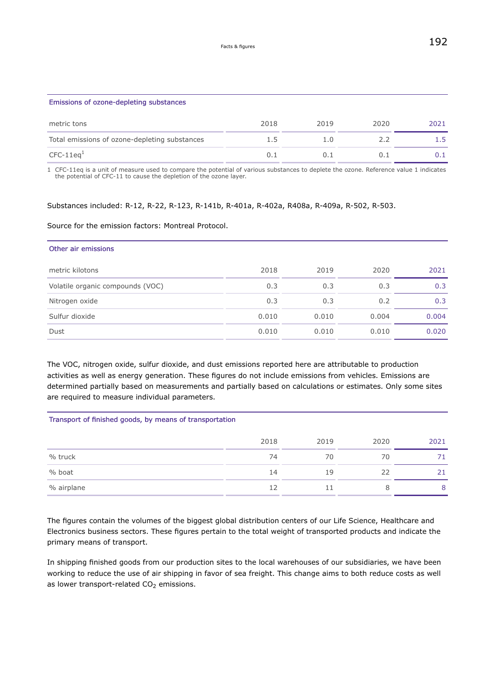| Emissions of ozone-depleting substances       |      |      |      |      |
|-----------------------------------------------|------|------|------|------|
| metric tons                                   | 2018 | 2019 | 2020 | 2021 |
| Total emissions of ozone-depleting substances | 1.5  | 1.0  | 2.2  | 1.5  |
| $CFC-11eq1$                                   | 0.1  | 0.1  |      | 0.1  |

1 CFC-11eq is a unit of measure used to compare the potential of various substances to deplete the ozone. Reference value 1 indicates the potential of CFC-11 to cause the depletion of the ozone layer.

## Substances included: R-12, R-22, R-123, R-141b, R-401a, R-402a, R408a, R-409a, R-502, R-503.

### Source for the emission factors: Montreal Protocol.

| 2018  | 2019  | 2020  | 2021  |
|-------|-------|-------|-------|
| 0.3   | 0.3   | 0.3   | 0.3   |
| 0.3   | 0.3   | 0.2   | 0.3   |
| 0.010 | 0.010 | 0.004 | 0.004 |
| 0.010 | 0.010 | 0.010 | 0.020 |
|       |       |       |       |

The VOC, nitrogen oxide, sulfur dioxide, and dust emissions reported here are attributable to production activities as well as energy generation. These figures do not include emissions from vehicles. Emissions are determined partially based on measurements and partially based on calculations or estimates. Only some sites are required to measure individual parameters.

## Transport of finished goods, by means of transportation

|            | 2018 | 2019 | 2020 | 2021 |
|------------|------|------|------|------|
| % truck    | 74   | 70   | 70   |      |
| % boat     | 14   | 19   | 22   | 21   |
| % airplane | 12   | 11   | 8    | 8    |

The figures contain the volumes of the biggest global distribution centers of our Life Science, Healthcare and Electronics business sectors. These figures pertain to the total weight of transported products and indicate the primary means of transport.

In shipping finished goods from our production sites to the local warehouses of our subsidiaries, we have been working to reduce the use of air shipping in favor of sea freight. This change aims to both reduce costs as well as lower transport-related  $CO<sub>2</sub>$  emissions.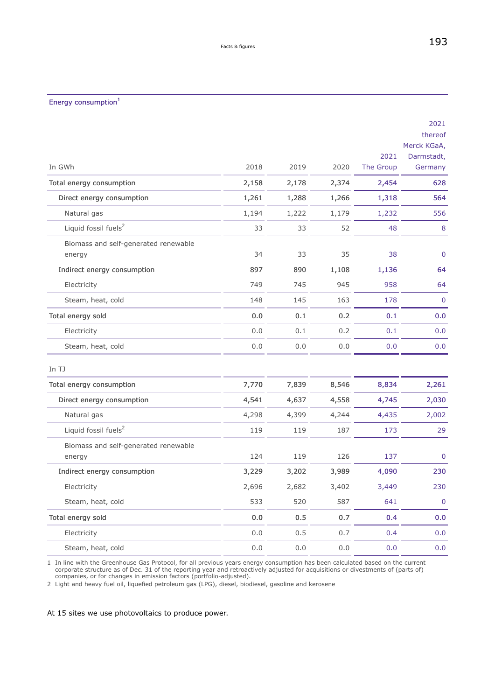# <span id="page-28-0"></span>Energy consumption<sup>1</sup>

|                                                |         |       |       | 2021      | 2021<br>thereof<br>Merck KGaA,<br>Darmstadt, |
|------------------------------------------------|---------|-------|-------|-----------|----------------------------------------------|
| In GWh                                         | 2018    | 2019  | 2020  | The Group | Germany                                      |
| Total energy consumption                       | 2,158   | 2,178 | 2,374 | 2,454     | 628                                          |
| Direct energy consumption                      | 1,261   | 1,288 | 1,266 | 1,318     | 564                                          |
| Natural gas                                    | 1,194   | 1,222 | 1,179 | 1,232     | 556                                          |
| Liquid fossil fuels <sup>2</sup>               | 33      | 33    | 52    | 48        | 8                                            |
| Biomass and self-generated renewable<br>energy | 34      | 33    | 35    | 38        | $\mathbf 0$                                  |
| Indirect energy consumption                    | 897     | 890   | 1,108 | 1,136     | 64                                           |
| Electricity                                    | 749     | 745   | 945   | 958       | 64                                           |
| Steam, heat, cold                              | 148     | 145   | 163   | 178       | $\mathbf 0$                                  |
| Total energy sold                              | 0.0     | 0.1   | 0.2   | 0.1       | 0.0                                          |
| Electricity                                    | 0.0     | 0.1   | 0.2   | 0.1       | 0.0                                          |
| Steam, heat, cold                              | 0.0     | 0.0   | 0.0   | 0.0       | 0.0                                          |
| In TJ                                          |         |       |       |           |                                              |
| Total energy consumption                       | 7,770   | 7,839 | 8,546 | 8,834     | 2,261                                        |
| Direct energy consumption                      | 4,541   | 4,637 | 4,558 | 4,745     | 2,030                                        |
| Natural gas                                    | 4,298   | 4,399 | 4,244 | 4,435     | 2,002                                        |
| Liquid fossil fuels <sup>2</sup>               | 119     | 119   | 187   | 173       | 29                                           |
| Biomass and self-generated renewable<br>energy | 124     | 119   | 126   | 137       | $\mathbf 0$                                  |
| Indirect energy consumption                    | 3,229   | 3,202 | 3,989 | 4,090     | 230                                          |
| Electricity                                    | 2,696   | 2,682 | 3,402 | 3,449     | 230                                          |
| Steam, heat, cold                              | 533     | 520   | 587   | 641       | $\mathbf 0$                                  |
| Total energy sold                              | $0.0\,$ | 0.5   | 0.7   | 0.4       | 0.0                                          |
| Electricity                                    | 0.0     | 0.5   | 0.7   | 0.4       | 0.0                                          |
| Steam, heat, cold                              | 0.0     | 0.0   | 0.0   | 0.0       | 0.0                                          |

1 In line with the Greenhouse Gas Protocol, for all previous years energy consumption has been calculated based on the current corporate structure as of Dec. 31 of the reporting year and retroactively adjusted for acquisitions or divestments of (parts of) companies, or for changes in emission factors (portfolio-adjusted).

2 Light and heavy fuel oil, liquefied petroleum gas (LPG), diesel, biodiesel, gasoline and kerosene

At 15 sites we use photovoltaics to produce power.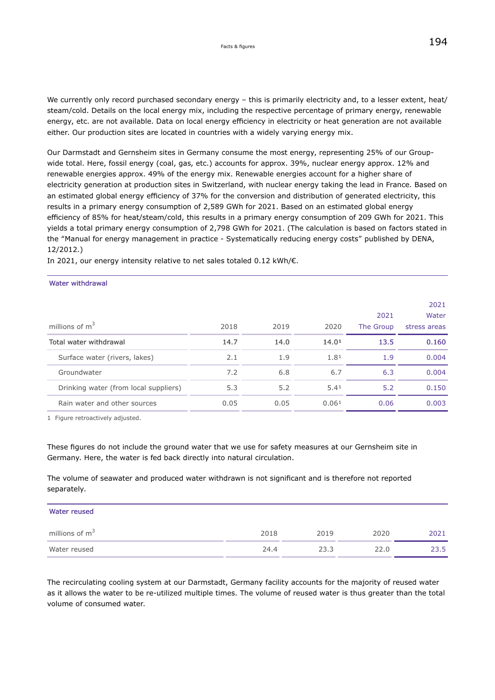We currently only record purchased secondary energy – this is primarily electricity and, to a lesser extent, heat/ steam/cold. Details on the local energy mix, including the respective percentage of primary energy, renewable energy, etc. are not available. Data on local energy efficiency in electricity or heat generation are not available either. Our production sites are located in countries with a widely varying energy mix.

Our Darmstadt and Gernsheim sites in Germany consume the most energy, representing 25% of our Groupwide total. Here, fossil energy (coal, gas, etc.) accounts for approx. 39%, nuclear energy approx. 12% and renewable energies approx. 49% of the energy mix. Renewable energies account for a higher share of electricity generation at production sites in Switzerland, with nuclear energy taking the lead in France. Based on an estimated global energy efficiency of 37% for the conversion and distribution of generated electricity, this results in a primary energy consumption of 2,589 GWh for 2021. Based on an estimated global energy efficiency of 85% for heat/steam/cold, this results in a primary energy consumption of 209 GWh for 2021. This yields a total primary energy consumption of 2,798 GWh for 2021. (The calculation is based on factors stated in the "Manual for energy management in practice - Systematically reducing energy costs" published by DENA, 12/2012.)

In 2021, our energy intensity relative to net sales totaled 0.12 kWh/€.

#### Water withdrawal

|                                       |      |      |       |           | 2021         |
|---------------------------------------|------|------|-------|-----------|--------------|
|                                       |      |      |       | 2021      | Water        |
| millions of $m^3$                     | 2018 | 2019 | 2020  | The Group | stress areas |
| Total water withdrawal                | 14.7 | 14.0 | 14.01 | 13.5      | 0.160        |
| Surface water (rivers, lakes)         | 2.1  | 1.9  | 1.81  | 1.9       | 0.004        |
| Groundwater                           | 7.2  | 6.8  | 6.7   | 6.3       | 0.004        |
| Drinking water (from local suppliers) | 5.3  | 5.2  | 5.41  | 5.2       | 0.150        |
| Rain water and other sources          | 0.05 | 0.05 | 0.061 | 0.06      | 0.003        |

1 Figure retroactively adjusted.

These figures do not include the ground water that we use for safety measures at our Gernsheim site in Germany. Here, the water is fed back directly into natural circulation.

The volume of seawater and produced water withdrawn is not significant and is therefore not reported separately.

| Water reused     |      |      |      |      |
|------------------|------|------|------|------|
| millions of $m3$ | 2018 | 2019 | 2020 | 2021 |
| Water reused     | 24.4 | 23.3 | 22.0 | 23.5 |

The recirculating cooling system at our Darmstadt, Germany facility accounts for the majority of reused water as it allows the water to be re-utilized multiple times. The volume of reused water is thus greater than the total volume of consumed water.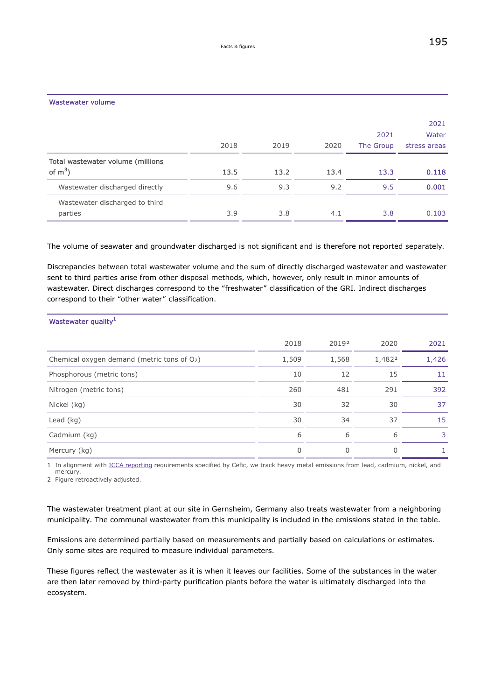|                                                 | 2018 | 2019 | 2020 | 2021<br>The Group | 2021<br>Water<br>stress areas |
|-------------------------------------------------|------|------|------|-------------------|-------------------------------|
| Total wastewater volume (millions<br>of $m^3$ ) | 13.5 | 13.2 | 13.4 | 13.3              | 0.118                         |
| Wastewater discharged directly                  | 9.6  | 9.3  | 9.2  | 9.5               | 0.001                         |
| Wastewater discharged to third<br>parties       | 3.9  | 3.8  | 4.1  | 3.8               | 0.103                         |

The volume of seawater and groundwater discharged is not significant and is therefore not reported separately.

Discrepancies between total wastewater volume and the sum of directly discharged wastewater and wastewater sent to third parties arise from other disposal methods, which, however, only result in minor amounts of wastewater. Direct discharges correspond to the "freshwater" classification of the GRI. Indirect discharges correspond to their "other water" classification.

| Wastewater quality <sup>1</sup>               |       |       |        |       |
|-----------------------------------------------|-------|-------|--------|-------|
|                                               | 2018  | 20192 | 2020   | 2021  |
| Chemical oxygen demand (metric tons of $O2$ ) | 1,509 | 1,568 | 1,4822 | 1,426 |
| Phosphorous (metric tons)                     | 10    | 12    | 15     | 11    |
| Nitrogen (metric tons)                        | 260   | 481   | 291    | 392   |
| Nickel (kg)                                   | 30    | 32    | 30     | 37    |
| Lead $(kq)$                                   | 30    | 34    | 37     | 15    |
| Cadmium (kg)                                  | 6     | 6     | 6      | 3     |
| Mercury (kg)                                  | 0     | 0     | 0      |       |

1 In alignment with [ICCA reporting](https://www.icca-chem.org/) requirements specified by Cefic, we track heavy metal emissions from lead, cadmium, nickel, and mercury.

2 Figure retroactively adjusted.

The wastewater treatment plant at our site in Gernsheim, Germany also treats wastewater from a neighboring municipality. The communal wastewater from this municipality is included in the emissions stated in the table.

Emissions are determined partially based on measurements and partially based on calculations or estimates. Only some sites are required to measure individual parameters.

These figures reflect the wastewater as it is when it leaves our facilities. Some of the substances in the water are then later removed by third-party purification plants before the water is ultimately discharged into the ecosystem.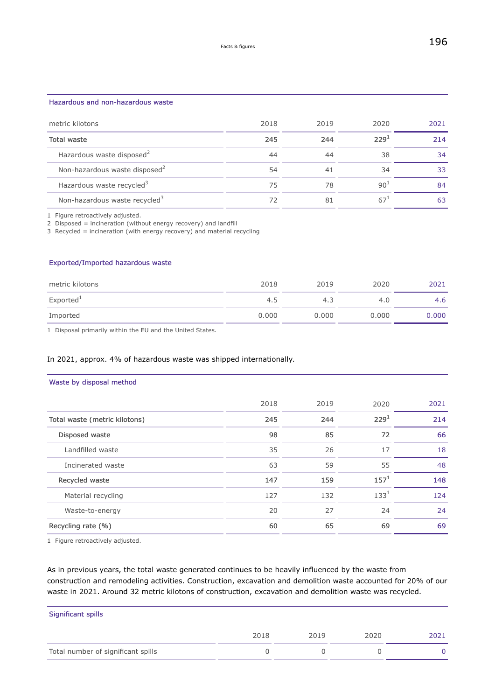### Hazardous and non-hazardous waste

| metric kilotons                           | 2018 | 2019 | 2020             | 2021 |
|-------------------------------------------|------|------|------------------|------|
| Total waste                               | 245  | 244  | 229 <sup>1</sup> | 214  |
| Hazardous waste disposed <sup>2</sup>     | 44   | 44   | 38               | 34   |
| Non-hazardous waste disposed <sup>2</sup> | 54   | 41   | 34               | 33   |
| Hazardous waste recycled <sup>3</sup>     | 75   | 78   | 90 <sup>1</sup>  | 84   |
| Non-hazardous waste recycled <sup>3</sup> | 72   | 81   |                  | 63   |

1 Figure retroactively adjusted.

2 Disposed = incineration (without energy recovery) and landfill

3 Recycled = incineration (with energy recovery) and material recycling

### Exported/Imported hazardous waste

| metric kilotons       | 2018  | 2019  | 2020  | 2021  |
|-----------------------|-------|-------|-------|-------|
| Exported <sup>1</sup> | 4.5   | 4.3   | 4.0   | 4.6   |
| Imported              | 0.000 | 0.000 | 0.000 | 0.000 |

1 Disposal primarily within the EU and the United States.

## In 2021, approx. 4% of hazardous waste was shipped internationally.

### Waste by disposal method

|                               | 2018 | 2019 | 2020             | 2021 |
|-------------------------------|------|------|------------------|------|
| Total waste (metric kilotons) | 245  | 244  | 229 <sup>1</sup> | 214  |
| Disposed waste                | 98   | 85   | 72               | 66   |
| Landfilled waste              | 35   | 26   | 17               | 18   |
| Incinerated waste             | 63   | 59   | 55               | 48   |
| Recycled waste                | 147  | 159  | $157^{1}$        | 148  |
| Material recycling            | 127  | 132  | $133^{1}$        | 124  |
| Waste-to-energy               | 20   | 27   | 24               | 24   |
| Recycling rate (%)            | 60   | 65   | 69               | 69   |

1 Figure retroactively adjusted.

As in previous years, the total waste generated continues to be heavily influenced by the waste from construction and remodeling activities. Construction, excavation and demolition waste accounted for 20% of our waste in 2021. Around 32 metric kilotons of construction, excavation and demolition waste was recycled.

| Significant spills                 |      |      |      |      |
|------------------------------------|------|------|------|------|
|                                    | 2018 | 2019 | 2020 | 2021 |
| Total number of significant spills |      |      |      |      |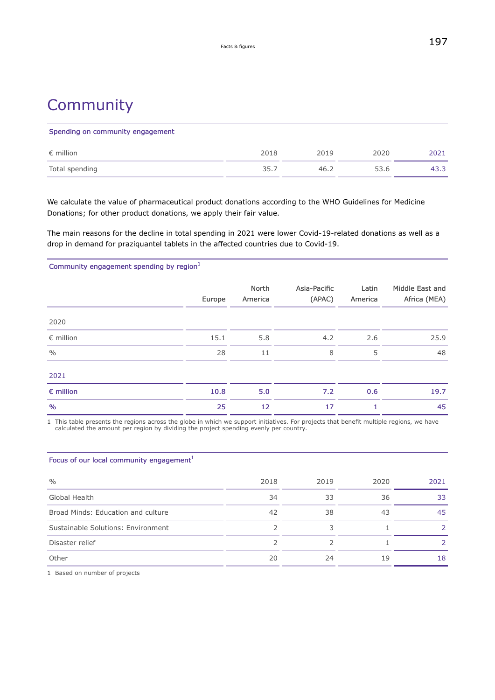# **Community**

| Spending on community engagement |      |      |      |      |
|----------------------------------|------|------|------|------|
| $\epsilon$ million               | 2018 | 2019 | 2020 | 2021 |
| Total spending                   | 35.7 | 46.2 | 53.6 | 43.3 |

We calculate the value of pharmaceutical product donations according to the WHO Guidelines for Medicine Donations; for other product donations, we apply their fair value.

The main reasons for the decline in total spending in 2021 were lower Covid-19-related donations as well as a drop in demand for praziquantel tablets in the affected countries due to Covid-19.

Community engagement spending by region<sup>1</sup>

|                    | Europe | North<br>America | Asia-Pacific<br>(APAC) | Latin<br>America | Middle East and<br>Africa (MEA) |
|--------------------|--------|------------------|------------------------|------------------|---------------------------------|
| 2020               |        |                  |                        |                  |                                 |
| $\epsilon$ million | 15.1   | 5.8              | 4.2                    | 2.6              | 25.9                            |
| $\frac{0}{0}$      | 28     | 11               | 8                      | 5                | 48                              |
| 2021               |        |                  |                        |                  |                                 |
| $\epsilon$ million | 10.8   | 5.0              | 7.2                    | 0.6              | 19.7                            |
| $\%$               | 25     | 12               | 17                     |                  | 45                              |

1 This table presents the regions across the globe in which we support initiatives. For projects that benefit multiple regions, we have calculated the amount per region by dividing the project spending evenly per country.

| Focus of our local community engagement <sup>1</sup> |      |      |      |      |
|------------------------------------------------------|------|------|------|------|
| $\frac{0}{0}$                                        | 2018 | 2019 | 2020 | 2021 |
| Global Health                                        | 34   | 33   | 36   | 33   |
| Broad Minds: Education and culture                   | 42   | 38   | 43   | 45   |
| Sustainable Solutions: Environment                   |      | 3    |      |      |
| Disaster relief                                      |      |      |      |      |
| Other                                                | 20   | 24   | 19   | 18   |

1 Based on number of projects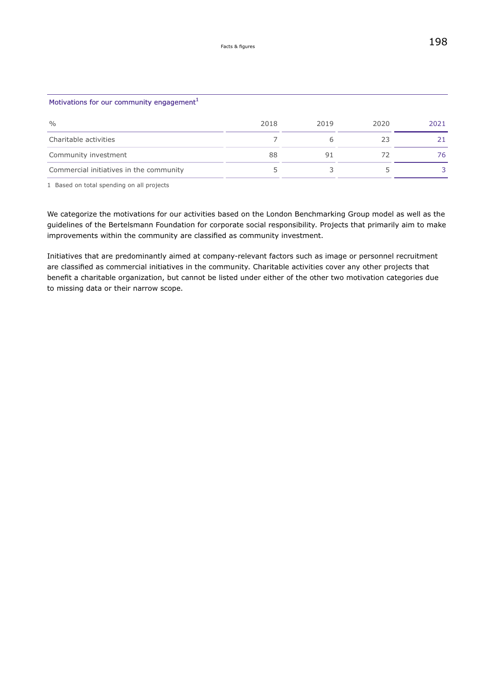| Motivations for our community engagement <sup>1</sup> |      |      |      |      |
|-------------------------------------------------------|------|------|------|------|
| $\frac{0}{0}$                                         | 2018 | 2019 | 2020 | 2021 |
| Charitable activities                                 |      | 6    | 23   | 21   |
| Community investment                                  | 88   | 91   |      | 76.  |
| Commercial initiatives in the community               |      |      |      |      |

1 Based on total spending on all projects

We categorize the motivations for our activities based on the London Benchmarking Group model as well as the guidelines of the Bertelsmann Foundation for corporate social responsibility. Projects that primarily aim to make improvements within the community are classified as community investment.

Initiatives that are predominantly aimed at company-relevant factors such as image or personnel recruitment are classified as commercial initiatives in the community. Charitable activities cover any other projects that benefit a charitable organization, but cannot be listed under either of the other two motivation categories due to missing data or their narrow scope.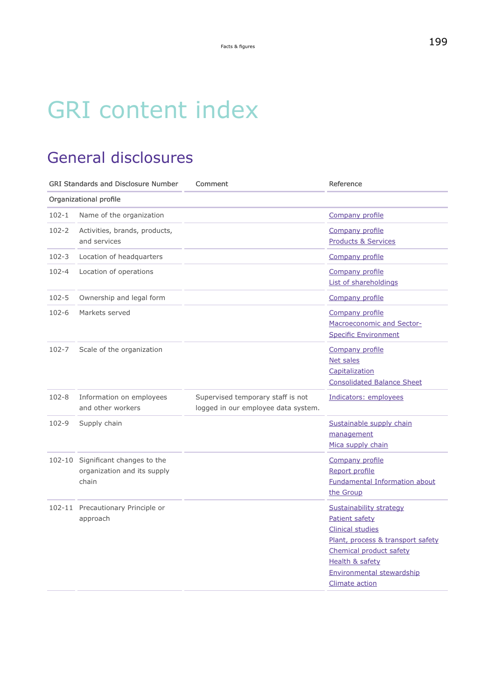# GRI content index

# General disclosures

| <b>GRI Standards and Disclosure Number</b> |                                                                    | Comment                                                                  | Reference                                                                                                                                                                                                                       |
|--------------------------------------------|--------------------------------------------------------------------|--------------------------------------------------------------------------|---------------------------------------------------------------------------------------------------------------------------------------------------------------------------------------------------------------------------------|
|                                            | Organizational profile                                             |                                                                          |                                                                                                                                                                                                                                 |
| $102 - 1$                                  | Name of the organization                                           |                                                                          | Company profile                                                                                                                                                                                                                 |
| $102 - 2$                                  | Activities, brands, products,<br>and services                      |                                                                          | Company profile<br><b>Products &amp; Services</b>                                                                                                                                                                               |
| $102 - 3$                                  | Location of headquarters                                           |                                                                          | <b>Company profile</b>                                                                                                                                                                                                          |
| 102-4                                      | Location of operations                                             |                                                                          | Company profile<br>List of shareholdings                                                                                                                                                                                        |
| $102 - 5$                                  | Ownership and legal form                                           |                                                                          | Company profile                                                                                                                                                                                                                 |
| $102 - 6$                                  | Markets served                                                     |                                                                          | Company profile<br>Macroeconomic and Sector-<br><b>Specific Environment</b>                                                                                                                                                     |
| 102-7                                      | Scale of the organization                                          |                                                                          | Company profile<br><b>Net sales</b><br>Capitalization<br><b>Consolidated Balance Sheet</b>                                                                                                                                      |
| $102 - 8$                                  | Information on employees<br>and other workers                      | Supervised temporary staff is not<br>logged in our employee data system. | Indicators: employees                                                                                                                                                                                                           |
| 102-9                                      | Supply chain                                                       |                                                                          | Sustainable supply chain<br>management<br>Mica supply chain                                                                                                                                                                     |
| 102-10                                     | Significant changes to the<br>organization and its supply<br>chain |                                                                          | Company profile<br>Report profile<br><b>Fundamental Information about</b><br>the Group                                                                                                                                          |
|                                            | 102-11 Precautionary Principle or<br>approach                      |                                                                          | <b>Sustainability strategy</b><br>Patient safety<br><b>Clinical studies</b><br>Plant, process & transport safety<br>Chemical product safety<br><b>Health &amp; safety</b><br><b>Environmental stewardship</b><br>Climate action |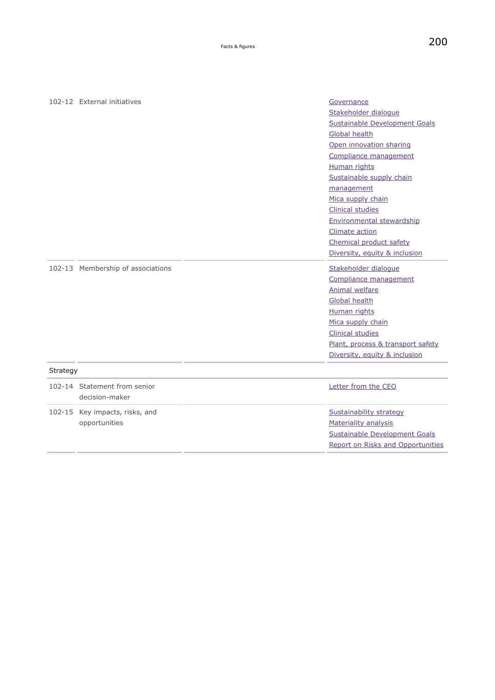|                 | 102-12 External initiatives       | Governance                               |
|-----------------|-----------------------------------|------------------------------------------|
|                 |                                   | Stakeholder dialogue                     |
|                 |                                   | Sustainable Development Goals            |
|                 |                                   | Global health                            |
|                 |                                   | Open innovation sharing                  |
|                 |                                   | Compliance management                    |
|                 |                                   | Human rights                             |
|                 |                                   | Sustainable supply chain                 |
|                 |                                   | management                               |
|                 |                                   | Mica supply chain                        |
|                 |                                   | <b>Clinical studies</b>                  |
|                 |                                   | <b>Environmental stewardship</b>         |
|                 |                                   | Climate action                           |
|                 |                                   | Chemical product safety                  |
|                 |                                   | Diversity, equity & inclusion            |
|                 | 102-13 Membership of associations | Stakeholder dialogue                     |
|                 |                                   | Compliance management                    |
|                 |                                   | Animal welfare                           |
|                 |                                   | <b>Global health</b>                     |
|                 |                                   | <b>Human rights</b>                      |
|                 |                                   | Mica supply chain                        |
|                 |                                   | <b>Clinical studies</b>                  |
|                 |                                   | Plant, process & transport safety        |
|                 |                                   | Diversity, equity & inclusion            |
| <b>Strategy</b> |                                   |                                          |
|                 | 102-14 Statement from senior      | Letter from the CEO                      |
|                 | decision-maker                    |                                          |
|                 | 102-15 Key impacts, risks, and    | Sustainability strategy                  |
|                 | opportunities                     | Materiality analysis                     |
|                 |                                   | <b>Sustainable Development Goals</b>     |
|                 |                                   | <b>Report on Risks and Opportunities</b> |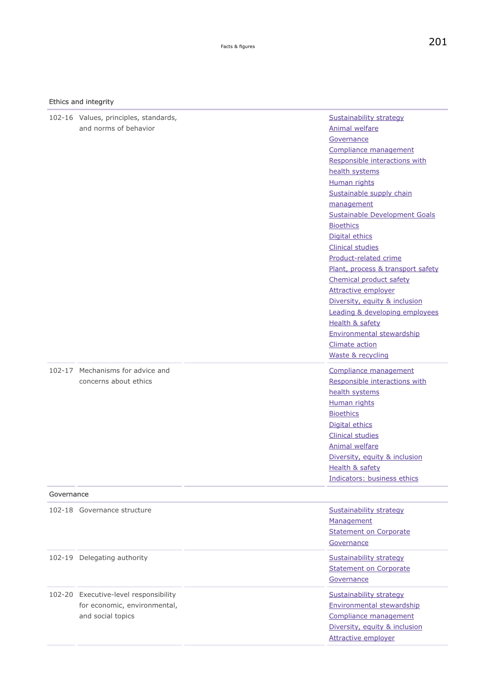### Ethics and integrity

|            | 102-16 Values, principles, standards,<br>and norms of behavior                             | Sustainability strategy<br><b>Animal welfare</b><br>Governance<br>Compliance management<br>Responsible interactions with<br>health systems<br>Human rights<br>Sustainable supply chain<br>management                                                                                                                                                                                          |
|------------|--------------------------------------------------------------------------------------------|-----------------------------------------------------------------------------------------------------------------------------------------------------------------------------------------------------------------------------------------------------------------------------------------------------------------------------------------------------------------------------------------------|
|            |                                                                                            | Sustainable Development Goals<br><b>Bioethics</b><br>Digital ethics<br><b>Clinical studies</b><br>Product-related crime<br>Plant, process & transport safety<br>Chemical product safety<br><b>Attractive employer</b><br>Diversity, equity & inclusion<br>Leading & developing employees<br>Health & safety<br><b>Environmental stewardship</b><br><b>Climate action</b><br>Waste & recycling |
|            | 102-17 Mechanisms for advice and<br>concerns about ethics                                  | Compliance management<br>Responsible interactions with<br>health systems<br>Human rights<br><b>Bioethics</b><br>Digital ethics<br><b>Clinical studies</b><br><b>Animal welfare</b><br>Diversity, equity & inclusion<br>Health & safety<br>Indicators: business ethics                                                                                                                         |
| Governance |                                                                                            |                                                                                                                                                                                                                                                                                                                                                                                               |
|            | 102-18 Governance structure                                                                | Sustainability strategy<br>Management<br><b>Statement on Corporate</b><br>Governance                                                                                                                                                                                                                                                                                                          |
|            | 102-19 Delegating authority                                                                | Sustainability strategy<br><b>Statement on Corporate</b><br>Governance                                                                                                                                                                                                                                                                                                                        |
|            | 102-20 Executive-level responsibility<br>for economic, environmental,<br>and social topics | Sustainability strategy<br>Environmental stewardship<br>Compliance management<br>Diversity, equity & inclusion<br><b>Attractive employer</b>                                                                                                                                                                                                                                                  |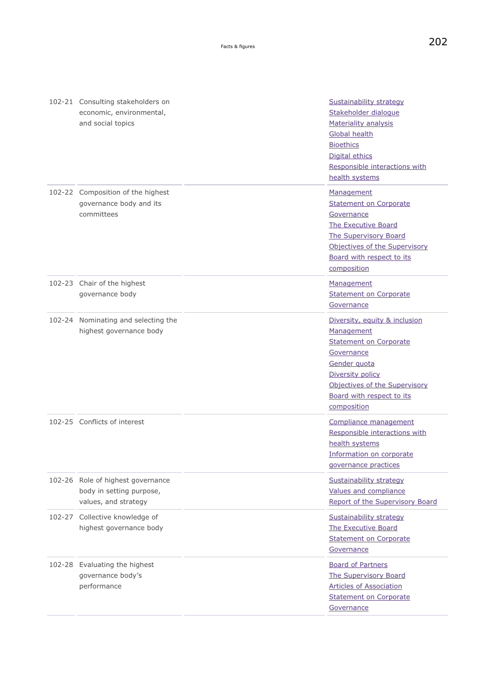| 102-21 Consulting stakeholders on   | <b>Sustainability strategy</b>  |
|-------------------------------------|---------------------------------|
| economic, environmental,            | Stakeholder dialogue            |
| and social topics                   | <b>Materiality analysis</b>     |
|                                     | Global health                   |
|                                     |                                 |
|                                     | <b>Bioethics</b>                |
|                                     | Digital ethics                  |
|                                     | Responsible interactions with   |
|                                     | health systems                  |
| 102-22 Composition of the highest   | Management                      |
| governance body and its             | <b>Statement on Corporate</b>   |
| committees                          | Governance                      |
|                                     | The Executive Board             |
|                                     | <b>The Supervisory Board</b>    |
|                                     | Objectives of the Supervisory   |
|                                     | Board with respect to its       |
|                                     |                                 |
|                                     | composition                     |
| 102-23 Chair of the highest         | Management                      |
| governance body                     | <b>Statement on Corporate</b>   |
|                                     | Governance                      |
| 102-24 Nominating and selecting the | Diversity, equity & inclusion   |
| highest governance body             | Management                      |
|                                     | <b>Statement on Corporate</b>   |
|                                     | Governance                      |
|                                     | Gender quota                    |
|                                     | Diversity policy                |
|                                     |                                 |
|                                     | Objectives of the Supervisory   |
|                                     | Board with respect to its       |
|                                     | composition                     |
| 102-25 Conflicts of interest        | Compliance management           |
|                                     | Responsible interactions with   |
|                                     | health systems                  |
|                                     | Information on corporate        |
|                                     | governance practices            |
| 102-26 Role of highest governance   | Sustainability strategy         |
| body in setting purpose,            | Values and compliance           |
| values, and strategy                | Report of the Supervisory Board |
|                                     |                                 |
| 102-27 Collective knowledge of      | Sustainability strategy         |
| highest governance body             | The Executive Board             |
|                                     | <b>Statement on Corporate</b>   |
|                                     | Governance                      |
| 102-28 Evaluating the highest       | <b>Board of Partners</b>        |
| governance body's                   | <b>The Supervisory Board</b>    |
| performance                         | <b>Articles of Association</b>  |
|                                     | <b>Statement on Corporate</b>   |
|                                     | Governance                      |
|                                     |                                 |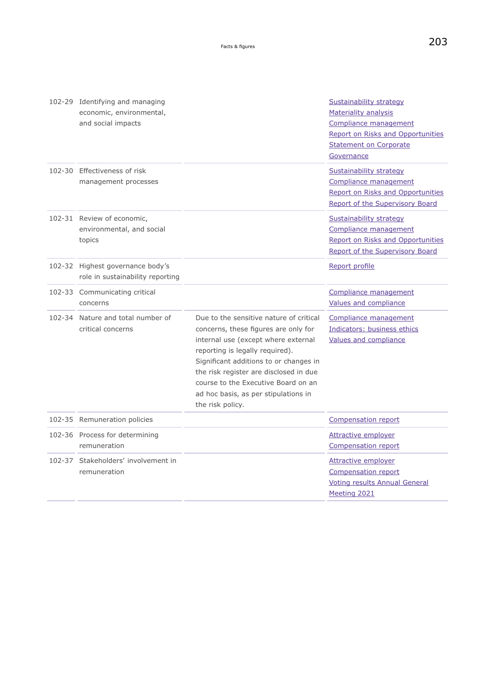|        | 102-29 Identifying and managing<br>economic, environmental,<br>and social impacts |                                                                                                                                                                                                                                                                                                                                                  | <b>Sustainability strategy</b><br>Materiality analysis<br>Compliance management<br>Report on Risks and Opportunities<br><b>Statement on Corporate</b><br>Governance |
|--------|-----------------------------------------------------------------------------------|--------------------------------------------------------------------------------------------------------------------------------------------------------------------------------------------------------------------------------------------------------------------------------------------------------------------------------------------------|---------------------------------------------------------------------------------------------------------------------------------------------------------------------|
|        | 102-30 Effectiveness of risk<br>management processes                              |                                                                                                                                                                                                                                                                                                                                                  | <b>Sustainability strategy</b><br>Compliance management<br><b>Report on Risks and Opportunities</b><br>Report of the Supervisory Board                              |
|        | 102-31 Review of economic,<br>environmental, and social<br>topics                 |                                                                                                                                                                                                                                                                                                                                                  | Sustainability strategy<br>Compliance management<br>Report on Risks and Opportunities<br>Report of the Supervisory Board                                            |
|        | 102-32 Highest governance body's<br>role in sustainability reporting              |                                                                                                                                                                                                                                                                                                                                                  | Report profile                                                                                                                                                      |
|        | 102-33 Communicating critical<br>concerns                                         |                                                                                                                                                                                                                                                                                                                                                  | Compliance management<br>Values and compliance                                                                                                                      |
|        | 102-34 Nature and total number of<br>critical concerns                            | Due to the sensitive nature of critical<br>concerns, these figures are only for<br>internal use (except where external<br>reporting is legally required).<br>Significant additions to or changes in<br>the risk register are disclosed in due<br>course to the Executive Board on an<br>ad hoc basis, as per stipulations in<br>the risk policy. | Compliance management<br>Indicators: business ethics<br>Values and compliance                                                                                       |
|        | 102-35 Remuneration policies                                                      |                                                                                                                                                                                                                                                                                                                                                  | <b>Compensation report</b>                                                                                                                                          |
|        | 102-36 Process for determining<br>remuneration                                    |                                                                                                                                                                                                                                                                                                                                                  | <b>Attractive employer</b><br><b>Compensation report</b>                                                                                                            |
| 102-37 | Stakeholders' involvement in<br>remuneration                                      |                                                                                                                                                                                                                                                                                                                                                  | <b>Attractive employer</b><br>Compensation report<br><b>Voting results Annual General</b><br>Meeting 2021                                                           |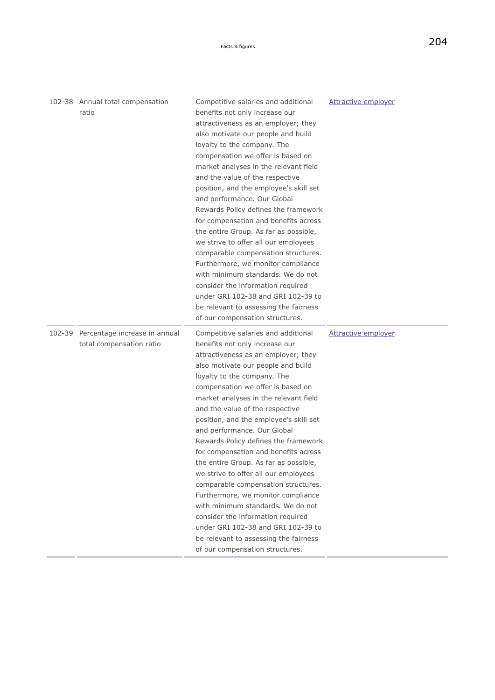| 102-38 Annual total compensation<br>ratio                        | Competitive salaries and additional<br>benefits not only increase our<br>attractiveness as an employer; they<br>also motivate our people and build<br>loyalty to the company. The<br>compensation we offer is based on<br>market analyses in the relevant field<br>and the value of the respective<br>position, and the employee's skill set<br>and performance. Our Global<br>Rewards Policy defines the framework<br>for compensation and benefits across<br>the entire Group. As far as possible,<br>we strive to offer all our employees<br>comparable compensation structures.<br>Furthermore, we monitor compliance<br>with minimum standards. We do not<br>consider the information required<br>under GRI 102-38 and GRI 102-39 to<br>be relevant to assessing the fairness<br>of our compensation structures. | <b>Attractive employer</b> |
|------------------------------------------------------------------|-----------------------------------------------------------------------------------------------------------------------------------------------------------------------------------------------------------------------------------------------------------------------------------------------------------------------------------------------------------------------------------------------------------------------------------------------------------------------------------------------------------------------------------------------------------------------------------------------------------------------------------------------------------------------------------------------------------------------------------------------------------------------------------------------------------------------|----------------------------|
| 102-39 Percentage increase in annual<br>total compensation ratio | Competitive salaries and additional<br>benefits not only increase our<br>attractiveness as an employer; they<br>also motivate our people and build<br>loyalty to the company. The<br>compensation we offer is based on<br>market analyses in the relevant field<br>and the value of the respective<br>position, and the employee's skill set<br>and performance. Our Global<br>Rewards Policy defines the framework<br>for compensation and benefits across<br>the entire Group. As far as possible,<br>we strive to offer all our employees<br>comparable compensation structures.<br>Furthermore, we monitor compliance<br>with minimum standards. We do not<br>consider the information required<br>under GRI 102-38 and GRI 102-39 to<br>be relevant to assessing the fairness<br>of our compensation structures. | <b>Attractive employer</b> |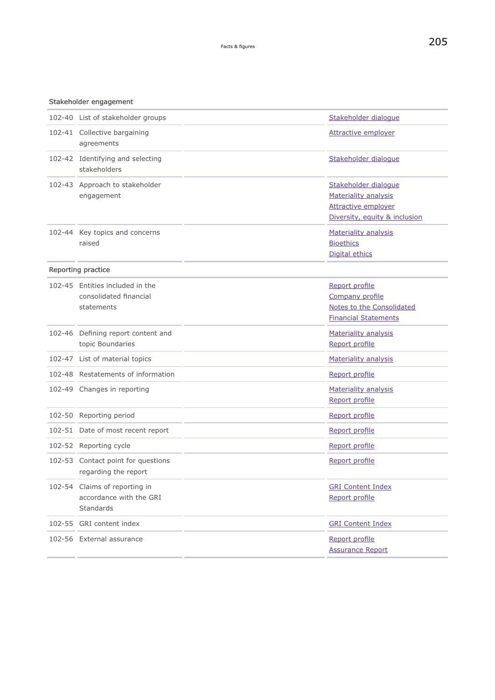#### Stakeholder engagement

| 102-40 List of stakeholder groups                                            | Stakeholder dialogue                                                                                        |
|------------------------------------------------------------------------------|-------------------------------------------------------------------------------------------------------------|
| 102-41 Collective bargaining<br>agreements                                   | <b>Attractive employer</b>                                                                                  |
| 102-42 Identifying and selecting<br>stakeholders                             | Stakeholder dialogue                                                                                        |
| 102-43 Approach to stakeholder<br>engagement                                 | Stakeholder dialogue<br>Materiality analysis<br><b>Attractive employer</b><br>Diversity, equity & inclusion |
| 102-44 Key topics and concerns<br>raised                                     | Materiality analysis<br><b>Bioethics</b><br>Digital ethics                                                  |
| Reporting practice                                                           |                                                                                                             |
| 102-45 Entities included in the<br>consolidated financial<br>statements      | Report profile<br>Company profile<br>Notes to the Consolidated<br><b>Financial Statements</b>               |
| 102-46 Defining report content and<br>topic Boundaries                       | <b>Materiality analysis</b><br>Report profile                                                               |
| 102-47 List of material topics                                               | <b>Materiality analysis</b>                                                                                 |
| 102-48 Restatements of information                                           | Report profile                                                                                              |
| 102-49 Changes in reporting                                                  | Materiality analysis<br>Report profile                                                                      |
| 102-50 Reporting period                                                      | Report profile                                                                                              |
| 102-51 Date of most recent report                                            | Report profile                                                                                              |
| 102-52 Reporting cycle                                                       | Report profile                                                                                              |
| 102-53 Contact point for questions<br>regarding the report                   | Report profile                                                                                              |
| 102-54 Claims of reporting in<br>accordance with the GRI<br><b>Standards</b> | <b>GRI Content Index</b><br>Report profile                                                                  |
| 102-55 GRI content index                                                     | <b>GRI Content Index</b>                                                                                    |
| 102-56 External assurance                                                    | Report profile<br><b>Assurance Report</b>                                                                   |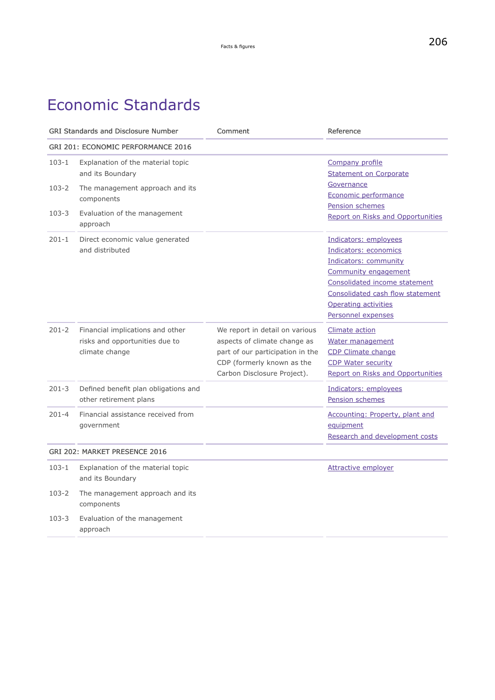# Economic Standards

<span id="page-41-0"></span>

| <b>GRI Standards and Disclosure Number</b> |                                                                                      | Comment                                                                                                                                                         | Reference                                                                                                                                                                                                          |
|--------------------------------------------|--------------------------------------------------------------------------------------|-----------------------------------------------------------------------------------------------------------------------------------------------------------------|--------------------------------------------------------------------------------------------------------------------------------------------------------------------------------------------------------------------|
| <b>GRI 201: ECONOMIC PERFORMANCE 2016</b>  |                                                                                      |                                                                                                                                                                 |                                                                                                                                                                                                                    |
| $103 - 1$                                  | Explanation of the material topic<br>and its Boundary                                |                                                                                                                                                                 | Company profile<br><b>Statement on Corporate</b>                                                                                                                                                                   |
| $103 - 2$                                  | The management approach and its<br>components                                        |                                                                                                                                                                 | Governance<br>Economic performance<br><b>Pension schemes</b>                                                                                                                                                       |
| $103 - 3$                                  | Evaluation of the management<br>approach                                             |                                                                                                                                                                 | Report on Risks and Opportunities                                                                                                                                                                                  |
| $201 - 1$                                  | Direct economic value generated<br>and distributed                                   |                                                                                                                                                                 | Indicators: employees<br>Indicators: economics<br>Indicators: community<br>Community engagement<br>Consolidated income statement<br>Consolidated cash flow statement<br>Operating activities<br>Personnel expenses |
| $201 - 2$                                  | Financial implications and other<br>risks and opportunities due to<br>climate change | We report in detail on various<br>aspects of climate change as<br>part of our participation in the<br>CDP (formerly known as the<br>Carbon Disclosure Project). | Climate action<br>Water management<br>CDP Climate change<br><b>CDP Water security</b><br><b>Report on Risks and Opportunities</b>                                                                                  |
| $201 - 3$                                  | Defined benefit plan obligations and<br>other retirement plans                       |                                                                                                                                                                 | Indicators: employees<br>Pension schemes                                                                                                                                                                           |
| $201 - 4$                                  | Financial assistance received from<br>government                                     |                                                                                                                                                                 | Accounting: Property, plant and<br>equipment<br>Research and development costs                                                                                                                                     |
|                                            | GRI 202: MARKET PRESENCE 2016                                                        |                                                                                                                                                                 |                                                                                                                                                                                                                    |
| $103 - 1$                                  | Explanation of the material topic<br>and its Boundary                                |                                                                                                                                                                 | <b>Attractive employer</b>                                                                                                                                                                                         |
| $103 - 2$                                  | The management approach and its<br>components                                        |                                                                                                                                                                 |                                                                                                                                                                                                                    |
| $103 - 3$                                  | Evaluation of the management<br>approach                                             |                                                                                                                                                                 |                                                                                                                                                                                                                    |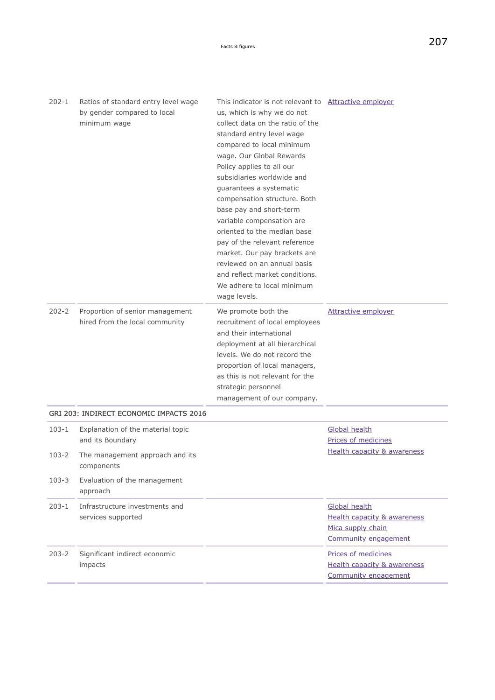| $202 - 1$ | Ratios of standard entry level wage<br>by gender compared to local<br>minimum wage | This indicator is not relevant to Attractive employer<br>us, which is why we do not<br>collect data on the ratio of the<br>standard entry level wage<br>compared to local minimum<br>wage. Our Global Rewards<br>Policy applies to all our<br>subsidiaries worldwide and<br>guarantees a systematic<br>compensation structure. Both<br>base pay and short-term<br>variable compensation are<br>oriented to the median base<br>pay of the relevant reference<br>market. Our pay brackets are<br>reviewed on an annual basis<br>and reflect market conditions.<br>We adhere to local minimum<br>wage levels. |                                                                                                             |
|-----------|------------------------------------------------------------------------------------|------------------------------------------------------------------------------------------------------------------------------------------------------------------------------------------------------------------------------------------------------------------------------------------------------------------------------------------------------------------------------------------------------------------------------------------------------------------------------------------------------------------------------------------------------------------------------------------------------------|-------------------------------------------------------------------------------------------------------------|
| $202 - 2$ | Proportion of senior management<br>hired from the local community                  | We promote both the<br>recruitment of local employees<br>and their international<br>deployment at all hierarchical<br>levels. We do not record the<br>proportion of local managers,<br>as this is not relevant for the<br>strategic personnel<br>management of our company.                                                                                                                                                                                                                                                                                                                                | <b>Attractive employer</b>                                                                                  |
|           | GRI 203: INDIRECT ECONOMIC IMPACTS 2016                                            |                                                                                                                                                                                                                                                                                                                                                                                                                                                                                                                                                                                                            |                                                                                                             |
| $103 - 1$ | Explanation of the material topic<br>and its Boundary                              |                                                                                                                                                                                                                                                                                                                                                                                                                                                                                                                                                                                                            | <b>Global health</b><br>Prices of medicines                                                                 |
| 103-2     | The management approach and its<br>components                                      |                                                                                                                                                                                                                                                                                                                                                                                                                                                                                                                                                                                                            | <b>Health capacity &amp; awareness</b>                                                                      |
| $103 - 3$ | Evaluation of the management<br>approach                                           |                                                                                                                                                                                                                                                                                                                                                                                                                                                                                                                                                                                                            |                                                                                                             |
| $203 - 1$ | Infrastructure investments and<br>services supported                               |                                                                                                                                                                                                                                                                                                                                                                                                                                                                                                                                                                                                            | <b>Global health</b><br><b>Health capacity &amp; awareness</b><br>Mica supply chain<br>Community engagement |
| $203 - 2$ | Significant indirect economic<br>impacts                                           |                                                                                                                                                                                                                                                                                                                                                                                                                                                                                                                                                                                                            | Prices of medicines<br><b>Health capacity &amp; awareness</b><br>Community engagement                       |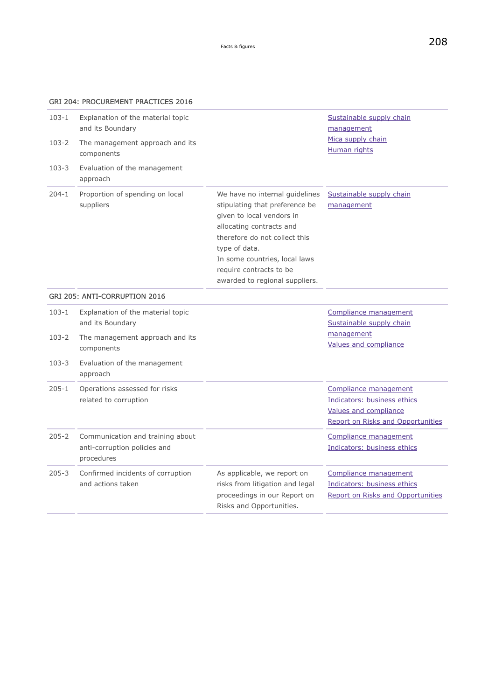### GRI 204: PROCUREMENT PRACTICES 2016

| $103 - 1$ | Explanation of the material topic<br>and its Boundary                          |                                                                                                                                                                                                                                                                           | Sustainable supply chain<br>management                                                                             |
|-----------|--------------------------------------------------------------------------------|---------------------------------------------------------------------------------------------------------------------------------------------------------------------------------------------------------------------------------------------------------------------------|--------------------------------------------------------------------------------------------------------------------|
| $103 - 2$ | The management approach and its<br>components                                  |                                                                                                                                                                                                                                                                           | Mica supply chain<br><b>Human rights</b>                                                                           |
| $103 - 3$ | Evaluation of the management<br>approach                                       |                                                                                                                                                                                                                                                                           |                                                                                                                    |
| $204 - 1$ | Proportion of spending on local<br>suppliers                                   | We have no internal guidelines<br>stipulating that preference be<br>given to local vendors in<br>allocating contracts and<br>therefore do not collect this<br>type of data.<br>In some countries, local laws<br>require contracts to be<br>awarded to regional suppliers. | Sustainable supply chain<br>management                                                                             |
|           | GRI 205: ANTI-CORRUPTION 2016                                                  |                                                                                                                                                                                                                                                                           |                                                                                                                    |
| $103 - 1$ | Explanation of the material topic<br>and its Boundary                          |                                                                                                                                                                                                                                                                           | Compliance management<br>Sustainable supply chain                                                                  |
| $103 - 2$ | The management approach and its<br>components                                  |                                                                                                                                                                                                                                                                           | management<br>Values and compliance                                                                                |
| $103 - 3$ | Evaluation of the management<br>approach                                       |                                                                                                                                                                                                                                                                           |                                                                                                                    |
| $205 - 1$ | Operations assessed for risks<br>related to corruption                         |                                                                                                                                                                                                                                                                           | Compliance management<br>Indicators: business ethics<br>Values and compliance<br>Report on Risks and Opportunities |
| $205 - 2$ | Communication and training about<br>anti-corruption policies and<br>procedures |                                                                                                                                                                                                                                                                           | Compliance management<br>Indicators: business ethics                                                               |
| $205 - 3$ | Confirmed incidents of corruption<br>and actions taken                         | As applicable, we report on<br>risks from litigation and legal<br>proceedings in our Report on<br>Risks and Opportunities.                                                                                                                                                | Compliance management<br>Indicators: business ethics<br><b>Report on Risks and Opportunities</b>                   |
|           |                                                                                |                                                                                                                                                                                                                                                                           |                                                                                                                    |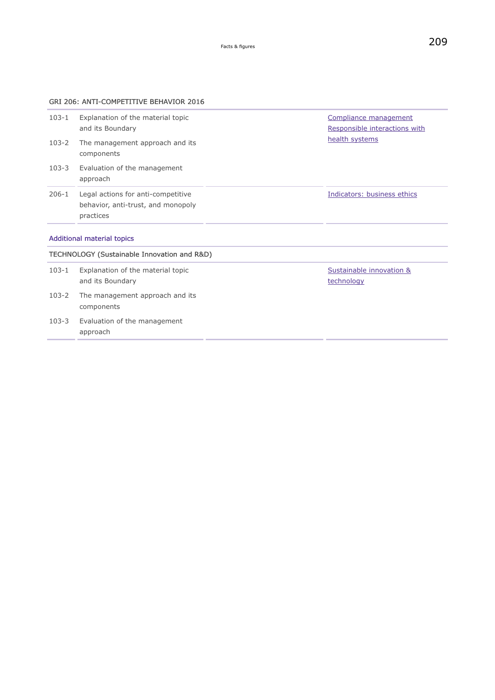### GRI 206: ANTI-COMPETITIVE BEHAVIOR 2016

| $103 - 1$                                                                        | Explanation of the material topic                                                     |  | Compliance management         |
|----------------------------------------------------------------------------------|---------------------------------------------------------------------------------------|--|-------------------------------|
|                                                                                  | and its Boundary                                                                      |  | Responsible interactions with |
| $103 - 2$                                                                        | The management approach and its<br>components                                         |  | health systems                |
| 103-3                                                                            | Evaluation of the management<br>approach                                              |  |                               |
| $206 - 1$                                                                        | Legal actions for anti-competitive<br>behavior, anti-trust, and monopoly<br>practices |  | Indicators: business ethics   |
| <b>Additional material topics</b><br>TECHNOLOGY (Suctainable Innovation and P&D) |                                                                                       |  |                               |

|           | TECHNOLOGY (Sustainable Innovation and R&D)           |                                        |  |  |
|-----------|-------------------------------------------------------|----------------------------------------|--|--|
| $103 - 1$ | Explanation of the material topic<br>and its Boundary | Sustainable innovation &<br>technology |  |  |
| 103-2     | The management approach and its<br>components         |                                        |  |  |
| 103-3     | Evaluation of the management<br>approach              |                                        |  |  |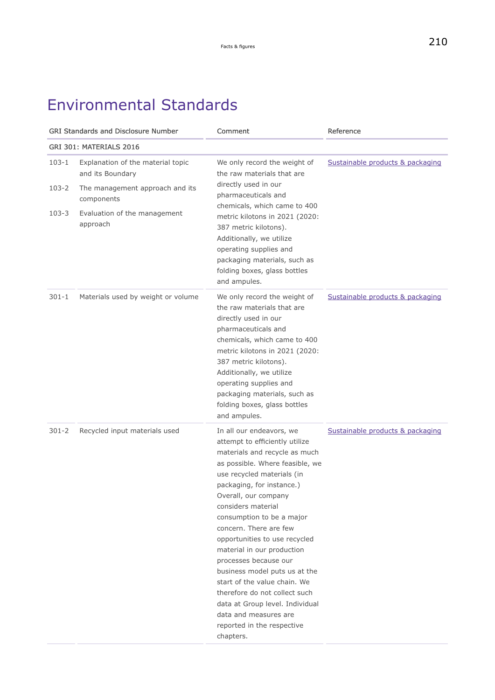# Environmental Standards

| <b>GRI Standards and Disclosure Number</b> |                                                       | Comment                                                                                                                                                                                                                                                                                                                                                                                                                                                                                                                                                                                         | Reference                        |
|--------------------------------------------|-------------------------------------------------------|-------------------------------------------------------------------------------------------------------------------------------------------------------------------------------------------------------------------------------------------------------------------------------------------------------------------------------------------------------------------------------------------------------------------------------------------------------------------------------------------------------------------------------------------------------------------------------------------------|----------------------------------|
|                                            | GRI 301: MATERIALS 2016                               |                                                                                                                                                                                                                                                                                                                                                                                                                                                                                                                                                                                                 |                                  |
| $103 - 1$                                  | Explanation of the material topic<br>and its Boundary | We only record the weight of<br>the raw materials that are                                                                                                                                                                                                                                                                                                                                                                                                                                                                                                                                      | Sustainable products & packaging |
| $103 - 2$                                  | The management approach and its<br>components         | directly used in our<br>pharmaceuticals and<br>chemicals, which came to 400                                                                                                                                                                                                                                                                                                                                                                                                                                                                                                                     |                                  |
| $103 - 3$                                  | Evaluation of the management<br>approach              | metric kilotons in 2021 (2020:<br>387 metric kilotons).<br>Additionally, we utilize<br>operating supplies and<br>packaging materials, such as<br>folding boxes, glass bottles<br>and ampules.                                                                                                                                                                                                                                                                                                                                                                                                   |                                  |
| $301 - 1$                                  | Materials used by weight or volume                    | We only record the weight of<br>the raw materials that are<br>directly used in our<br>pharmaceuticals and<br>chemicals, which came to 400<br>metric kilotons in 2021 (2020:<br>387 metric kilotons).<br>Additionally, we utilize<br>operating supplies and<br>packaging materials, such as<br>folding boxes, glass bottles<br>and ampules.                                                                                                                                                                                                                                                      | Sustainable products & packaging |
| $301 - 2$                                  | Recycled input materials used                         | In all our endeavors, we<br>attempt to efficiently utilize<br>materials and recycle as much<br>as possible. Where feasible, we<br>use recycled materials (in<br>packaging, for instance.)<br>Overall, our company<br>considers material<br>consumption to be a major<br>concern. There are few<br>opportunities to use recycled<br>material in our production<br>processes because our<br>business model puts us at the<br>start of the value chain. We<br>therefore do not collect such<br>data at Group level. Individual<br>data and measures are<br>reported in the respective<br>chapters. | Sustainable products & packaging |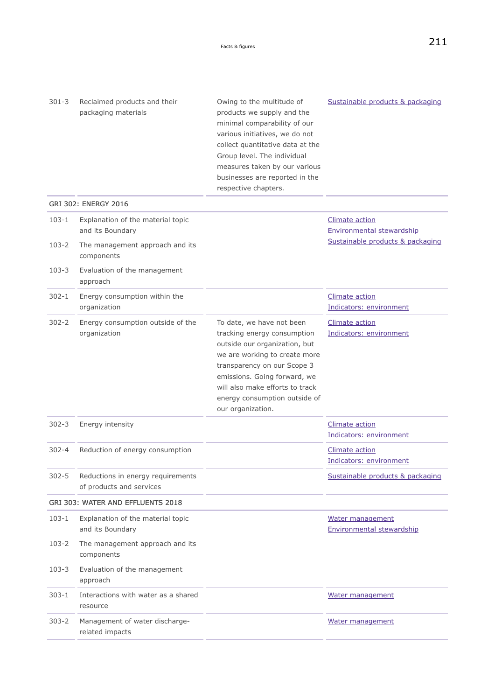Owing to the multitude of products we supply and the

<span id="page-46-0"></span>301-3 Reclaimed products and their packaging materials

|           |                                                               | minimal comparability of our<br>various initiatives, we do not<br>collect quantitative data at the<br>Group level. The individual<br>measures taken by our various<br>businesses are reported in the<br>respective chapters.                                                       |                                                           |
|-----------|---------------------------------------------------------------|------------------------------------------------------------------------------------------------------------------------------------------------------------------------------------------------------------------------------------------------------------------------------------|-----------------------------------------------------------|
|           | <b>GRI 302: ENERGY 2016</b>                                   |                                                                                                                                                                                                                                                                                    |                                                           |
| $103 - 1$ | Explanation of the material topic<br>and its Boundary         |                                                                                                                                                                                                                                                                                    | <b>Climate action</b><br><b>Environmental stewardship</b> |
| 103-2     | The management approach and its<br>components                 |                                                                                                                                                                                                                                                                                    | Sustainable products & packaging                          |
| $103 - 3$ | Evaluation of the management<br>approach                      |                                                                                                                                                                                                                                                                                    |                                                           |
| 302-1     | Energy consumption within the<br>organization                 |                                                                                                                                                                                                                                                                                    | Climate action<br>Indicators: environment                 |
| $302 - 2$ | Energy consumption outside of the<br>organization             | To date, we have not been<br>tracking energy consumption<br>outside our organization, but<br>we are working to create more<br>transparency on our Scope 3<br>emissions. Going forward, we<br>will also make efforts to track<br>energy consumption outside of<br>our organization. | <b>Climate action</b><br>Indicators: environment          |
| $302 - 3$ | Energy intensity                                              |                                                                                                                                                                                                                                                                                    | <b>Climate action</b><br>Indicators: environment          |
| $302 - 4$ | Reduction of energy consumption                               |                                                                                                                                                                                                                                                                                    | <b>Climate action</b><br>Indicators: environment          |
| $302 - 5$ | Reductions in energy requirements<br>of products and services |                                                                                                                                                                                                                                                                                    | Sustainable products & packaging                          |
|           | GRI 303: WATER AND EFFLUENTS 2018                             |                                                                                                                                                                                                                                                                                    |                                                           |
| $103 - 1$ | Explanation of the material topic<br>and its Boundary         |                                                                                                                                                                                                                                                                                    | Water management<br><b>Environmental stewardship</b>      |
| 103-2     | The management approach and its<br>components                 |                                                                                                                                                                                                                                                                                    |                                                           |
| $103 - 3$ | Evaluation of the management<br>approach                      |                                                                                                                                                                                                                                                                                    |                                                           |
| $303 - 1$ | Interactions with water as a shared<br>resource               |                                                                                                                                                                                                                                                                                    | Water management                                          |
| 303-2     | Management of water discharge-<br>related impacts             |                                                                                                                                                                                                                                                                                    | Water management                                          |

[Sustainable products & packaging](#page-74-0)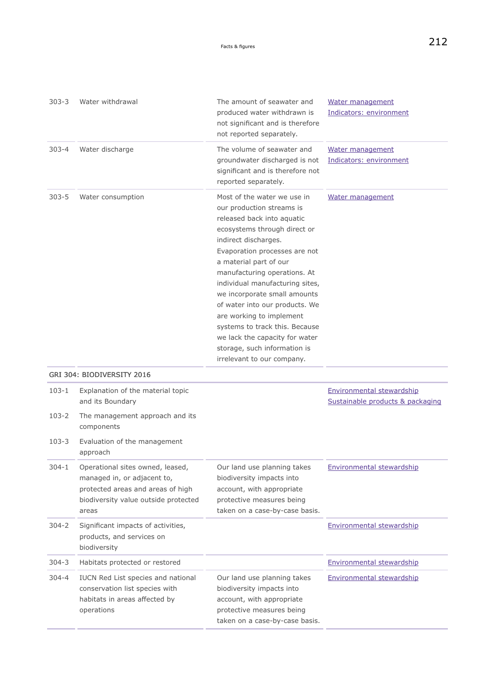| $303 - 3$ | Water withdrawal                                                                                                                                      | The amount of seawater and<br>produced water withdrawn is<br>not significant and is therefore<br>not reported separately.                                                                                                                                                                                                                                                                                                                                                                                    | Water management<br>Indicators: environment                   |
|-----------|-------------------------------------------------------------------------------------------------------------------------------------------------------|--------------------------------------------------------------------------------------------------------------------------------------------------------------------------------------------------------------------------------------------------------------------------------------------------------------------------------------------------------------------------------------------------------------------------------------------------------------------------------------------------------------|---------------------------------------------------------------|
| $303 - 4$ | Water discharge                                                                                                                                       | The volume of seawater and<br>groundwater discharged is not<br>significant and is therefore not<br>reported separately.                                                                                                                                                                                                                                                                                                                                                                                      | Water management<br>Indicators: environment                   |
| $303 - 5$ | Water consumption<br>GRI 304: BIODIVERSITY 2016                                                                                                       | Most of the water we use in<br>our production streams is<br>released back into aquatic<br>ecosystems through direct or<br>indirect discharges.<br>Evaporation processes are not<br>a material part of our<br>manufacturing operations. At<br>individual manufacturing sites,<br>we incorporate small amounts<br>of water into our products. We<br>are working to implement<br>systems to track this. Because<br>we lack the capacity for water<br>storage, such information is<br>irrelevant to our company. | Water management                                              |
| $103 - 1$ | Explanation of the material topic<br>and its Boundary                                                                                                 |                                                                                                                                                                                                                                                                                                                                                                                                                                                                                                              | Environmental stewardship<br>Sustainable products & packaging |
| 103-2     | The management approach and its<br>components                                                                                                         |                                                                                                                                                                                                                                                                                                                                                                                                                                                                                                              |                                                               |
| 103-3     | Evaluation of the management<br>approach                                                                                                              |                                                                                                                                                                                                                                                                                                                                                                                                                                                                                                              |                                                               |
| $304 - 1$ | Operational sites owned, leased,<br>managed in, or adjacent to,<br>protected areas and areas of high<br>biodiversity value outside protected<br>areas | Our land use planning takes<br>biodiversity impacts into<br>account, with appropriate<br>protective measures being<br>taken on a case-by-case basis.                                                                                                                                                                                                                                                                                                                                                         | Environmental stewardship                                     |
| $304 - 2$ | Significant impacts of activities,<br>products, and services on<br>biodiversity                                                                       |                                                                                                                                                                                                                                                                                                                                                                                                                                                                                                              | <b>Environmental stewardship</b>                              |
| $304 - 3$ | Habitats protected or restored                                                                                                                        |                                                                                                                                                                                                                                                                                                                                                                                                                                                                                                              | Environmental stewardship                                     |
| 304-4     | IUCN Red List species and national<br>conservation list species with<br>habitats in areas affected by<br>operations                                   | Our land use planning takes<br>biodiversity impacts into<br>account, with appropriate<br>protective measures being<br>taken on a case-by-case basis.                                                                                                                                                                                                                                                                                                                                                         | <b>Environmental stewardship</b>                              |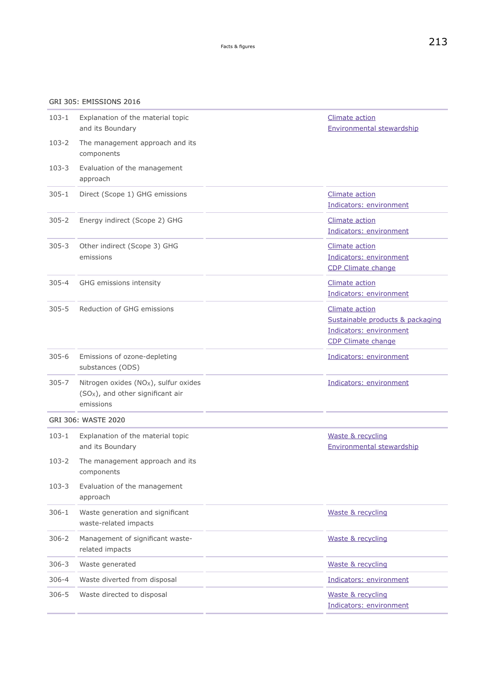### GRI 305: EMISSIONS 2016

| $103 - 1$ | Explanation of the material topic<br>and its Boundary                                                 | <b>Climate action</b><br><b>Environmental stewardship</b>                                           |
|-----------|-------------------------------------------------------------------------------------------------------|-----------------------------------------------------------------------------------------------------|
| $103 - 2$ | The management approach and its<br>components                                                         |                                                                                                     |
| $103 - 3$ | Evaluation of the management<br>approach                                                              |                                                                                                     |
| $305 - 1$ | Direct (Scope 1) GHG emissions                                                                        | <b>Climate action</b><br>Indicators: environment                                                    |
| $305 - 2$ | Energy indirect (Scope 2) GHG                                                                         | <b>Climate action</b><br>Indicators: environment                                                    |
| $305 - 3$ | Other indirect (Scope 3) GHG<br>emissions                                                             | <b>Climate action</b><br>Indicators: environment<br>CDP Climate change                              |
| $305 - 4$ | GHG emissions intensity                                                                               | <b>Climate action</b><br>Indicators: environment                                                    |
| $305 - 5$ | Reduction of GHG emissions                                                                            | Climate action<br>Sustainable products & packaging<br>Indicators: environment<br>CDP Climate change |
| $305 - 6$ | Emissions of ozone-depleting<br>substances (ODS)                                                      | Indicators: environment                                                                             |
| $305 - 7$ | Nitrogen oxides $(NOX)$ , sulfur oxides<br>(SO <sub>x</sub> ), and other significant air<br>emissions | Indicators: environment                                                                             |
|           | <b>GRI 306: WASTE 2020</b>                                                                            |                                                                                                     |
| $103 - 1$ | Explanation of the material topic<br>and its Boundary                                                 | Waste & recycling<br><b>Environmental stewardship</b>                                               |
| $103 - 2$ | The management approach and its<br>components                                                         |                                                                                                     |
| $103 - 3$ | Evaluation of the management<br>approach                                                              |                                                                                                     |
| $306 - 1$ | Waste generation and significant<br>waste-related impacts                                             | Waste & recycling                                                                                   |
| $306 - 2$ | Management of significant waste-<br>related impacts                                                   | Waste & recycling                                                                                   |
| $306 - 3$ | Waste generated                                                                                       | Waste & recycling                                                                                   |
| $306 - 4$ | Waste diverted from disposal                                                                          | Indicators: environment                                                                             |
| $306 - 5$ | Waste directed to disposal                                                                            | Waste & recycling<br>Indicators: environment                                                        |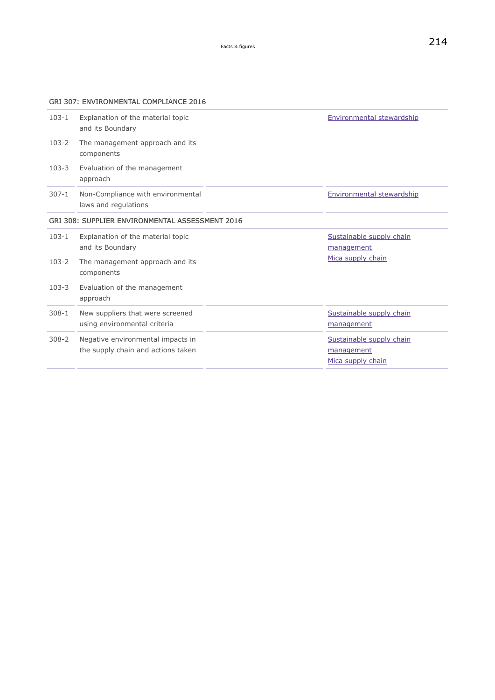<span id="page-49-0"></span>GRI 307: ENVIRONMENTAL COMPLIANCE 2016

| Explanation of the material topic<br>and its Boundary<br>The management approach and its<br>components<br>Evaluation of the management<br>approach<br>Non-Compliance with environmental<br>laws and regulations<br>GRI 308: SUPPLIER ENVIRONMENTAL ASSESSMENT 2016 | Environmental stewardship<br>Environmental stewardship      |
|--------------------------------------------------------------------------------------------------------------------------------------------------------------------------------------------------------------------------------------------------------------------|-------------------------------------------------------------|
|                                                                                                                                                                                                                                                                    |                                                             |
|                                                                                                                                                                                                                                                                    |                                                             |
|                                                                                                                                                                                                                                                                    |                                                             |
|                                                                                                                                                                                                                                                                    |                                                             |
|                                                                                                                                                                                                                                                                    |                                                             |
| Explanation of the material topic<br>and its Boundary                                                                                                                                                                                                              | Sustainable supply chain<br>management                      |
| The management approach and its<br>components                                                                                                                                                                                                                      | Mica supply chain                                           |
| Evaluation of the management<br>approach                                                                                                                                                                                                                           |                                                             |
| New suppliers that were screened<br>using environmental criteria                                                                                                                                                                                                   | Sustainable supply chain<br>management                      |
| Negative environmental impacts in                                                                                                                                                                                                                                  | Sustainable supply chain<br>management<br>Mica supply chain |
|                                                                                                                                                                                                                                                                    | the supply chain and actions taken                          |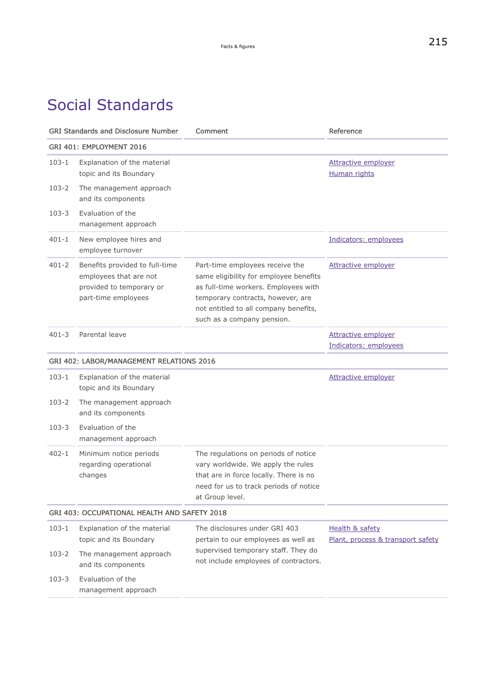# Social Standards

| <b>GRI Standards and Disclosure Number</b> |                                                                                                             | Comment                                                                                                                                                                                                                       | Reference                                                       |
|--------------------------------------------|-------------------------------------------------------------------------------------------------------------|-------------------------------------------------------------------------------------------------------------------------------------------------------------------------------------------------------------------------------|-----------------------------------------------------------------|
|                                            | GRI 401: EMPLOYMENT 2016                                                                                    |                                                                                                                                                                                                                               |                                                                 |
| $103 - 1$                                  | Explanation of the material<br>topic and its Boundary                                                       |                                                                                                                                                                                                                               | <b>Attractive employer</b><br><b>Human rights</b>               |
| 103-2                                      | The management approach<br>and its components                                                               |                                                                                                                                                                                                                               |                                                                 |
| $103 - 3$                                  | Evaluation of the<br>management approach                                                                    |                                                                                                                                                                                                                               |                                                                 |
| $401 - 1$                                  | New employee hires and<br>employee turnover                                                                 |                                                                                                                                                                                                                               | Indicators: employees                                           |
| $401 - 2$                                  | Benefits provided to full-time<br>employees that are not<br>provided to temporary or<br>part-time employees | Part-time employees receive the<br>same eligibility for employee benefits<br>as full-time workers. Employees with<br>temporary contracts, however, are<br>not entitled to all company benefits,<br>such as a company pension. | <b>Attractive employer</b>                                      |
| $401 - 3$                                  | Parental leave                                                                                              |                                                                                                                                                                                                                               | Attractive employer<br>Indicators: employees                    |
|                                            | GRI 402: LABOR/MANAGEMENT RELATIONS 2016                                                                    |                                                                                                                                                                                                                               |                                                                 |
| $103 - 1$                                  | Explanation of the material<br>topic and its Boundary                                                       |                                                                                                                                                                                                                               | Attractive employer                                             |
| 103-2                                      | The management approach<br>and its components                                                               |                                                                                                                                                                                                                               |                                                                 |
| $103 - 3$                                  | Evaluation of the<br>management approach                                                                    |                                                                                                                                                                                                                               |                                                                 |
| 402-1                                      | Minimum notice periods<br>regarding operational<br>changes                                                  | The regulations on periods of notice<br>vary worldwide. We apply the rules<br>that are in force locally. There is no<br>need for us to track periods of notice<br>at Group level.                                             |                                                                 |
|                                            | GRI 403: OCCUPATIONAL HEALTH AND SAFETY 2018                                                                |                                                                                                                                                                                                                               |                                                                 |
| $103 - 1$                                  | Explanation of the material<br>topic and its Boundary                                                       | The disclosures under GRI 403<br>pertain to our employees as well as                                                                                                                                                          | <b>Health &amp; safety</b><br>Plant, process & transport safety |
| $103 - 2$                                  | The management approach<br>and its components                                                               | supervised temporary staff. They do<br>not include employees of contractors.                                                                                                                                                  |                                                                 |
| $103 - 3$                                  | Evaluation of the<br>management approach                                                                    |                                                                                                                                                                                                                               |                                                                 |
|                                            |                                                                                                             |                                                                                                                                                                                                                               |                                                                 |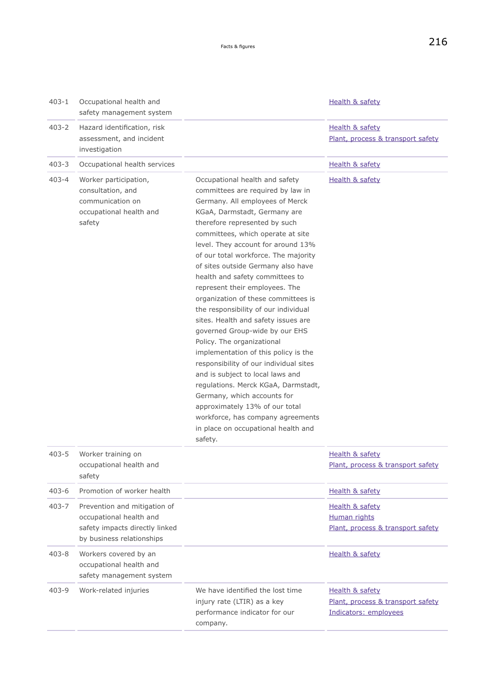| $403 - 1$ | Occupational health and<br>safety management system                                                                    |                                                                                                                                                                                                                                                                                                                                                                                                                                                                                                                                                                                                                                                                                                                                                                                                                                                                                                                  | <b>Health &amp; safety</b>                                                    |
|-----------|------------------------------------------------------------------------------------------------------------------------|------------------------------------------------------------------------------------------------------------------------------------------------------------------------------------------------------------------------------------------------------------------------------------------------------------------------------------------------------------------------------------------------------------------------------------------------------------------------------------------------------------------------------------------------------------------------------------------------------------------------------------------------------------------------------------------------------------------------------------------------------------------------------------------------------------------------------------------------------------------------------------------------------------------|-------------------------------------------------------------------------------|
| $403 - 2$ | Hazard identification, risk<br>assessment, and incident<br>investigation                                               |                                                                                                                                                                                                                                                                                                                                                                                                                                                                                                                                                                                                                                                                                                                                                                                                                                                                                                                  | Health & safety<br>Plant, process & transport safety                          |
| $403 - 3$ | Occupational health services                                                                                           |                                                                                                                                                                                                                                                                                                                                                                                                                                                                                                                                                                                                                                                                                                                                                                                                                                                                                                                  | Health & safety                                                               |
| 403-4     | Worker participation,<br>consultation, and<br>communication on<br>occupational health and<br>safety                    | Occupational health and safety<br>committees are required by law in<br>Germany. All employees of Merck<br>KGaA, Darmstadt, Germany are<br>therefore represented by such<br>committees, which operate at site<br>level. They account for around 13%<br>of our total workforce. The majority<br>of sites outside Germany also have<br>health and safety committees to<br>represent their employees. The<br>organization of these committees is<br>the responsibility of our individual<br>sites. Health and safety issues are<br>governed Group-wide by our EHS<br>Policy. The organizational<br>implementation of this policy is the<br>responsibility of our individual sites<br>and is subject to local laws and<br>regulations. Merck KGaA, Darmstadt,<br>Germany, which accounts for<br>approximately 13% of our total<br>workforce, has company agreements<br>in place on occupational health and<br>safety. | Health & safety                                                               |
| $403 - 5$ | Worker training on<br>occupational health and<br>safety                                                                |                                                                                                                                                                                                                                                                                                                                                                                                                                                                                                                                                                                                                                                                                                                                                                                                                                                                                                                  | Health & safety<br>Plant, process & transport safety                          |
| $403 - 6$ | Promotion of worker health                                                                                             |                                                                                                                                                                                                                                                                                                                                                                                                                                                                                                                                                                                                                                                                                                                                                                                                                                                                                                                  | Health & safety                                                               |
| 403-7     | Prevention and mitigation of<br>occupational health and<br>safety impacts directly linked<br>by business relationships |                                                                                                                                                                                                                                                                                                                                                                                                                                                                                                                                                                                                                                                                                                                                                                                                                                                                                                                  | Health & safety<br>Human rights<br>Plant, process & transport safety          |
| $403 - 8$ | Workers covered by an<br>occupational health and<br>safety management system                                           |                                                                                                                                                                                                                                                                                                                                                                                                                                                                                                                                                                                                                                                                                                                                                                                                                                                                                                                  | Health & safety                                                               |
| 403-9     | Work-related injuries                                                                                                  | We have identified the lost time<br>injury rate (LTIR) as a key<br>performance indicator for our<br>company.                                                                                                                                                                                                                                                                                                                                                                                                                                                                                                                                                                                                                                                                                                                                                                                                     | Health & safety<br>Plant, process & transport safety<br>Indicators: employees |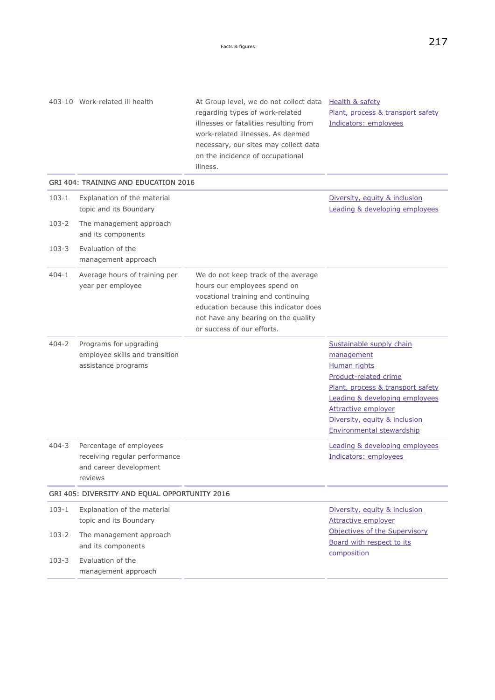regarding types of work-related

403-10 Work-related ill health **At Group level, we do not collect data** [Health & safety](#page-133-0)

[Plant, process & transport safety](#page-154-0)

|           |                                                                                               | illnesses or fatalities resulting from<br>work-related illnesses. As deemed<br>necessary, our sites may collect data<br>on the incidence of occupational<br>illness.                                                    | Indicators: employees                                                                                                                                                                                                                              |
|-----------|-----------------------------------------------------------------------------------------------|-------------------------------------------------------------------------------------------------------------------------------------------------------------------------------------------------------------------------|----------------------------------------------------------------------------------------------------------------------------------------------------------------------------------------------------------------------------------------------------|
|           | <b>GRI 404: TRAINING AND EDUCATION 2016</b>                                                   |                                                                                                                                                                                                                         |                                                                                                                                                                                                                                                    |
| $103 - 1$ | Explanation of the material<br>topic and its Boundary                                         |                                                                                                                                                                                                                         | Diversity, equity & inclusion<br>Leading & developing employees                                                                                                                                                                                    |
| $103 - 2$ | The management approach<br>and its components                                                 |                                                                                                                                                                                                                         |                                                                                                                                                                                                                                                    |
| $103 - 3$ | Evaluation of the<br>management approach                                                      |                                                                                                                                                                                                                         |                                                                                                                                                                                                                                                    |
| 404-1     | Average hours of training per<br>year per employee                                            | We do not keep track of the average<br>hours our employees spend on<br>vocational training and continuing<br>education because this indicator does<br>not have any bearing on the quality<br>or success of our efforts. |                                                                                                                                                                                                                                                    |
| $404 - 2$ | Programs for upgrading<br>employee skills and transition<br>assistance programs               |                                                                                                                                                                                                                         | Sustainable supply chain<br>management<br>Human rights<br>Product-related crime<br>Plant, process & transport safety<br>Leading & developing employees<br><b>Attractive employer</b><br>Diversity, equity & inclusion<br>Environmental stewardship |
| $404 - 3$ | Percentage of employees<br>receiving regular performance<br>and career development<br>reviews |                                                                                                                                                                                                                         | Leading & developing employees<br>Indicators: employees                                                                                                                                                                                            |
|           | GRI 405: DIVERSITY AND EQUAL OPPORTUNITY 2016                                                 |                                                                                                                                                                                                                         |                                                                                                                                                                                                                                                    |
| 103-1     | Explanation of the material<br>topic and its Boundary                                         |                                                                                                                                                                                                                         | Diversity, equity & inclusion<br><b>Attractive employer</b>                                                                                                                                                                                        |
| $103 - 2$ | The management approach<br>and its components                                                 |                                                                                                                                                                                                                         | Objectives of the Supervisory<br>Board with respect to its<br>composition                                                                                                                                                                          |
| $103 - 3$ | Evaluation of the<br>management approach                                                      |                                                                                                                                                                                                                         |                                                                                                                                                                                                                                                    |
|           |                                                                                               |                                                                                                                                                                                                                         |                                                                                                                                                                                                                                                    |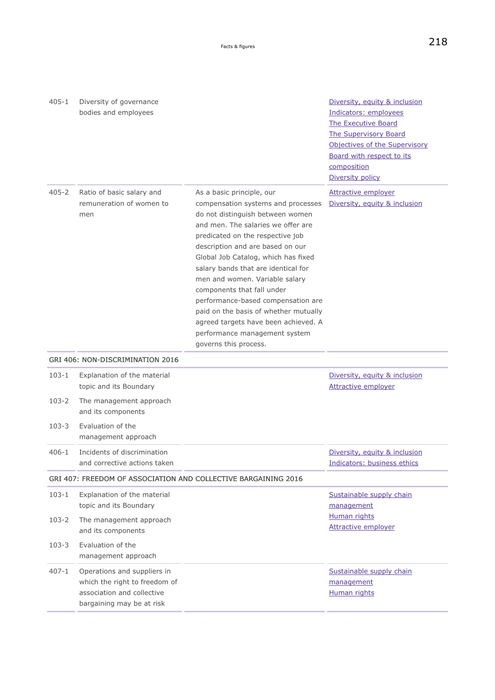<span id="page-53-0"></span>

| $405 - 1$ | Diversity of governance<br>bodies and employees                                                                         |                                                                                                                                                                                                                                                                                                                                                                                                                                                                                                                                                  | Diversity, equity & inclusion<br>Indicators: employees                                                                                        |
|-----------|-------------------------------------------------------------------------------------------------------------------------|--------------------------------------------------------------------------------------------------------------------------------------------------------------------------------------------------------------------------------------------------------------------------------------------------------------------------------------------------------------------------------------------------------------------------------------------------------------------------------------------------------------------------------------------------|-----------------------------------------------------------------------------------------------------------------------------------------------|
|           |                                                                                                                         |                                                                                                                                                                                                                                                                                                                                                                                                                                                                                                                                                  | The Executive Board<br>The Supervisory Board<br>Objectives of the Supervisory<br>Board with respect to its<br>composition<br>Diversity policy |
| $405 - 2$ | Ratio of basic salary and<br>remuneration of women to<br>men                                                            | As a basic principle, our<br>compensation systems and processes<br>do not distinguish between women<br>and men. The salaries we offer are<br>predicated on the respective job<br>description and are based on our<br>Global Job Catalog, which has fixed<br>salary bands that are identical for<br>men and women. Variable salary<br>components that fall under<br>performance-based compensation are<br>paid on the basis of whether mutually<br>agreed targets have been achieved. A<br>performance management system<br>governs this process. | <b>Attractive employer</b><br>Diversity, equity & inclusion                                                                                   |
|           | GRI 406: NON-DISCRIMINATION 2016                                                                                        |                                                                                                                                                                                                                                                                                                                                                                                                                                                                                                                                                  |                                                                                                                                               |
| $103 - 1$ | Explanation of the material<br>topic and its Boundary                                                                   |                                                                                                                                                                                                                                                                                                                                                                                                                                                                                                                                                  | Diversity, equity & inclusion<br><b>Attractive employer</b>                                                                                   |
| $103 - 2$ | The management approach<br>and its components                                                                           |                                                                                                                                                                                                                                                                                                                                                                                                                                                                                                                                                  |                                                                                                                                               |
| $103 - 3$ | Evaluation of the<br>management approach                                                                                |                                                                                                                                                                                                                                                                                                                                                                                                                                                                                                                                                  |                                                                                                                                               |
| $406 - 1$ | Incidents of discrimination<br>and corrective actions taken                                                             |                                                                                                                                                                                                                                                                                                                                                                                                                                                                                                                                                  | Diversity, equity & inclusion<br>Indicators: business ethics                                                                                  |
|           |                                                                                                                         | GRI 407: FREEDOM OF ASSOCIATION AND COLLECTIVE BARGAINING 2016                                                                                                                                                                                                                                                                                                                                                                                                                                                                                   |                                                                                                                                               |
| $103 - 1$ | Explanation of the material<br>topic and its Boundary                                                                   |                                                                                                                                                                                                                                                                                                                                                                                                                                                                                                                                                  | Sustainable supply chain<br>management                                                                                                        |
| $103 - 2$ | The management approach<br>and its components                                                                           |                                                                                                                                                                                                                                                                                                                                                                                                                                                                                                                                                  | Human rights<br><b>Attractive employer</b>                                                                                                    |
| $103 - 3$ | Evaluation of the<br>management approach                                                                                |                                                                                                                                                                                                                                                                                                                                                                                                                                                                                                                                                  |                                                                                                                                               |
| $407 - 1$ | Operations and suppliers in<br>which the right to freedom of<br>association and collective<br>bargaining may be at risk |                                                                                                                                                                                                                                                                                                                                                                                                                                                                                                                                                  | Sustainable supply chain<br>management<br><b>Human rights</b>                                                                                 |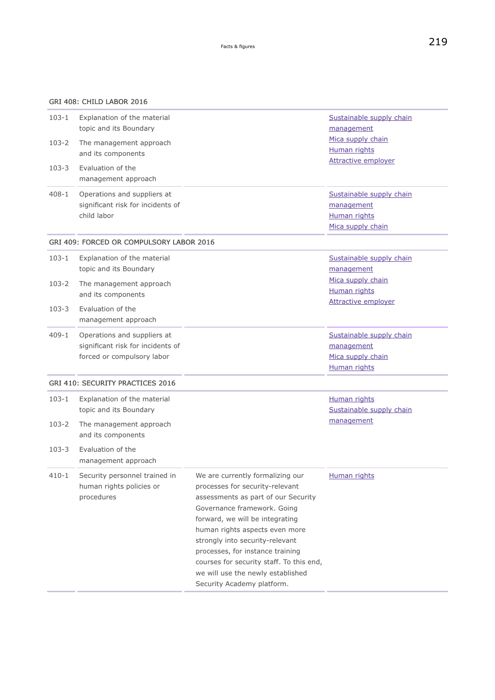| $103 - 1$ | Explanation of the material<br>topic and its Boundary                                          |                                                                                                                                                                                                                                                                                                                                                                                                      | Sustainable supply chain<br>management                                      |
|-----------|------------------------------------------------------------------------------------------------|------------------------------------------------------------------------------------------------------------------------------------------------------------------------------------------------------------------------------------------------------------------------------------------------------------------------------------------------------------------------------------------------------|-----------------------------------------------------------------------------|
| $103 - 2$ | The management approach<br>and its components                                                  |                                                                                                                                                                                                                                                                                                                                                                                                      | Mica supply chain<br><b>Human rights</b>                                    |
| $103 - 3$ | Evaluation of the<br>management approach                                                       |                                                                                                                                                                                                                                                                                                                                                                                                      | <b>Attractive employer</b>                                                  |
| $408 - 1$ | Operations and suppliers at<br>significant risk for incidents of<br>child labor                |                                                                                                                                                                                                                                                                                                                                                                                                      | Sustainable supply chain<br>management<br>Human rights<br>Mica supply chain |
|           | GRI 409: FORCED OR COMPULSORY LABOR 2016                                                       |                                                                                                                                                                                                                                                                                                                                                                                                      |                                                                             |
| $103 - 1$ | Explanation of the material<br>topic and its Boundary                                          |                                                                                                                                                                                                                                                                                                                                                                                                      | Sustainable supply chain<br>management                                      |
| $103 - 2$ | The management approach<br>and its components                                                  |                                                                                                                                                                                                                                                                                                                                                                                                      | Mica supply chain<br><b>Human rights</b><br><b>Attractive employer</b>      |
| $103 - 3$ | Evaluation of the<br>management approach                                                       |                                                                                                                                                                                                                                                                                                                                                                                                      |                                                                             |
| 409-1     | Operations and suppliers at<br>significant risk for incidents of<br>forced or compulsory labor |                                                                                                                                                                                                                                                                                                                                                                                                      | Sustainable supply chain<br>management<br>Mica supply chain<br>Human rights |
|           | <b>GRI 410: SECURITY PRACTICES 2016</b>                                                        |                                                                                                                                                                                                                                                                                                                                                                                                      |                                                                             |
| $103 - 1$ | Explanation of the material<br>topic and its Boundary                                          |                                                                                                                                                                                                                                                                                                                                                                                                      | Human rights<br>Sustainable supply chain                                    |
| $103 - 2$ | The management approach<br>and its components                                                  |                                                                                                                                                                                                                                                                                                                                                                                                      | management                                                                  |
| $103 - 3$ | Evaluation of the<br>management approach                                                       |                                                                                                                                                                                                                                                                                                                                                                                                      |                                                                             |
| $410 - 1$ | Security personnel trained in<br>human rights policies or<br>procedures                        | We are currently formalizing our<br>processes for security-relevant<br>assessments as part of our Security<br>Governance framework. Going<br>forward, we will be integrating<br>human rights aspects even more<br>strongly into security-relevant<br>processes, for instance training<br>courses for security staff. To this end,<br>we will use the newly established<br>Security Academy platform. | <b>Human rights</b>                                                         |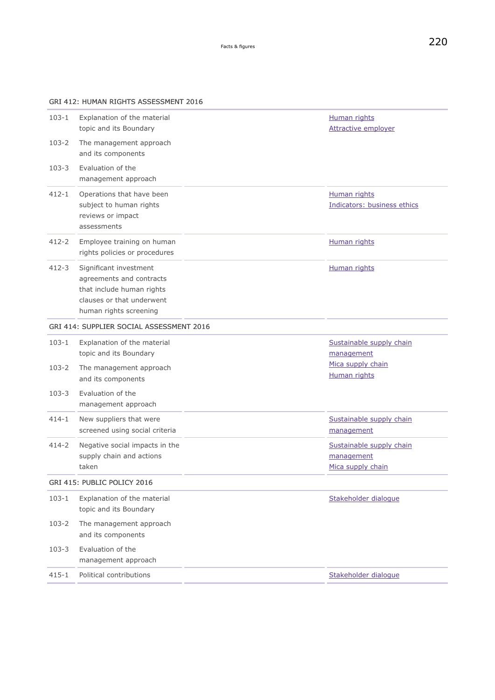### GRI 412: HUMAN RIGHTS ASSESSMENT 2016

| $103 - 1$ | Explanation of the material<br>topic and its Boundary                                                                                  | Human rights<br><b>Attractive employer</b>                  |
|-----------|----------------------------------------------------------------------------------------------------------------------------------------|-------------------------------------------------------------|
| $103 - 2$ | The management approach<br>and its components                                                                                          |                                                             |
| $103 - 3$ | Evaluation of the<br>management approach                                                                                               |                                                             |
| $412 - 1$ | Operations that have been<br>subject to human rights<br>reviews or impact<br>assessments                                               | <b>Human rights</b><br>Indicators: business ethics          |
| $412 - 2$ | Employee training on human<br>rights policies or procedures                                                                            | Human rights                                                |
| $412 - 3$ | Significant investment<br>agreements and contracts<br>that include human rights<br>clauses or that underwent<br>human rights screening | Human rights                                                |
|           | GRI 414: SUPPLIER SOCIAL ASSESSMENT 2016                                                                                               |                                                             |
| $103 - 1$ | Explanation of the material<br>topic and its Boundary                                                                                  | Sustainable supply chain<br>management                      |
| $103 - 2$ | The management approach<br>and its components                                                                                          | Mica supply chain<br><b>Human rights</b>                    |
| $103 - 3$ | Evaluation of the<br>management approach                                                                                               |                                                             |
| $414 - 1$ | New suppliers that were<br>screened using social criteria                                                                              | Sustainable supply chain<br>management                      |
| $414 - 2$ | Negative social impacts in the<br>supply chain and actions<br>taken                                                                    | Sustainable supply chain<br>management<br>Mica supply chain |
|           | GRI 415: PUBLIC POLICY 2016                                                                                                            |                                                             |
| $103 - 1$ | Explanation of the material<br>topic and its Boundary                                                                                  | Stakeholder dialogue                                        |
| $103 - 2$ | The management approach<br>and its components                                                                                          |                                                             |
| $103 - 3$ | Evaluation of the<br>management approach                                                                                               |                                                             |
| $415 - 1$ | Political contributions                                                                                                                | Stakeholder dialogue                                        |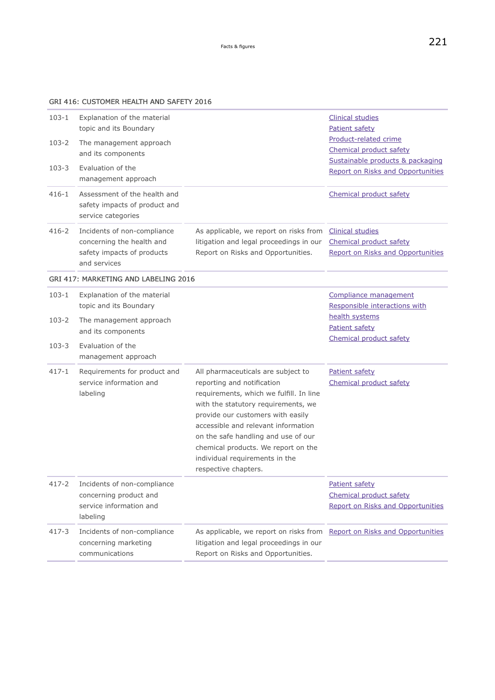### GRI 416: CUSTOMER HEALTH AND SAFETY 2016

| $103 - 1$ | Explanation of the material<br>topic and its Boundary                                                  |                                                                                                                                                                                                                                                                                                                                                                        | <b>Clinical studies</b><br>Patient safety                                               |
|-----------|--------------------------------------------------------------------------------------------------------|------------------------------------------------------------------------------------------------------------------------------------------------------------------------------------------------------------------------------------------------------------------------------------------------------------------------------------------------------------------------|-----------------------------------------------------------------------------------------|
| 103-2     | The management approach<br>and its components                                                          |                                                                                                                                                                                                                                                                                                                                                                        | Product-related crime<br>Chemical product safety<br>Sustainable products & packaging    |
| $103 - 3$ | Evaluation of the<br>management approach                                                               |                                                                                                                                                                                                                                                                                                                                                                        | Report on Risks and Opportunities                                                       |
| $416 - 1$ | Assessment of the health and<br>safety impacts of product and<br>service categories                    |                                                                                                                                                                                                                                                                                                                                                                        | Chemical product safety                                                                 |
| $416 - 2$ | Incidents of non-compliance<br>concerning the health and<br>safety impacts of products<br>and services | As applicable, we report on risks from<br>litigation and legal proceedings in our<br>Report on Risks and Opportunities.                                                                                                                                                                                                                                                | <b>Clinical studies</b><br>Chemical product safety<br>Report on Risks and Opportunities |
|           | GRI 417: MARKETING AND LABELING 2016                                                                   |                                                                                                                                                                                                                                                                                                                                                                        |                                                                                         |
| $103 - 1$ | Explanation of the material<br>topic and its Boundary                                                  |                                                                                                                                                                                                                                                                                                                                                                        | Compliance management<br>Responsible interactions with                                  |
| 103-2     | The management approach<br>and its components                                                          |                                                                                                                                                                                                                                                                                                                                                                        | health systems<br>Patient safety<br>Chemical product safety                             |
| $103 - 3$ | Evaluation of the<br>management approach                                                               |                                                                                                                                                                                                                                                                                                                                                                        |                                                                                         |
| $417 - 1$ | Requirements for product and<br>service information and<br>labeling                                    | All pharmaceuticals are subject to<br>reporting and notification<br>requirements, which we fulfill. In line<br>with the statutory requirements, we<br>provide our customers with easily<br>accessible and relevant information<br>on the safe handling and use of our<br>chemical products. We report on the<br>individual requirements in the<br>respective chapters. | Patient safety<br>Chemical product safety                                               |
| $417 - 2$ | Incidents of non-compliance<br>concerning product and<br>service information and<br>labeling           |                                                                                                                                                                                                                                                                                                                                                                        | Patient safety<br>Chemical product safety<br><b>Report on Risks and Opportunities</b>   |
| $417 - 3$ | Incidents of non-compliance<br>concerning marketing<br>communications                                  | As applicable, we report on risks from Report on Risks and Opportunities<br>litigation and legal proceedings in our<br>Report on Risks and Opportunities.                                                                                                                                                                                                              |                                                                                         |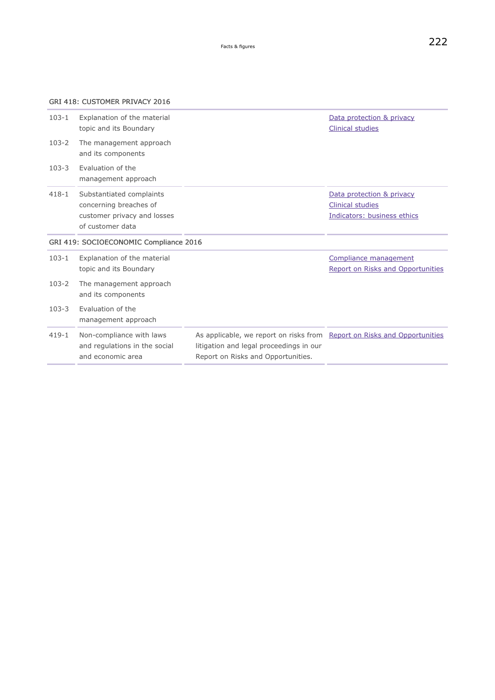### GRI 418: CUSTOMER PRIVACY 2016

| $103 - 1$ | Explanation of the material<br>topic and its Boundary                                                 |                                                                                                                                                           | Data protection & privacy<br><b>Clinical studies</b>                                |
|-----------|-------------------------------------------------------------------------------------------------------|-----------------------------------------------------------------------------------------------------------------------------------------------------------|-------------------------------------------------------------------------------------|
| $103 - 2$ | The management approach<br>and its components                                                         |                                                                                                                                                           |                                                                                     |
| $103 - 3$ | Evaluation of the<br>management approach                                                              |                                                                                                                                                           |                                                                                     |
| $418 - 1$ | Substantiated complaints<br>concerning breaches of<br>customer privacy and losses<br>of customer data |                                                                                                                                                           | Data protection & privacy<br><b>Clinical studies</b><br>Indicators: business ethics |
|           | GRI 419: SOCIOECONOMIC Compliance 2016                                                                |                                                                                                                                                           |                                                                                     |
| $103 - 1$ | Explanation of the material<br>topic and its Boundary                                                 |                                                                                                                                                           | Compliance management<br>Report on Risks and Opportunities                          |
| $103 - 2$ | The management approach<br>and its components                                                         |                                                                                                                                                           |                                                                                     |
| $103 - 3$ | Evaluation of the<br>management approach                                                              |                                                                                                                                                           |                                                                                     |
| $419 - 1$ | Non-compliance with laws<br>and regulations in the social<br>and economic area                        | As applicable, we report on risks from Report on Risks and Opportunities<br>litigation and legal proceedings in our<br>Report on Risks and Opportunities. |                                                                                     |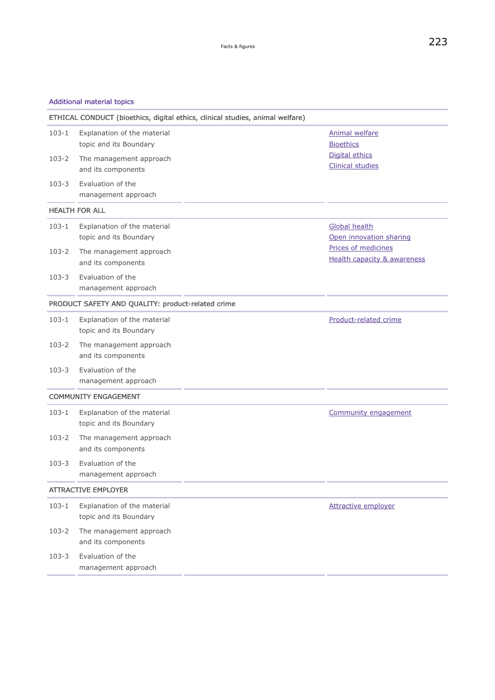### Additional material topics

| ETHICAL CONDUCT (bioethics, digital ethics, clinical studies, animal welfare) |                                                       |  |                                                               |
|-------------------------------------------------------------------------------|-------------------------------------------------------|--|---------------------------------------------------------------|
| $103 - 1$                                                                     | Explanation of the material<br>topic and its Boundary |  | <b>Animal welfare</b><br><b>Bioethics</b>                     |
| 103-2                                                                         | The management approach<br>and its components         |  | Digital ethics<br><b>Clinical studies</b>                     |
| $103 - 3$                                                                     | Evaluation of the<br>management approach              |  |                                                               |
|                                                                               | <b>HEALTH FOR ALL</b>                                 |  |                                                               |
| $103 - 1$                                                                     | Explanation of the material<br>topic and its Boundary |  | <b>Global health</b><br>Open innovation sharing               |
| 103-2                                                                         | The management approach<br>and its components         |  | Prices of medicines<br><b>Health capacity &amp; awareness</b> |
| $103 - 3$                                                                     | Evaluation of the<br>management approach              |  |                                                               |
|                                                                               | PRODUCT SAFETY AND QUALITY: product-related crime     |  |                                                               |
| $103 - 1$                                                                     | Explanation of the material<br>topic and its Boundary |  | Product-related crime                                         |
| $103-2$                                                                       | The management approach<br>and its components         |  |                                                               |
| $103 - 3$                                                                     | Evaluation of the<br>management approach              |  |                                                               |
|                                                                               | <b>COMMUNITY ENGAGEMENT</b>                           |  |                                                               |
| $103 - 1$                                                                     | Explanation of the material<br>topic and its Boundary |  | Community engagement                                          |
| $103 - 2$                                                                     | The management approach<br>and its components         |  |                                                               |
| $103 - 3$                                                                     | Evaluation of the<br>management approach              |  |                                                               |
|                                                                               | <b>ATTRACTIVE EMPLOYER</b>                            |  |                                                               |
| $103 - 1$                                                                     | Explanation of the material<br>topic and its Boundary |  | <b>Attractive employer</b>                                    |
| 103-2                                                                         | The management approach<br>and its components         |  |                                                               |
| $103 - 3$                                                                     | Evaluation of the<br>management approach              |  |                                                               |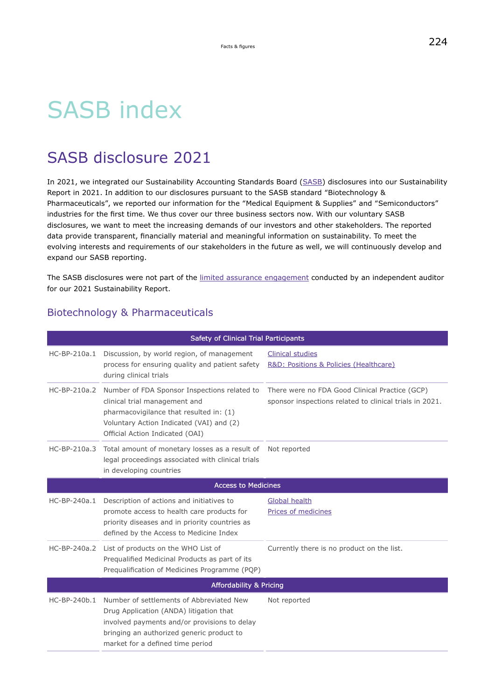# <span id="page-59-0"></span>SASB index

## SASB disclosure 2021

In 2021, we integrated our Sustainability Accounting Standards Board [\(SASB\)](https://www.sasb.org/) disclosures into our Sustainability Report in 2021. In addition to our disclosures pursuant to the SASB standard "Biotechnology & Pharmaceuticals", we reported our information for the "Medical Equipment & Supplies" and "Semiconductors" industries for the first time. We thus cover our three business sectors now. With our voluntary SASB disclosures, we want to meet the increasing demands of our investors and other stakeholders. The reported data provide transparent, financially material and meaningful information on sustainability. To meet the evolving interests and requirements of our stakeholders in the future as well, we will continuously develop and expand our SASB reporting.

The SASB disclosures were not part of the [limited assurance engagement](https://hippo.nexxar.com/pagenotfound) conducted by an independent auditor for our 2021 Sustainability Report.

### Biotechnology & Pharmaceuticals

|                | Safety of Clinical Trial Participants                                                                                                                                                                                |                                                                                                           |
|----------------|----------------------------------------------------------------------------------------------------------------------------------------------------------------------------------------------------------------------|-----------------------------------------------------------------------------------------------------------|
| HC-BP-210a.1   | Discussion, by world region, of management<br>process for ensuring quality and patient safety<br>during clinical trials                                                                                              | <b>Clinical studies</b><br>R&D: Positions & Policies (Healthcare)                                         |
| $HC-BP-210a.2$ | Number of FDA Sponsor Inspections related to<br>clinical trial management and<br>pharmacovigilance that resulted in: (1)<br>Voluntary Action Indicated (VAI) and (2)<br>Official Action Indicated (OAI)              | There were no FDA Good Clinical Practice (GCP)<br>sponsor inspections related to clinical trials in 2021. |
|                | HC-BP-210a.3 Total amount of monetary losses as a result of Not reported<br>legal proceedings associated with clinical trials<br>in developing countries                                                             |                                                                                                           |
|                | <b>Access to Medicines</b>                                                                                                                                                                                           |                                                                                                           |
| HC-BP-240a.1   | Description of actions and initiatives to<br>promote access to health care products for<br>priority diseases and in priority countries as<br>defined by the Access to Medicine Index                                 | Global health<br>Prices of medicines                                                                      |
| HC-BP-240a.2   | List of products on the WHO List of<br>Prequalified Medicinal Products as part of its<br>Prequalification of Medicines Programme (PQP)                                                                               | Currently there is no product on the list.                                                                |
|                | <b>Affordability &amp; Pricing</b>                                                                                                                                                                                   |                                                                                                           |
| HC-BP-240b.1   | Number of settlements of Abbreviated New<br>Drug Application (ANDA) litigation that<br>involved payments and/or provisions to delay<br>bringing an authorized generic product to<br>market for a defined time period | Not reported                                                                                              |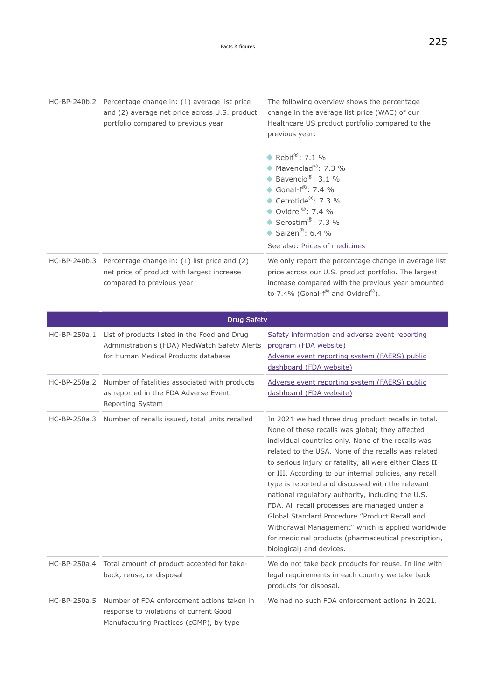HC-BP-240b.2 Percentage change in: (1) average list price and (2) average net price across U.S. product portfolio compared to previous year The following overview shows the percentage change in the average list price (WAC) of our Healthcare US product portfolio compared to the previous year: See also: [Prices of medicines](#page-94-0) HC-BP-240b.3 Percentage change in: (1) list price and (2) net price of product with largest increase compared to previous year We only report the percentage change in average list price across our U.S. product portfolio. The largest increase compared with the previous year amounted to 7.4% (Gonal- $f^{\circledR}$  and Ovidrel $^{\circledR}$ ). ◆ Rebif<sup>®</sup>: 7.1 %  $M$ Mavenclad®: 7.3 % Bavencio<sup>®</sup>: 3.1 % Gonal- $f^{\circledR}$ : 7.4 % ◆ Cetrotide<sup>®</sup>: 7.3 % ◆ Ovidrel<sup>®</sup>: 7.4 % ◆ Serostim<sup>®</sup>: 7.3 % Saizen®:  $6.4%$ 

|              | <b>Drug Safety</b>                                                                                                                   |                                                                                                                                                                                                                                                                                                                                                                                                                                                                                                                                                                                                                                                                                              |  |
|--------------|--------------------------------------------------------------------------------------------------------------------------------------|----------------------------------------------------------------------------------------------------------------------------------------------------------------------------------------------------------------------------------------------------------------------------------------------------------------------------------------------------------------------------------------------------------------------------------------------------------------------------------------------------------------------------------------------------------------------------------------------------------------------------------------------------------------------------------------------|--|
| HC-BP-250a.1 | List of products listed in the Food and Drug<br>Administration's (FDA) MedWatch Safety Alerts<br>for Human Medical Products database | Safety information and adverse event reporting<br>program (FDA website)<br>Adverse event reporting system (FAERS) public<br>dashboard (FDA website)                                                                                                                                                                                                                                                                                                                                                                                                                                                                                                                                          |  |
| HC-BP-250a.2 | Number of fatalities associated with products<br>as reported in the FDA Adverse Event<br>Reporting System                            | Adverse event reporting system (FAERS) public<br>dashboard (FDA website)                                                                                                                                                                                                                                                                                                                                                                                                                                                                                                                                                                                                                     |  |
| HC-BP-250a.3 | Number of recalls issued, total units recalled                                                                                       | In 2021 we had three drug product recalls in total.<br>None of these recalls was global; they affected<br>individual countries only. None of the recalls was<br>related to the USA. None of the recalls was related<br>to serious injury or fatality, all were either Class II<br>or III. According to our internal policies, any recall<br>type is reported and discussed with the relevant<br>national regulatory authority, including the U.S.<br>FDA. All recall processes are managed under a<br>Global Standard Procedure "Product Recall and<br>Withdrawal Management" which is applied worldwide<br>for medicinal products (pharmaceutical prescription,<br>biological) and devices. |  |
|              | HC-BP-250a.4 Total amount of product accepted for take-<br>back, reuse, or disposal                                                  | We do not take back products for reuse. In line with<br>legal requirements in each country we take back<br>products for disposal.                                                                                                                                                                                                                                                                                                                                                                                                                                                                                                                                                            |  |
| HC-BP-250a.5 | Number of FDA enforcement actions taken in<br>response to violations of current Good<br>Manufacturing Practices (cGMP), by type      | We had no such FDA enforcement actions in 2021.                                                                                                                                                                                                                                                                                                                                                                                                                                                                                                                                                                                                                                              |  |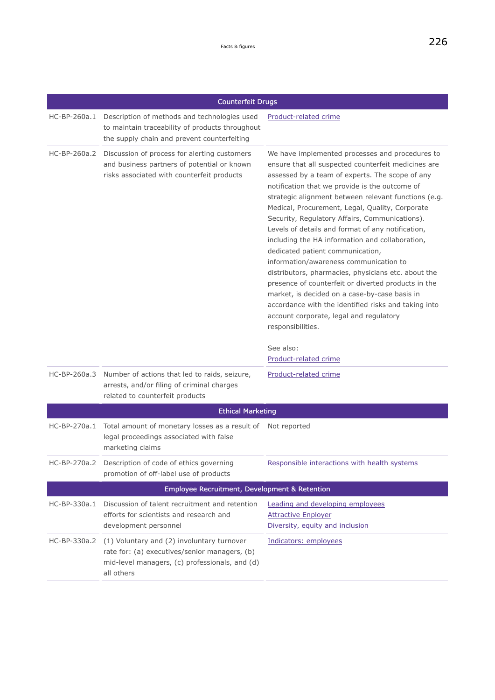|                | <b>Counterfeit Drugs</b>                                                                                                                                    |                                                                                                                                                                                                                                                                                                                                                                                                                                                                                                                                                                                                                                                                                                                                                                                                                                                                                             |
|----------------|-------------------------------------------------------------------------------------------------------------------------------------------------------------|---------------------------------------------------------------------------------------------------------------------------------------------------------------------------------------------------------------------------------------------------------------------------------------------------------------------------------------------------------------------------------------------------------------------------------------------------------------------------------------------------------------------------------------------------------------------------------------------------------------------------------------------------------------------------------------------------------------------------------------------------------------------------------------------------------------------------------------------------------------------------------------------|
| HC-BP-260a.1   | Description of methods and technologies used<br>to maintain traceability of products throughout<br>the supply chain and prevent counterfeiting              | Product-related crime                                                                                                                                                                                                                                                                                                                                                                                                                                                                                                                                                                                                                                                                                                                                                                                                                                                                       |
| HC-BP-260a.2   | Discussion of process for alerting customers<br>and business partners of potential or known<br>risks associated with counterfeit products                   | We have implemented processes and procedures to<br>ensure that all suspected counterfeit medicines are<br>assessed by a team of experts. The scope of any<br>notification that we provide is the outcome of<br>strategic alignment between relevant functions (e.g.<br>Medical, Procurement, Legal, Quality, Corporate<br>Security, Regulatory Affairs, Communications).<br>Levels of details and format of any notification,<br>including the HA information and collaboration,<br>dedicated patient communication,<br>information/awareness communication to<br>distributors, pharmacies, physicians etc. about the<br>presence of counterfeit or diverted products in the<br>market, is decided on a case-by-case basis in<br>accordance with the identified risks and taking into<br>account corporate, legal and regulatory<br>responsibilities.<br>See also:<br>Product-related crime |
| HC-BP-260a.3   | Number of actions that led to raids, seizure,<br>arrests, and/or filing of criminal charges<br>related to counterfeit products                              | Product-related crime                                                                                                                                                                                                                                                                                                                                                                                                                                                                                                                                                                                                                                                                                                                                                                                                                                                                       |
|                | <b>Ethical Marketing</b>                                                                                                                                    |                                                                                                                                                                                                                                                                                                                                                                                                                                                                                                                                                                                                                                                                                                                                                                                                                                                                                             |
| HC-BP-270a.1   | Total amount of monetary losses as a result of<br>legal proceedings associated with false<br>marketing claims                                               | Not reported                                                                                                                                                                                                                                                                                                                                                                                                                                                                                                                                                                                                                                                                                                                                                                                                                                                                                |
| HC-BP-270a.2   | Description of code of ethics governing<br>promotion of off-label use of products                                                                           | Responsible interactions with health systems                                                                                                                                                                                                                                                                                                                                                                                                                                                                                                                                                                                                                                                                                                                                                                                                                                                |
|                | Employee Recruitment, Development & Retention                                                                                                               |                                                                                                                                                                                                                                                                                                                                                                                                                                                                                                                                                                                                                                                                                                                                                                                                                                                                                             |
| $HC-BP-330a.1$ | Discussion of talent recruitment and retention<br>efforts for scientists and research and<br>development personnel                                          | Leading and developing employees<br><b>Attractive Enployer</b><br>Diversity, equity and inclusion                                                                                                                                                                                                                                                                                                                                                                                                                                                                                                                                                                                                                                                                                                                                                                                           |
| HC-BP-330a.2   | (1) Voluntary and (2) involuntary turnover<br>rate for: (a) executives/senior managers, (b)<br>mid-level managers, (c) professionals, and (d)<br>all others | Indicators: employees                                                                                                                                                                                                                                                                                                                                                                                                                                                                                                                                                                                                                                                                                                                                                                                                                                                                       |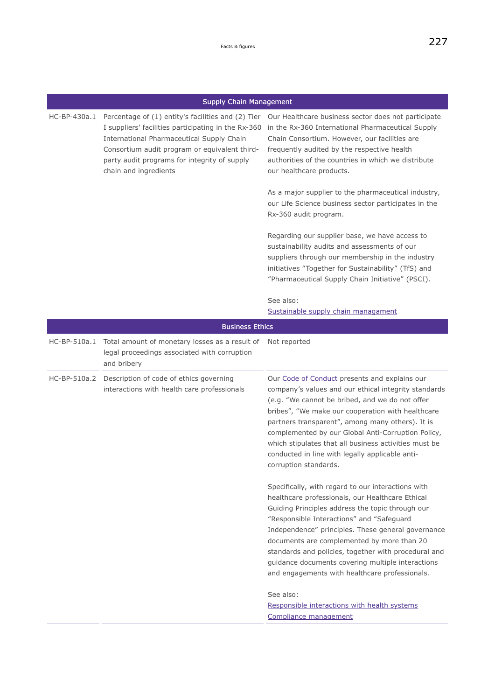|              | <b>Supply Chain Management</b>                                                                                                                                                                                                                                                   |                                                                                                                                                                                                                                                                                                                                                                                                                                                                            |
|--------------|----------------------------------------------------------------------------------------------------------------------------------------------------------------------------------------------------------------------------------------------------------------------------------|----------------------------------------------------------------------------------------------------------------------------------------------------------------------------------------------------------------------------------------------------------------------------------------------------------------------------------------------------------------------------------------------------------------------------------------------------------------------------|
| HC-BP-430a.1 | Percentage of (1) entity's facilities and (2) Tier<br>I suppliers' facilities participating in the Rx-360<br>International Pharmaceutical Supply Chain<br>Consortium audit program or equivalent third-<br>party audit programs for integrity of supply<br>chain and ingredients | Our Healthcare business sector does not participate<br>in the Rx-360 International Pharmaceutical Supply<br>Chain Consortium. However, our facilities are<br>frequently audited by the respective health<br>authorities of the countries in which we distribute<br>our healthcare products.                                                                                                                                                                                |
|              |                                                                                                                                                                                                                                                                                  | As a major supplier to the pharmaceutical industry,<br>our Life Science business sector participates in the<br>Rx-360 audit program.                                                                                                                                                                                                                                                                                                                                       |
|              |                                                                                                                                                                                                                                                                                  | Regarding our supplier base, we have access to<br>sustainability audits and assessments of our<br>suppliers through our membership in the industry<br>initiatives "Together for Sustainability" (TfS) and<br>"Pharmaceutical Supply Chain Initiative" (PSCI).                                                                                                                                                                                                              |
|              |                                                                                                                                                                                                                                                                                  | See also:<br>Sustainable supply chain managament                                                                                                                                                                                                                                                                                                                                                                                                                           |
|              | <b>Business Ethics</b>                                                                                                                                                                                                                                                           |                                                                                                                                                                                                                                                                                                                                                                                                                                                                            |
| HC-BP-510a.1 | Total amount of monetary losses as a result of<br>legal proceedings associated with corruption<br>and bribery                                                                                                                                                                    | Not reported                                                                                                                                                                                                                                                                                                                                                                                                                                                               |
|              | HC-BP-510a.2 Description of code of ethics governing<br>interactions with health care professionals                                                                                                                                                                              | Our Code of Conduct presents and explains our<br>company's values and our ethical integrity standards<br>(e.g. "We cannot be bribed, and we do not offer<br>bribes", "We make our cooperation with healthcare<br>partners transparent", among many others). It is<br>complemented by our Global Anti-Corruption Policy,<br>which stipulates that all business activities must be<br>conducted in line with legally applicable anti-<br>corruption standards.               |
|              |                                                                                                                                                                                                                                                                                  | Specifically, with regard to our interactions with<br>healthcare professionals, our Healthcare Ethical<br>Guiding Principles address the topic through our<br>"Responsible Interactions" and "Safeguard<br>Independence" principles. These general governance<br>documents are complemented by more than 20<br>standards and policies, together with procedural and<br>guidance documents covering multiple interactions<br>and engagements with healthcare professionals. |
|              |                                                                                                                                                                                                                                                                                  | See also:<br>Responsible interactions with health systems<br>Compliance management                                                                                                                                                                                                                                                                                                                                                                                         |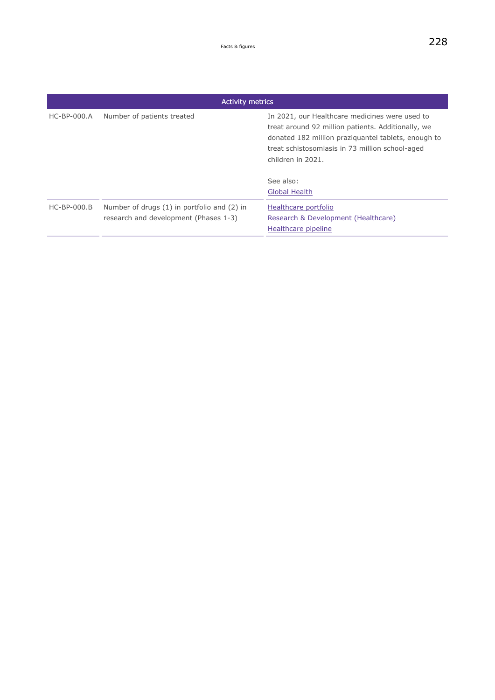<span id="page-63-0"></span>

|               | <b>Activity metrics</b>                                                              |                                                                                                                                                                                                                                                  |  |
|---------------|--------------------------------------------------------------------------------------|--------------------------------------------------------------------------------------------------------------------------------------------------------------------------------------------------------------------------------------------------|--|
| $HC-BP-000.A$ | Number of patients treated                                                           | In 2021, our Healthcare medicines were used to<br>treat around 92 million patients. Additionally, we<br>donated 182 million praziguantel tablets, enough to<br>treat schistosomiasis in 73 million school-aged<br>children in 2021.<br>See also: |  |
|               |                                                                                      | <b>Global Health</b>                                                                                                                                                                                                                             |  |
| $HC-BP-000.B$ | Number of drugs (1) in portfolio and (2) in<br>research and development (Phases 1-3) | Healthcare portfolio<br>Research & Development (Healthcare)<br>Healthcare pipeline                                                                                                                                                               |  |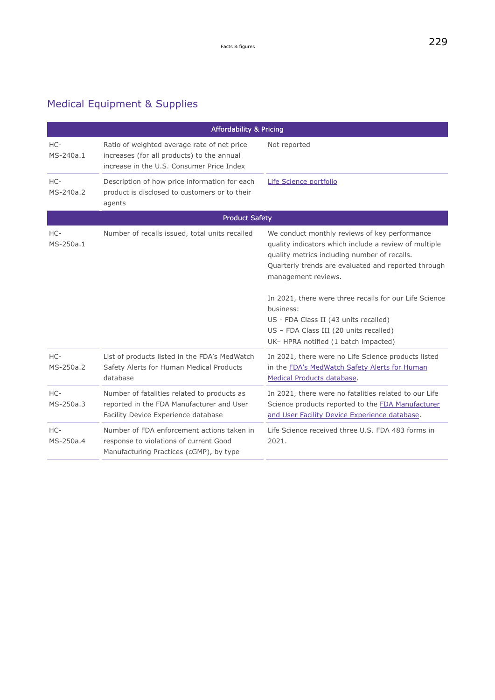## Medical Equipment & Supplies

|                    | <b>Affordability &amp; Pricing</b>                                                                                                     |                                                                                                                                                                                                                                                                                                                                                                                                                                        |
|--------------------|----------------------------------------------------------------------------------------------------------------------------------------|----------------------------------------------------------------------------------------------------------------------------------------------------------------------------------------------------------------------------------------------------------------------------------------------------------------------------------------------------------------------------------------------------------------------------------------|
| HC-<br>MS-240a.1   | Ratio of weighted average rate of net price<br>increases (for all products) to the annual<br>increase in the U.S. Consumer Price Index | Not reported                                                                                                                                                                                                                                                                                                                                                                                                                           |
| HC-<br>MS-240a.2   | Description of how price information for each<br>product is disclosed to customers or to their<br>agents                               | Life Science portfolio                                                                                                                                                                                                                                                                                                                                                                                                                 |
|                    | <b>Product Safety</b>                                                                                                                  |                                                                                                                                                                                                                                                                                                                                                                                                                                        |
| HC-<br>MS-250a.1   | Number of recalls issued, total units recalled                                                                                         | We conduct monthly reviews of key performance<br>quality indicators which include a review of multiple<br>quality metrics including number of recalls.<br>Quarterly trends are evaluated and reported through<br>management reviews.<br>In 2021, there were three recalls for our Life Science<br>business:<br>US - FDA Class II (43 units recalled)<br>US - FDA Class III (20 units recalled)<br>UK- HPRA notified (1 batch impacted) |
| HC-<br>MS-250a.2   | List of products listed in the FDA's MedWatch<br>Safety Alerts for Human Medical Products<br>database                                  | In 2021, there were no Life Science products listed<br>in the FDA's MedWatch Safety Alerts for Human<br>Medical Products database.                                                                                                                                                                                                                                                                                                     |
| $HC-$<br>MS-250a.3 | Number of fatalities related to products as<br>reported in the FDA Manufacturer and User<br>Facility Device Experience database        | In 2021, there were no fatalities related to our Life<br>Science products reported to the FDA Manufacturer<br>and User Facility Device Experience database.                                                                                                                                                                                                                                                                            |
| HC-<br>MS-250a.4   | Number of FDA enforcement actions taken in<br>response to violations of current Good<br>Manufacturing Practices (cGMP), by type        | Life Science received three U.S. FDA 483 forms in<br>2021.                                                                                                                                                                                                                                                                                                                                                                             |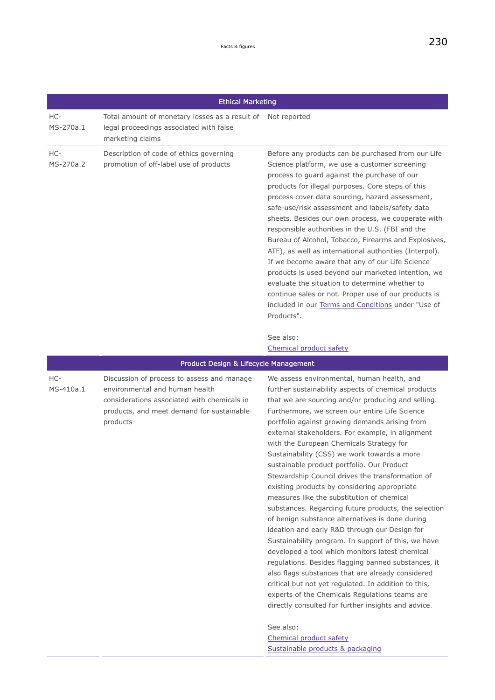|                  | <b>Ethical Marketing</b>                                                                                                                                                             |                                                                                                                                                                                                                                                                                                                                                                                                                                                                                                                                                                                                                                                                                                                                                                                                                                                                                                                                                                                                                                                                                                                                                                                                       |
|------------------|--------------------------------------------------------------------------------------------------------------------------------------------------------------------------------------|-------------------------------------------------------------------------------------------------------------------------------------------------------------------------------------------------------------------------------------------------------------------------------------------------------------------------------------------------------------------------------------------------------------------------------------------------------------------------------------------------------------------------------------------------------------------------------------------------------------------------------------------------------------------------------------------------------------------------------------------------------------------------------------------------------------------------------------------------------------------------------------------------------------------------------------------------------------------------------------------------------------------------------------------------------------------------------------------------------------------------------------------------------------------------------------------------------|
| HC-<br>MS-270a.1 | Total amount of monetary losses as a result of Not reported<br>legal proceedings associated with false<br>marketing claims                                                           |                                                                                                                                                                                                                                                                                                                                                                                                                                                                                                                                                                                                                                                                                                                                                                                                                                                                                                                                                                                                                                                                                                                                                                                                       |
| HC-<br>MS-270a.2 | Description of code of ethics governing<br>promotion of off-label use of products                                                                                                    | Before any products can be purchased from our Life<br>Science platform, we use a customer screening<br>process to guard against the purchase of our<br>products for illegal purposes. Core steps of this<br>process cover data sourcing, hazard assessment,<br>safe-use/risk assessment and labels/safety data<br>sheets. Besides our own process, we cooperate with<br>responsible authorities in the U.S. (FBI and the<br>Bureau of Alcohol, Tobacco, Firearms and Explosives,<br>ATF), as well as international authorities (Interpol).<br>If we become aware that any of our Life Science<br>products is used beyond our marketed intention, we<br>evaluate the situation to determine whether to<br>continue sales or not. Proper use of our products is<br>included in our Terms and Conditions under "Use of<br>Products".                                                                                                                                                                                                                                                                                                                                                                     |
|                  |                                                                                                                                                                                      | See also:<br>Chemical product safety                                                                                                                                                                                                                                                                                                                                                                                                                                                                                                                                                                                                                                                                                                                                                                                                                                                                                                                                                                                                                                                                                                                                                                  |
|                  | Product Design & Lifecycle Management                                                                                                                                                |                                                                                                                                                                                                                                                                                                                                                                                                                                                                                                                                                                                                                                                                                                                                                                                                                                                                                                                                                                                                                                                                                                                                                                                                       |
| HC-<br>MS-410a.1 | Discussion of process to assess and manage<br>environmental and human health<br>considerations associated with chemicals in<br>products, and meet demand for sustainable<br>products | We assess environmental, human health, and<br>further sustainability aspects of chemical products<br>that we are sourcing and/or producing and selling.<br>Furthermore, we screen our entire Life Science<br>portfolio against growing demands arising from<br>external stakeholders. For example, in alignment<br>with the European Chemicals Strategy for<br>Sustainability (CSS) we work towards a more<br>sustainable product portfolio. Our Product<br>Stewardship Council drives the transformation of<br>existing products by considering appropriate<br>measures like the substitution of chemical<br>substances. Regarding future products, the selection<br>of benign substance alternatives is done during<br>ideation and early R&D through our Design for<br>Sustainability program. In support of this, we have<br>developed a tool which monitors latest chemical<br>regulations. Besides flagging banned substances, it<br>also flags substances that are already considered<br>critical but not yet regulated. In addition to this,<br>experts of the Chemicals Regulations teams are<br>directly consulted for further insights and advice.<br>See also:<br>Chemical product safety |

### [Sustainable products & packaging](#page-74-0)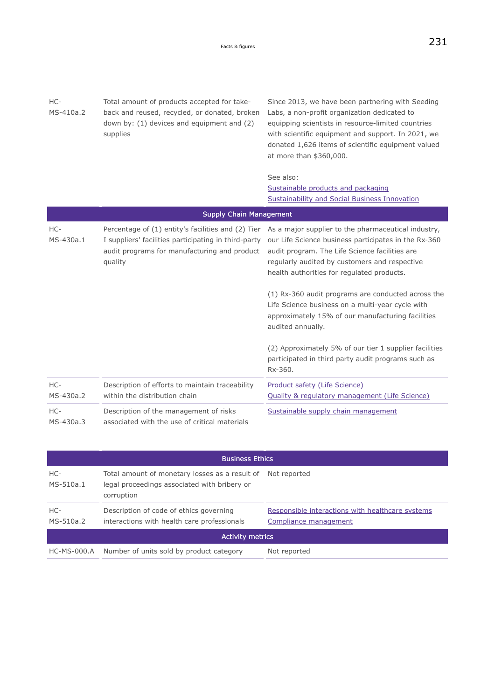| HC-<br>MS-410a.2 | Total amount of products accepted for take-<br>back and reused, recycled, or donated, broken<br>down by: (1) devices and equipment and (2)<br>supplies                | Since 2013, we have been partnering with Seeding<br>Labs, a non-profit organization dedicated to<br>equipping scientists in resource-limited countries<br>with scientific equipment and support. In 2021, we<br>donated 1,626 items of scientific equipment valued<br>at more than \$360,000.                                                                                                                                                                                                                                                                               |
|------------------|-----------------------------------------------------------------------------------------------------------------------------------------------------------------------|-----------------------------------------------------------------------------------------------------------------------------------------------------------------------------------------------------------------------------------------------------------------------------------------------------------------------------------------------------------------------------------------------------------------------------------------------------------------------------------------------------------------------------------------------------------------------------|
|                  |                                                                                                                                                                       | See also:<br>Sustainable products and packaging<br><b>Sustainability and Social Business Innovation</b>                                                                                                                                                                                                                                                                                                                                                                                                                                                                     |
|                  | <b>Supply Chain Management</b>                                                                                                                                        |                                                                                                                                                                                                                                                                                                                                                                                                                                                                                                                                                                             |
| HC-<br>MS-430a.1 | Percentage of (1) entity's facilities and (2) Tier<br>I suppliers' facilities participating in third-party<br>audit programs for manufacturing and product<br>quality | As a major supplier to the pharmaceutical industry,<br>our Life Science business participates in the Rx-360<br>audit program. The Life Science facilities are<br>regularly audited by customers and respective<br>health authorities for regulated products.<br>(1) Rx-360 audit programs are conducted across the<br>Life Science business on a multi-year cycle with<br>approximately 15% of our manufacturing facilities<br>audited annually.<br>(2) Approximately 5% of our tier 1 supplier facilities<br>participated in third party audit programs such as<br>Rx-360. |
| HC-<br>MS-430a.2 | Description of efforts to maintain traceability<br>within the distribution chain                                                                                      | Product safety (Life Science)<br>Quality & regulatory management (Life Science)                                                                                                                                                                                                                                                                                                                                                                                                                                                                                             |
| HC-<br>MS-430a.3 | Description of the management of risks<br>associated with the use of critical materials                                                                               | Sustainable supply chain management                                                                                                                                                                                                                                                                                                                                                                                                                                                                                                                                         |

|                         | <b>Business Ethics</b>                                                                                       |                                                                           |
|-------------------------|--------------------------------------------------------------------------------------------------------------|---------------------------------------------------------------------------|
| HC-<br>MS-510a.1        | Total amount of monetary losses as a result of<br>legal proceedings associated with bribery or<br>corruption | Not reported                                                              |
| HC-<br>MS-510a.2        | Description of code of ethics governing<br>interactions with health care professionals                       | Responsible interactions with healthcare systems<br>Compliance management |
| <b>Activity metrics</b> |                                                                                                              |                                                                           |
| <b>HC-MS-000.A</b>      | Number of units sold by product category                                                                     | Not reported                                                              |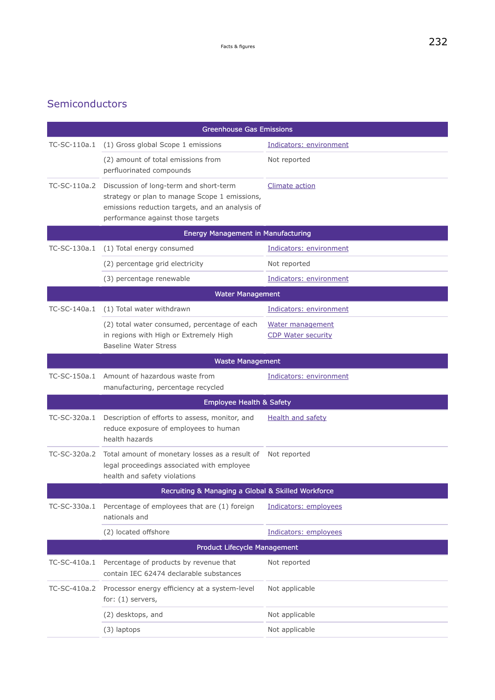### <span id="page-67-0"></span>Semiconductors

|              | <b>Greenhouse Gas Emissions</b>                                                                                                                                                              |                                               |
|--------------|----------------------------------------------------------------------------------------------------------------------------------------------------------------------------------------------|-----------------------------------------------|
| TC-SC-110a.1 | (1) Gross global Scope 1 emissions                                                                                                                                                           | Indicators: environment                       |
|              | (2) amount of total emissions from<br>perfluorinated compounds                                                                                                                               | Not reported                                  |
|              | TC-SC-110a.2 Discussion of long-term and short-term<br>strategy or plan to manage Scope 1 emissions,<br>emissions reduction targets, and an analysis of<br>performance against those targets | <b>Climate action</b>                         |
|              | <b>Energy Management in Manufacturing</b>                                                                                                                                                    |                                               |
| TC-SC-130a.1 | (1) Total energy consumed                                                                                                                                                                    | Indicators: environment                       |
|              | (2) percentage grid electricity                                                                                                                                                              | Not reported                                  |
|              | (3) percentage renewable                                                                                                                                                                     | Indicators: environment                       |
|              | <b>Water Management</b>                                                                                                                                                                      |                                               |
| TC-SC-140a.1 | (1) Total water withdrawn                                                                                                                                                                    | Indicators: environment                       |
|              | (2) total water consumed, percentage of each<br>in regions with High or Extremely High<br><b>Baseline Water Stress</b>                                                                       | Water management<br><b>CDP Water security</b> |
|              | <b>Waste Management</b>                                                                                                                                                                      |                                               |
| TC-SC-150a.1 | Amount of hazardous waste from<br>manufacturing, percentage recycled                                                                                                                         | Indicators: environment                       |
|              | <b>Employee Health &amp; Safety</b>                                                                                                                                                          |                                               |
| TC-SC-320a.1 | Description of efforts to assess, monitor, and<br>reduce exposure of employees to human<br>health hazards                                                                                    | <b>Health and safety</b>                      |
| TC-SC-320a.2 | Total amount of monetary losses as a result of<br>legal proceedings associated with employee<br>health and safety violations                                                                 | Not reported                                  |
|              | Recruiting & Managing a Global & Skilled Workforce                                                                                                                                           |                                               |
| TC-SC-330a.1 | Percentage of employees that are (1) foreign<br>nationals and                                                                                                                                | Indicators: employees                         |
|              | (2) located offshore                                                                                                                                                                         | Indicators: employees                         |
|              | Product Lifecycle Management                                                                                                                                                                 |                                               |
| TC-SC-410a.1 | Percentage of products by revenue that<br>contain IEC 62474 declarable substances                                                                                                            | Not reported                                  |
| TC-SC-410a.2 | Processor energy efficiency at a system-level<br>for: (1) servers,                                                                                                                           | Not applicable                                |
|              | (2) desktops, and                                                                                                                                                                            | Not applicable                                |
|              | (3) laptops                                                                                                                                                                                  | Not applicable                                |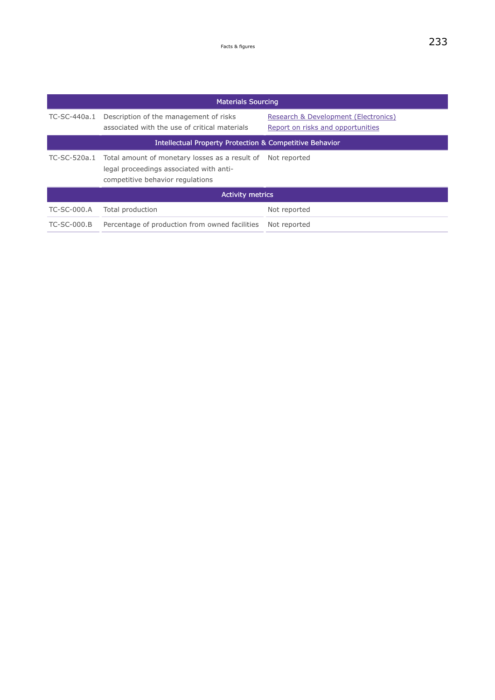| <b>Materials Sourcing</b> |                                                                                                                                            |                                                                           |  |
|---------------------------|--------------------------------------------------------------------------------------------------------------------------------------------|---------------------------------------------------------------------------|--|
| TC-SC-440a.1              | Description of the management of risks<br>associated with the use of critical materials                                                    | Research & Development (Electronics)<br>Report on risks and opportunities |  |
|                           | <b>Intellectual Property Protection &amp; Competitive Behavior</b>                                                                         |                                                                           |  |
| TC-SC-520a.1              | Total amount of monetary losses as a result of Not reported<br>legal proceedings associated with anti-<br>competitive behavior regulations |                                                                           |  |
|                           | <b>Activity metrics</b>                                                                                                                    |                                                                           |  |
| <b>TC-SC-000.A</b>        | Total production                                                                                                                           | Not reported                                                              |  |
| $TC-SC-000.B$             | Percentage of production from owned facilities                                                                                             | Not reported                                                              |  |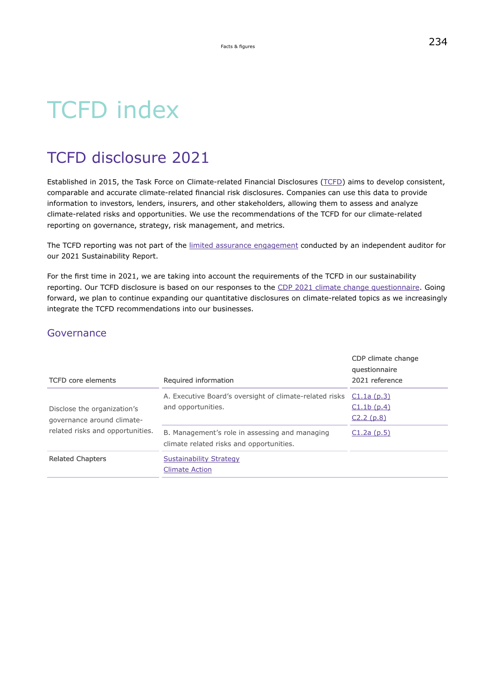# TCFD index

# TCFD disclosure 2021

Established in 2015, the Task Force on Climate-related Financial Disclosures [\(TCFD\)](https://www.fsb-tcfd.org/) aims to develop consistent, comparable and accurate climate-related financial risk disclosures. Companies can use this data to provide information to investors, lenders, insurers, and other stakeholders, allowing them to assess and analyze climate-related risks and opportunities. We use the recommendations of the TCFD for our climate-related reporting on governance, strategy, risk management, and metrics.

The TCFD reporting was not part of the [limited assurance engagement](https://hippo.nexxar.com/pagenotfound) conducted by an independent auditor for our 2021 Sustainability Report.

For the first time in 2021, we are taking into account the requirements of the TCFD in our sustainability reporting. Our TCFD disclosure is based on our responses to the [CDP 2021 climate change questionnaire.](https://www.emdgroup.com/company/responsibility/en/regulations-and-guidelines/CDP%20Climate%202021.pdf) Going forward, we plan to continue expanding our quantitative disclosures on climate-related topics as we increasingly integrate the TCFD recommendations into our businesses.

### Governance

| <b>TCFD</b> core elements                                                                     | Required information                                                                       | CDP climate change<br>questionnaire<br>2021 reference |
|-----------------------------------------------------------------------------------------------|--------------------------------------------------------------------------------------------|-------------------------------------------------------|
| Disclose the organization's<br>governance around climate-<br>related risks and opportunities. | A. Executive Board's oversight of climate-related risks<br>and opportunities.              | C1.1a(p.3)<br>C1.1b(p.4)<br>C2.2(p.8)                 |
|                                                                                               | B. Management's role in assessing and managing<br>climate related risks and opportunities. | C1.2a(p.5)                                            |
| <b>Related Chapters</b>                                                                       | Sustainability Strategy<br><b>Climate Action</b>                                           |                                                       |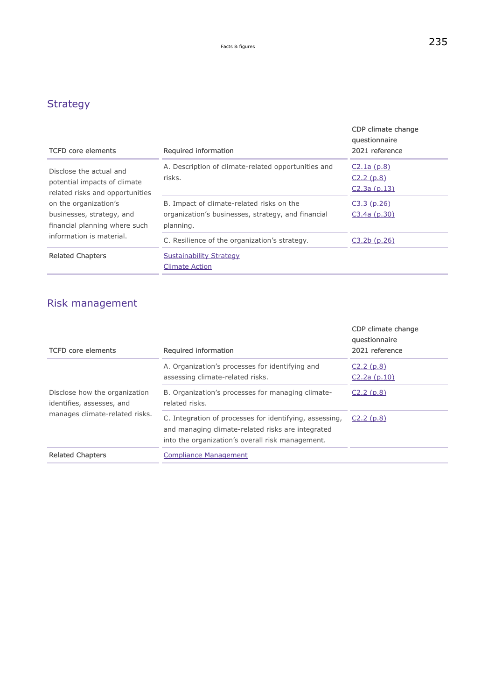### <span id="page-70-0"></span>**Strategy**

| <b>TCFD</b> core elements                                                                                                                                                                                     | Required information                                                                                         | CDP climate change<br>questionnaire<br>2021 reference |
|---------------------------------------------------------------------------------------------------------------------------------------------------------------------------------------------------------------|--------------------------------------------------------------------------------------------------------------|-------------------------------------------------------|
| Disclose the actual and<br>potential impacts of climate<br>related risks and opportunities<br>on the organization's<br>businesses, strategy, and<br>financial planning where such<br>information is material. | A. Description of climate-related opportunities and<br>risks.                                                | C2.1a(p.8)<br>C2.2(p.8)<br>C2.3a (p.13)               |
|                                                                                                                                                                                                               | B. Impact of climate-related risks on the<br>organization's businesses, strategy, and financial<br>planning. | C3.3(p.26)<br>$C3.4a$ (p.30)                          |
|                                                                                                                                                                                                               | C. Resilience of the organization's strategy.                                                                | $C3.2b$ (p.26)                                        |
| <b>Related Chapters</b>                                                                                                                                                                                       | <b>Sustainability Strategy</b><br><b>Climate Action</b>                                                      |                                                       |

### Risk management

| <b>TCFD</b> core elements                                                                    | Required information                                                                                                                                             | CDP climate change<br>questionnaire<br>2021 reference |
|----------------------------------------------------------------------------------------------|------------------------------------------------------------------------------------------------------------------------------------------------------------------|-------------------------------------------------------|
| Disclose how the organization<br>identifies, assesses, and<br>manages climate-related risks. | A. Organization's processes for identifying and<br>assessing climate-related risks.                                                                              | C2.2(p.8)<br>C2.2a(p.10)                              |
|                                                                                              | B. Organization's processes for managing climate-<br>related risks.                                                                                              | C2.2(p.8)                                             |
|                                                                                              | C. Integration of processes for identifying, assessing,<br>and managing climate-related risks are integrated<br>into the organization's overall risk management. | C2.2(p.8)                                             |
| <b>Related Chapters</b>                                                                      | <b>Compliance Management</b>                                                                                                                                     |                                                       |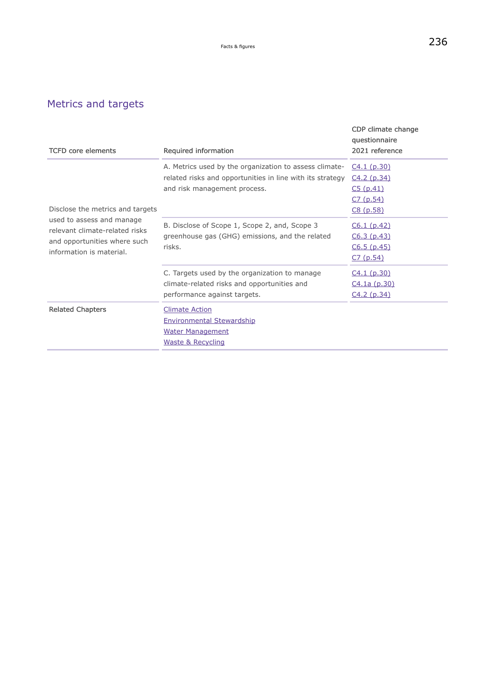### Metrics and targets

| <b>TCFD</b> core elements                                                                                                                                   | Required information                                                                                                                                | CDP climate change<br>questionnaire<br>2021 reference          |
|-------------------------------------------------------------------------------------------------------------------------------------------------------------|-----------------------------------------------------------------------------------------------------------------------------------------------------|----------------------------------------------------------------|
| Disclose the metrics and targets<br>used to assess and manage<br>relevant climate-related risks<br>and opportunities where such<br>information is material. | A. Metrics used by the organization to assess climate-<br>related risks and opportunities in line with its strategy<br>and risk management process. | C4.1 (p.30)<br>C4.2(p.34)<br>C5(p.41)<br>C7 (p.54)<br>C8(p.58) |
|                                                                                                                                                             | B. Disclose of Scope 1, Scope 2, and, Scope 3<br>greenhouse gas (GHG) emissions, and the related<br>risks.                                          | C6.1(p.42)<br>C6.3(p.43)<br>C6.5(p.45)<br>C7 (p.54)            |
|                                                                                                                                                             | C. Targets used by the organization to manage<br>climate-related risks and opportunities and<br>performance against targets.                        | C4.1(p.30)<br>C <sub>4</sub> .1a (p.30)<br>C4.2(p.34)          |
| <b>Related Chapters</b>                                                                                                                                     | <b>Climate Action</b><br><b>Environmental Stewardship</b><br><b>Water Management</b><br>Waste & Recycling                                           |                                                                |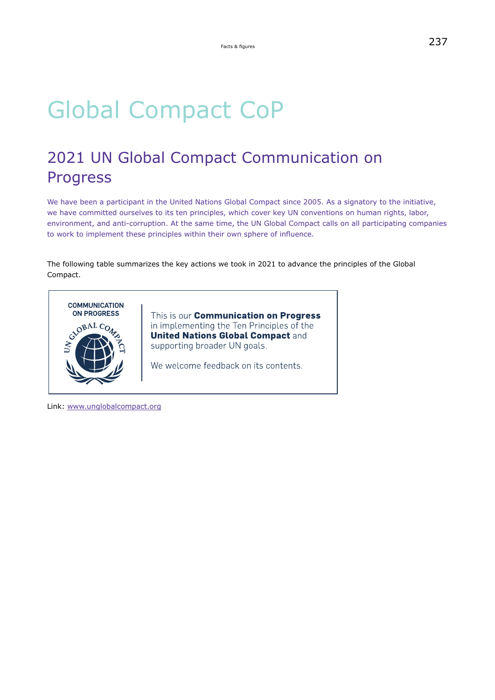## Global Compact CoP

## 2021 UN Global Compact Communication on Progress

We have been a participant in the United Nations Global Compact since 2005. As a signatory to the initiative, we have committed ourselves to its ten principles, which cover key UN conventions on human rights, labor, environment, and anti-corruption. At the same time, the UN Global Compact calls on all participating companies to work to implement these principles within their own sphere of influence.

The following table summarizes the key actions we took in 2021 to advance the principles of the Global Compact.



This is our **Communication on Progress** in implementing the Ten Principles of the **United Nations Global Compact and** supporting broader UN goals.

We welcome feedback on its contents.

Link: [www.unglobalcompact.org](https://www.unglobalcompact.org/)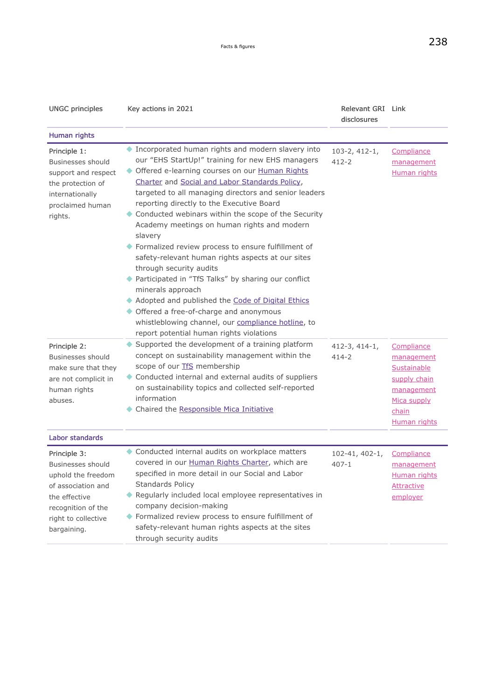| ۰.<br>۰, |
|----------|
|----------|

| <b>UNGC principles</b>                                                                                                                                            | Key actions in 2021                                                                                                                                                                                                                                                                                                                                                                                                                                                                                                                                                                                                                                                                                                                                                                                                                                | Relevant GRI Link<br>disclosures  |                                                                                                                      |
|-------------------------------------------------------------------------------------------------------------------------------------------------------------------|----------------------------------------------------------------------------------------------------------------------------------------------------------------------------------------------------------------------------------------------------------------------------------------------------------------------------------------------------------------------------------------------------------------------------------------------------------------------------------------------------------------------------------------------------------------------------------------------------------------------------------------------------------------------------------------------------------------------------------------------------------------------------------------------------------------------------------------------------|-----------------------------------|----------------------------------------------------------------------------------------------------------------------|
| Human rights                                                                                                                                                      |                                                                                                                                                                                                                                                                                                                                                                                                                                                                                                                                                                                                                                                                                                                                                                                                                                                    |                                   |                                                                                                                      |
| Principle 1:<br>Businesses should<br>support and respect<br>the protection of<br>internationally<br>proclaimed human<br>rights.                                   | Incorporated human rights and modern slavery into<br>our "EHS StartUp!" training for new EHS managers<br>Offered e-learning courses on our Human Rights<br>Charter and Social and Labor Standards Policy,<br>targeted to all managing directors and senior leaders<br>reporting directly to the Executive Board<br>Conducted webinars within the scope of the Security<br>Academy meetings on human rights and modern<br>slavery<br>Formalized review process to ensure fulfillment of<br>safety-relevant human rights aspects at our sites<br>through security audits<br>Participated in "TfS Talks" by sharing our conflict<br>minerals approach<br>Adopted and published the Code of Digital Ethics<br>Offered a free-of-charge and anonymous<br>whistleblowing channel, our compliance hotline, to<br>report potential human rights violations | $103 - 2, 412 - 1,$<br>$412 - 2$  | Compliance<br>management<br>Human rights                                                                             |
| Principle 2:<br>Businesses should<br>make sure that they<br>are not complicit in<br>human rights<br>abuses.                                                       | Supported the development of a training platform<br>concept on sustainability management within the<br>scope of our <b>TfS</b> membership<br>Conducted internal and external audits of suppliers<br>on sustainability topics and collected self-reported<br>information<br>Chaired the Responsible Mica Initiative                                                                                                                                                                                                                                                                                                                                                                                                                                                                                                                                 | $412-3, 414-1,$<br>$414 - 2$      | Compliance<br>management<br>Sustainable<br>supply chain<br>management<br>Mica supply<br>chain<br><b>Human rights</b> |
| Labor standards                                                                                                                                                   |                                                                                                                                                                                                                                                                                                                                                                                                                                                                                                                                                                                                                                                                                                                                                                                                                                                    |                                   |                                                                                                                      |
| Principle 3:<br><b>Businesses should</b><br>uphold the freedom<br>of association and<br>the effective<br>recognition of the<br>right to collective<br>bargaining. | Conducted internal audits on workplace matters<br>covered in our Human Rights Charter, which are<br>specified in more detail in our Social and Labor<br>Standards Policy<br>Regularly included local employee representatives in<br>company decision-making<br>◆ Formalized review process to ensure fulfillment of<br>safety-relevant human rights aspects at the sites<br>through security audits                                                                                                                                                                                                                                                                                                                                                                                                                                                | $102 - 41, 402 - 1,$<br>$407 - 1$ | Compliance<br><u>management</u><br><b>Human rights</b><br><b>Attractive</b><br>employer                              |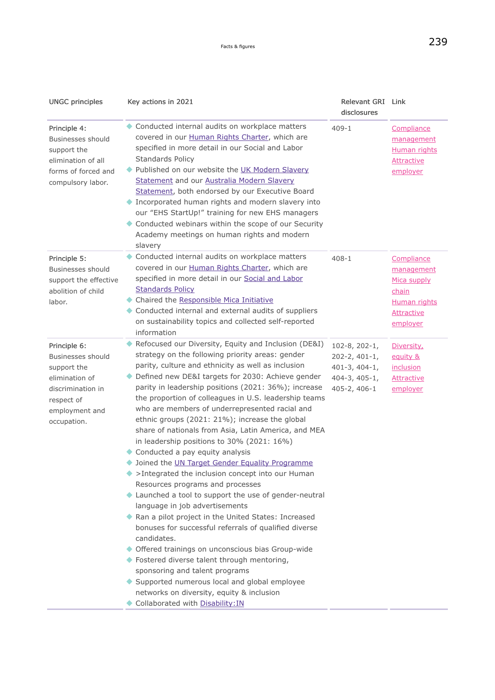<span id="page-74-0"></span>

| <b>UNGC principles</b>                                                                                                                 | Key actions in 2021                                                                                                                                                                                                                                                                                                                                                                                                                                                                                                                                                                                                                                                                                                                                                                                                                                                                                                                                                                                                                                                                                                                                                                                                           | Relevant GRI Link<br>disclosures                                                                    |                                                                                                   |
|----------------------------------------------------------------------------------------------------------------------------------------|-------------------------------------------------------------------------------------------------------------------------------------------------------------------------------------------------------------------------------------------------------------------------------------------------------------------------------------------------------------------------------------------------------------------------------------------------------------------------------------------------------------------------------------------------------------------------------------------------------------------------------------------------------------------------------------------------------------------------------------------------------------------------------------------------------------------------------------------------------------------------------------------------------------------------------------------------------------------------------------------------------------------------------------------------------------------------------------------------------------------------------------------------------------------------------------------------------------------------------|-----------------------------------------------------------------------------------------------------|---------------------------------------------------------------------------------------------------|
| Principle 4:<br>Businesses should<br>support the<br>elimination of all<br>forms of forced and<br>compulsory labor.                     | Conducted internal audits on workplace matters<br>covered in our Human Rights Charter, which are<br>specified in more detail in our Social and Labor<br>Standards Policy<br>◆ Published on our website the UK Modern Slavery<br>Statement and our Australia Modern Slavery<br>Statement, both endorsed by our Executive Board<br>Incorporated human rights and modern slavery into<br>our "EHS StartUp!" training for new EHS managers<br>Conducted webinars within the scope of our Security<br>Academy meetings on human rights and modern<br>slavery                                                                                                                                                                                                                                                                                                                                                                                                                                                                                                                                                                                                                                                                       | $409 - 1$                                                                                           | Compliance<br>management<br>Human rights<br><b>Attractive</b><br>employer                         |
| Principle 5:<br>Businesses should<br>support the effective<br>abolition of child<br>labor.                                             | Conducted internal audits on workplace matters<br>covered in our Human Rights Charter, which are<br>specified in more detail in our Social and Labor<br><b>Standards Policy</b><br>Chaired the Responsible Mica Initiative<br>Conducted internal and external audits of suppliers<br>on sustainability topics and collected self-reported<br>information                                                                                                                                                                                                                                                                                                                                                                                                                                                                                                                                                                                                                                                                                                                                                                                                                                                                      | $408 - 1$                                                                                           | Compliance<br>management<br>Mica supply<br>chain<br><b>Human rights</b><br>Attractive<br>employer |
| Principle 6:<br>Businesses should<br>support the<br>elimination of<br>discrimination in<br>respect of<br>employment and<br>occupation. | Refocused our Diversity, Equity and Inclusion (DE&I)<br>strategy on the following priority areas: gender<br>parity, culture and ethnicity as well as inclusion<br>Defined new DE&I targets for 2030: Achieve gender<br>parity in leadership positions (2021: 36%); increase<br>the proportion of colleagues in U.S. leadership teams<br>who are members of underrepresented racial and<br>ethnic groups (2021: 21%); increase the global<br>share of nationals from Asia, Latin America, and MEA<br>in leadership positions to 30% (2021: 16%)<br>Conducted a pay equity analysis<br>Joined the UN Target Gender Equality Programme<br>>Integrated the inclusion concept into our Human<br>Resources programs and processes<br>Launched a tool to support the use of gender-neutral<br>language in job advertisements<br>Ran a pilot project in the United States: Increased<br>bonuses for successful referrals of qualified diverse<br>candidates.<br>◆ Offered trainings on unconscious bias Group-wide<br>◆ Fostered diverse talent through mentoring,<br>sponsoring and talent programs<br>Supported numerous local and global employee<br>networks on diversity, equity & inclusion<br>Collaborated with Disability: IN | $102 - 8$ , 202-1,<br>$202 - 2, 401 - 1,$<br>$401-3, 404-1,$<br>$404 - 3, 405 - 1,$<br>405-2, 406-1 | Diversity,<br>equity &<br><u>inclusion</u><br><b>Attractive</b><br>employer                       |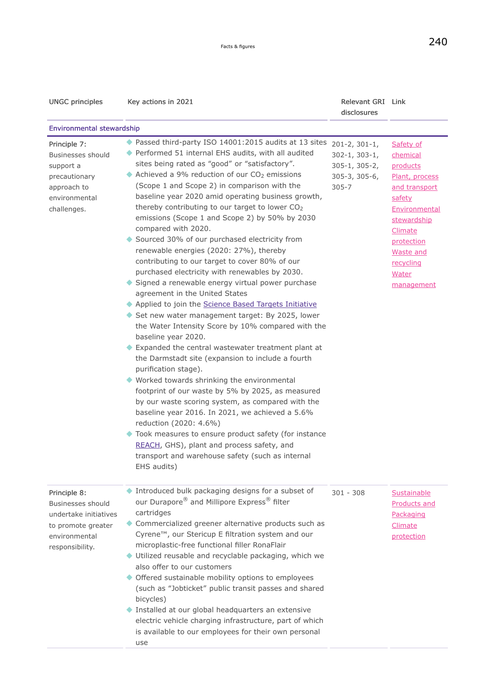| <b>UNGC principles</b>                                                                                                      | Key actions in 2021                                                                                                                                                                                                                                                                                                                                                                                                                                                                                                                                                                                                                                                                                                                                                                                                                                                                                                                                                                                                                                                                                                                                                                                                                                                                                                                                                                                                                                                                           | Relevant GRI Link<br>disclosures                                                                      |                                                                                                                                                                                                        |
|-----------------------------------------------------------------------------------------------------------------------------|-----------------------------------------------------------------------------------------------------------------------------------------------------------------------------------------------------------------------------------------------------------------------------------------------------------------------------------------------------------------------------------------------------------------------------------------------------------------------------------------------------------------------------------------------------------------------------------------------------------------------------------------------------------------------------------------------------------------------------------------------------------------------------------------------------------------------------------------------------------------------------------------------------------------------------------------------------------------------------------------------------------------------------------------------------------------------------------------------------------------------------------------------------------------------------------------------------------------------------------------------------------------------------------------------------------------------------------------------------------------------------------------------------------------------------------------------------------------------------------------------|-------------------------------------------------------------------------------------------------------|--------------------------------------------------------------------------------------------------------------------------------------------------------------------------------------------------------|
| <b>Environmental stewardship</b>                                                                                            |                                                                                                                                                                                                                                                                                                                                                                                                                                                                                                                                                                                                                                                                                                                                                                                                                                                                                                                                                                                                                                                                                                                                                                                                                                                                                                                                                                                                                                                                                               |                                                                                                       |                                                                                                                                                                                                        |
| Principle 7:<br><b>Businesses should</b><br>support a<br>precautionary<br>approach to<br>environmental<br>challenges.       | ◆ Passed third-party ISO 14001:2015 audits at 13 sites<br>◆ Performed 51 internal EHS audits, with all audited<br>sites being rated as "good" or "satisfactory".<br>Achieved a 9% reduction of our CO <sub>2</sub> emissions<br>(Scope 1 and Scope 2) in comparison with the<br>baseline year 2020 amid operating business growth,<br>thereby contributing to our target to lower CO2<br>emissions (Scope 1 and Scope 2) by 50% by 2030<br>compared with 2020.<br>Sourced 30% of our purchased electricity from<br>renewable energies (2020: 27%), thereby<br>contributing to our target to cover 80% of our<br>purchased electricity with renewables by 2030.<br>Signed a renewable energy virtual power purchase<br>agreement in the United States<br>Applied to join the Science Based Targets Initiative<br>Set new water management target: By 2025, lower<br>the Water Intensity Score by 10% compared with the<br>baseline year 2020.<br>Expanded the central wastewater treatment plant at<br>the Darmstadt site (expansion to include a fourth<br>purification stage).<br>Worked towards shrinking the environmental<br>footprint of our waste by 5% by 2025, as measured<br>by our waste scoring system, as compared with the<br>baseline year 2016. In 2021, we achieved a 5.6%<br>reduction (2020: 4.6%)<br>Took measures to ensure product safety (for instance<br>REACH, GHS), plant and process safety, and<br>transport and warehouse safety (such as internal<br>EHS audits) | $201 - 2, 301 - 1,$<br>$302 - 1, 303 - 1,$<br>$305 - 1, 305 - 2,$<br>$305 - 3, 305 - 6,$<br>$305 - 7$ | Safety of<br>chemical<br>products<br>Plant, process<br>and transport<br>safety<br>Environmental<br>stewardship<br>Climate<br><u>protection</u><br><b>Waste and</b><br>recycling<br>Water<br>management |
| Principle 8:<br><b>Businesses should</b><br>undertake initiatives<br>to promote greater<br>environmental<br>responsibility. | Introduced bulk packaging designs for a subset of<br>our Durapore® and Millipore Express® filter<br>cartridges<br>Commercialized greener alternative products such as<br>Cyrene™, our Stericup E filtration system and our<br>microplastic-free functional filler RonaFlair<br>Utilized reusable and recyclable packaging, which we<br>also offer to our customers<br>Offered sustainable mobility options to employees<br>(such as "Jobticket" public transit passes and shared<br>bicycles)<br>Installed at our global headquarters an extensive<br>electric vehicle charging infrastructure, part of which<br>is available to our employees for their own personal<br>use                                                                                                                                                                                                                                                                                                                                                                                                                                                                                                                                                                                                                                                                                                                                                                                                                  | $301 - 308$                                                                                           | Sustainable<br><b>Products and</b><br>Packaging<br>Climate<br>protection                                                                                                                               |